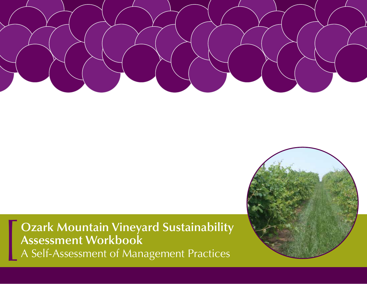

# **Ozark Mountain Vineyard Sustainability Assessment Workbook**<br>A Self-Assessment of Management Practices

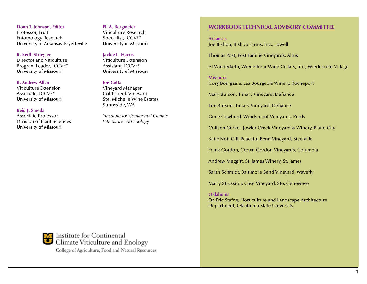**Donn T. Johnson, Editor** Professor, Fruit Entomology Research **University of Arkansas-Fayetteville**

**R. Keith Striegler**  Director and Viticulture Program Leader, ICCVE\* **University of Missouri**

#### **R. Andrew Allen**

Viticulture Extension Associate, ICCVE\* **University of Missouri**

#### **Reid J. Smeda**

Associate Professor, Division of Plant Sciences **University of Missouri**

#### **Eli A. Bergmeier**

Viticulture Research Specialist, ICCVE\* **University of Missouri**

#### **Jackie L. Harris**

Viticulture Extension Assistant, ICCVE\* **University of Missouri**

#### **Joe Cotta**

Vineyard Manager Cold Creek Vineyard Ste. Michelle Wine Estates Sunnyside, WA

*\*Institute for Continental Climate Viticulture and Enology*

#### **Workbook Technical Advisory Committee**

**Arkansas** Joe Bishop, Bishop Farms, Inc., Lowell

Thomas Post, Post Familie Vineyards, Altus

Al Wiederkehr, Wiederkehr Wine Cellars, Inc., Wiederkehr Village

**Missouri** Cory Bomgaars, Les Bourgeois Winery, Rocheport

Mary Burson, Timary Vineyard, Defiance

Tim Burson, Timary Vineyard, Defiance

Gene Cowherd, Windymont Vineyards, Purdy

Colleen Gerke, Jowler Creek Vineyard & Winery, Platte City

Katie Nott Gill, Peaceful Bend Vineyard, Steelville

Frank Gordon, Crown Gordon Vineyards, Columbia

Andrew Meggitt, St. James Winery, St. James

Sarah Schmidt, Baltimore Bend Vineyard, Waverly

Marty Strussion, Cave Vineyard, Ste. Genevieve

#### **Oklahoma**

Dr. Eric Stafne, Horticulture and Landscape Architecture Department, Oklahoma State University



Institute for Continental Climate Viticulture and Enology College of Agriculture, Food and Natural Resources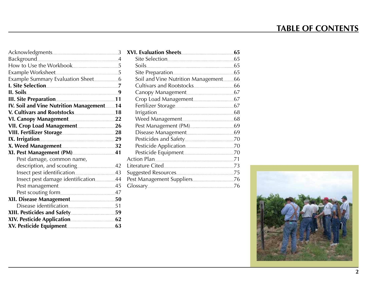# **TABLE OF CONTENTS**

| IV. Soil and Vine Nutrition Management14 |  |
|------------------------------------------|--|
|                                          |  |
|                                          |  |
|                                          |  |
|                                          |  |
|                                          |  |
|                                          |  |
|                                          |  |
| Pest damage, common name,                |  |
|                                          |  |
|                                          |  |
| Insect pest damage identification44      |  |
|                                          |  |
|                                          |  |
|                                          |  |
|                                          |  |
|                                          |  |
|                                          |  |
|                                          |  |

| Soils                                |  |
|--------------------------------------|--|
|                                      |  |
| Soil and Vine Nutrition Management66 |  |
|                                      |  |
|                                      |  |
|                                      |  |
|                                      |  |
|                                      |  |
|                                      |  |
|                                      |  |
|                                      |  |
|                                      |  |
|                                      |  |
|                                      |  |
|                                      |  |
|                                      |  |
|                                      |  |
|                                      |  |
|                                      |  |
|                                      |  |

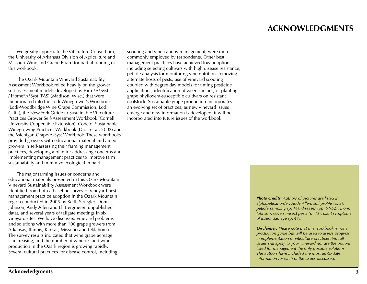<span id="page-3-0"></span>We greatly appreciate the Viticulture Consortium, the University of Arkansas Division of Agriculture and Missouri Wine and Grape Board for partial funding of this workbook.

The Ozark Mountain Vineyard Sustainability Assessment Workbook relied heavily on the grower self-assessment models developed by Farm\*A\*Syst / Home\*A\*Syst (FAS) (Madison, Wisc.) that were incorporated into the Lodi Winegrower's Workbook (Lodi-Woodbridge Wine Grape Commission, Lodi, Calif.), the New York Guide to Sustainable Viticulture Practices Grower Self-Assessment Workbook (Cornell University Cooperative Extension), Code of Sustainable Winegrowing Practices Workbook (Dlott et al. 2002) and the Michigan Grape-A-Syst Workbook. These workbooks provided growers with educational material and aided growers in self-assessing their farming management practices, developing a plan for addressing concerns and implementing management practices to improve farm sustainability and minimize ecological impact.

The major farming issues or concerns and educational materials presented in this Ozark Mountain Vineyard Sustainability Assessment Workbook were identified from both a baseline survey of vineyard best management practice adoption in the Ozark Mountain region conducted in 2005 by Keith Striegler, Donn Johnson, Andy Allen and Eli Bergmeier (unpublished data), and several years of tailgate meetings in six vineyard sites. We have discussed vineyard problems and solutions with more than 100 grape growers from Arkansas, Illinois, Kansas, Missouri and Oklahoma. The survey results indicated that wine grape acreage is increasing, and the number of wineries and wine production in the Ozark region is growing rapidly. Several cultural practices for disease control, including

scouting and vine canopy management, were more commonly employed by respondents. Other best management practices have achieved low adoption, including selecting cultivars with high disease resistance, petiole analysis for monitoring vine nutrition, removing alternate hosts of pests, use of vineyard scouting coupled with degree day models for timing pesticide applications, identification of weed species, or planting grape phylloxera-susceptible cultivars on resistant rootstock. Sustainable grape production incorporates an evolving set of practices; as new vineyard issues emerge and new information is developed, it will be incorporated into future issues of the workbook.

> *Photo credits: Authors of pictures are listed in alphabetical order: Andy Allen: soil profile (p. 9), petiole sampling (p. 14), diseases (pp. 51-52); Donn Johnson: covers, insect pests (p. 43), plant symptoms of insect damage (p. 44).*

> *Disclaimer: Please note that this workbook is not a production guide but will be used to assess progress in implementation of viticulture practices. Not all issues will apply to your vineyard nor are the options listed for management the only possible solutions. The authors have included the most up-to-date information for each of the issues discussed.*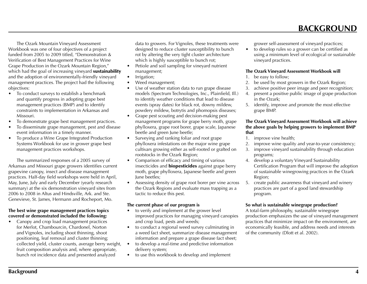<span id="page-4-0"></span>The Ozark Mountain Vineyard Assessment Workbook was one of four objectives of a project funded from 2005 to 2009 titled, "Demonstration & Verification of Best Management Practices for Wine Grape Production in the Ozark Mountain Region," which had the goal of increasing vineyard **sustainability** and the adoption of environmentally-friendly vineyard management practices. The project had the following objectives:

- To conduct surveys to establish a benchmark and quantify progress in adopting grape best management practices (BMP) and to identify constraints to implementation in Arkansas and Missouri.
- To demonstrate grape best management practices.
- To disseminate grape management, pest and disease event information in a timely manner.
- To produce a Wine Grape Integrated Production Systems Workbook for use in grower grape best management practices workshops.

The summarized responses of a 2005 survey of Arkansas and Missouri grape growers identifies current grapevine canopy, insect and disease management practices. Half-day field workshops were held in April, May, June, July and early December (yearly research summary) at the six demonstration vineyard sites from 2006 to 2008 in Altus and Hindsville, Ark. and Ste. Genevieve, St. James, Hermann and Rocheport, Mo.

## **The best wine grape management practices topics covered or demonstrated included the following:**

Canopy and crop load management practices for Merlot, Chambourcin, Chardonel, Norton and Vignoles, including shoot thinning, shoot positioning, leaf removal and cluster thinning; collected yield, cluster counts, average berry weight, fruit composition analysis and, where appropriate, bunch rot incidence data and presented analyzed

data to growers. For Vignoles, these treatments were designed to reduce cluster susceptibility to bunch rot by altering the very tight cluster architecture which is highly susceptible to bunch rot;

- Petiole and soil sampling for vineyard nutrient management;
- Irrigation;
- Weed management;
- Use of weather station data to run grape disease models (Spectrum Technologies, Inc., Plainfield, Ill.) to identify weather conditions that lead to disease events (spray dates) for black rot, downy mildew, powdery mildew, botrytis and phomopsis diseases;
- • Grape pest scouting and decision-making pest management programs for grape berry moth, grape phylloxera, grape root borer, grape scale, Japanese beetle and green June beetle;
- Surveying and ranking foliar and root grape phylloxera infestations on the major wine grape cultivars growing either as self-rooted or grafted on rootstocks in the Ozark Region;
- Comparison of efficacy and timing of various insecticides and **biopesticides** against grape berry moth, grape phylloxera, Japanese beetle and green June beetles;
- Assessing density of grape root borer per vine across the Ozark Regions and evaluate mass trapping as a tactic to reduce this pest.

## **The current phase of our program is**

- to verify and implement at the grower level improved practices for managing vineyard canopies and crop load, pests and weeds;
- to conduct a regional weed survey culminating in a weed fact sheet, summarize disease management information and prepare a grape disease fact sheet;
- to develop a real-time and predictive information delivery system;
- to use this workbook to develop and implement

grower self-assessment of vineyard practices;

• to develop rules so a grower can be certified as using a minimum level of ecological or sustainable vineyard practices.

 **BACKGROUND**

#### **The Ozark Vineyard Assessment Workbook will**

- 1. be easy to follow;
- 2. be used by most growers in the Ozark Region;
- 3. achieve positive peer image and peer recognition;
- 4. present a positive public image of grape production in the Ozark;
- 5. identify, improve and promote the most effective grape BMP.

#### **The Ozark Vineyard Assessment Workbook will achieve the above goals by helping growers to implement BMP that**

- 1. improve vine health;
- 2. improve wine quality and year-to-year consistency;
- 3. improve vineyard sustainability through education programs;
- 4. develop a voluntary Vineyard Sustainability Certification Program that will improve the adoption of sustainable winegrowing practices in the Ozark Region;
- 5. create public awareness that vineyard and winery practices are part of a good land stewardship program.

## **So what is sustainable winegrape production?**

A total-farm philosophy, sustainable winegrape production emphasizes the use of vineyard management practices that minimize impact on the environment, are economically feasible, and address needs and interests of the community (Dlott et al. 2002).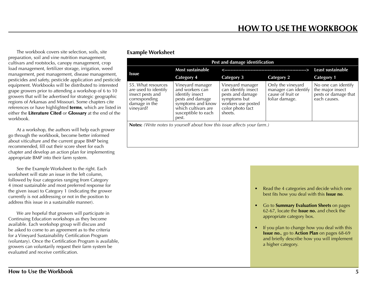<span id="page-5-0"></span>The workbook covers site selection, soils, site preparation, soil and vine nutrition management, cultivars and rootstocks, canopy management, crop load management, fertilizer storage, irrigation, weed management, pest management, disease management, pesticides and safety, pesticide application and pesticide equipment. Workbooks will be distributed to interested grape growers prior to attending a workshop of 6 to 10 growers that will be advertised for strategic geographic regions of Arkansas and Missouri. Some chapters cite references or have highlighted **terms**, which are listed in either the Literature Cited or Glossary at the end of the workbook.

At a workshop, the authors will help each grower go through the workbook, become better informed about viticulture and the current grape BMP being recommended, fill out their score sheet for each chapter and develop an action plan for implementing appropriate BMP into their farm system.

See the Example Worksheet to the right. Each worksheet will state an issue in the left column, followed by four categories ranging from Category 4 (most sustainable and most preferred response for the given issue) to Category 1 (indicating the grower currently is not addressing or not in the position to address this issue in a sustainable manner).

We are hopeful that growers will participate in Continuing Education workshops as they become available. Each workshop group will discuss and be asked to come to an agreement as to the criteria for a Vineyard Sustainability Certification Program (voluntary). Once the Certification Program is available, growers can voluntarily request their farm system be evaluated and receive certification.

## **Example Worksheet**

| Pest and damage identification                                                                                |                                                                                                                                                        |                                                                                                                                  |                                                                                  |                                                                                 |
|---------------------------------------------------------------------------------------------------------------|--------------------------------------------------------------------------------------------------------------------------------------------------------|----------------------------------------------------------------------------------------------------------------------------------|----------------------------------------------------------------------------------|---------------------------------------------------------------------------------|
|                                                                                                               | <b>Most sustainable</b>                                                                                                                                |                                                                                                                                  |                                                                                  | Least sustainable                                                               |
| <b>Issue</b>                                                                                                  | <b>Category 4</b>                                                                                                                                      | <b>Category 3</b>                                                                                                                | <b>Category 2</b>                                                                | <b>Category 1</b>                                                               |
| 55. What resources<br>are used to identify<br>insect pests and<br>corresponding<br>damage in the<br>vineyard? | Vineyard manager<br>and workers can<br>identify insect<br>pests and damage<br>symptoms and know<br>which cultivars are<br>susceptible to each<br>pest. | Vineyard manager<br>can identify insect<br>pests and damage<br>symptoms but<br>workers use posted<br>color photo fact<br>sheets. | Only the vineyard<br>manager can identify<br>cause of fruit or<br>foliar damage. | No one can identify<br>the major insect<br>pests or damage that<br>each causes. |
| <b>Notes:</b> (Write notes to yourself about how this issue affects your farm.)                               |                                                                                                                                                        |                                                                                                                                  |                                                                                  |                                                                                 |
|                                                                                                               |                                                                                                                                                        |                                                                                                                                  |                                                                                  |                                                                                 |

- Read the 4 categories and decide which one best fits how you deal with this **Issue no**.
- **Go to Summary Evaluation Sheets** on pages 62-67, locate the **Issue no.** and check the appropriate category box.
- If you plan to change how you deal with this **Issue no.**, go to **Action Plan** on pages 68-69 and briefly describe how you will implement a higher category.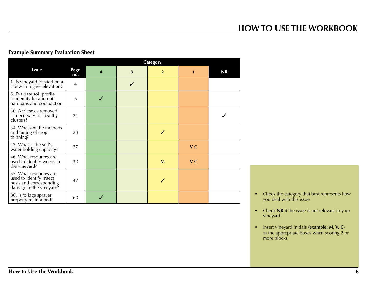## **HOW TO USE THE WORKBOOK**

## <span id="page-6-0"></span>**Example Summary Evaluation Sheet**

|                                                                                                         |                |   |   | <b>Category</b> |                |    |
|---------------------------------------------------------------------------------------------------------|----------------|---|---|-----------------|----------------|----|
| <b>Issue</b>                                                                                            | Page<br>no.    | 4 | 3 | $\overline{2}$  |                | NR |
| 1. Is vineyard located on a<br>site with higher elevation?                                              | $\overline{4}$ |   | J |                 |                |    |
| 5. Evaluate soil profile<br>to identify location of<br>hardpans and compaction                          | 6              |   |   |                 |                |    |
| 30. Are leaves removed<br>as necessary for healthy<br>clusters?                                         | 21             |   |   |                 |                |    |
| 34. What are the methods<br>and timing of crop<br>thinning?                                             | 23             |   |   |                 |                |    |
| 42. What is the soil's<br>water holding capacity?                                                       | 27             |   |   |                 | V <sub>C</sub> |    |
| 46. What resources are<br>used to identify weeds in<br>the vineyard?                                    | 30             |   |   | M               | <b>VC</b>      |    |
| 55. What resources are<br>used to identify insect<br>pests and corresponding<br>damage in the vineyard? | 42             |   |   |                 |                |    |
| 80. Is foliage sprayer<br>properly maintained?                                                          | 60             |   |   |                 |                |    |

- Check the category that best represents how you deal with this issue.
- Check **NR** if the issue is not relevant to your vineyard.
- • Insert vineyard initials **(example: M, V, C)** in the appropriate boxes when scoring 2 or more blocks.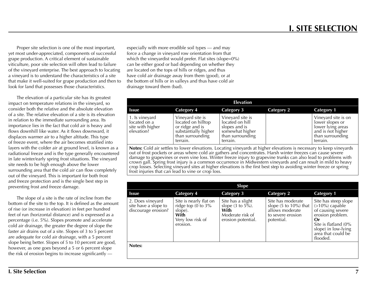<span id="page-7-0"></span>Proper site selection is one of the most important, yet most under-appreciated, components of successful grape production. A critical element of sustainable viticulture, poor site selection will often lead to failure of the vineyard enterprise. The best approach to locating a vineyard is to understand the characteristics of a site that make it well-suited for grape production and then to look for land that possesses those characteristics.

The elevation of a particular site has its greatest impact on temperature relations in the vineyard, so consider both the relative and the absolute elevation of a site. The relative elevation of a site is its elevation in relation to the immediate surrounding area. Its importance lies in the fact that cold air is heavy and flows downhill like water. As it flows downward, it displaces warmer air to a higher altitude. This type of freeze event, where the air becomes stratified into layers with the colder air at ground level, is known as a radiational freeze and is the type generally encountered in late winter/early spring frost situations. The vineyard site needs to be high enough above the lower surrounding area that the cold air can flow completely out of the vineyard. This is important for both frost and freeze protection and is the single best step in preventing frost and freeze damage.

The slope of a site is the rate of incline from the bottom of the site to the top. It is defined as the amount of rise (or increase in elevation) in feet per hundred feet of run (horizontal distance) and is expressed as a percentage (i.e. 5%). Slopes promote and accelerate cold air drainage, the greater the degree of slope the faster air drains out of a site. Slopes of 3 to 5 percent are adequate for cold air drainage, with a 5 percent slope being better. Slopes of 5 to 10 percent are good, however, as one goes beyond a 5 or 6 percent slope the risk of erosion begins to increase significantly —

especially with more erodible soil types — and may force a change in vineyard row orientation from that which the vineyardist would prefer. Flat sites (slope=0%) can be either good or bad depending on whether they are located on the tops of hills or ridges, and thus have cold air drainage away from them (good), or at the bottom of hills or in valleys and thus have cold air drainage toward them (bad).

| <b>Elevation</b>                                                                                                                                                                                                                    |                                                                                                                   |                                                                                                         |                   |                                                                                                                  |
|-------------------------------------------------------------------------------------------------------------------------------------------------------------------------------------------------------------------------------------|-------------------------------------------------------------------------------------------------------------------|---------------------------------------------------------------------------------------------------------|-------------------|------------------------------------------------------------------------------------------------------------------|
| <b>Issue</b>                                                                                                                                                                                                                        | Category 4                                                                                                        | <b>Category 3</b>                                                                                       | <b>Category 2</b> | <b>Category 1</b>                                                                                                |
| 1. Is vineyard<br>located on a<br>site with higher<br>elevation?                                                                                                                                                                    | Vineyard site is<br>located on hilltop<br>or ridge and is<br>substantially higher<br>than surrounding<br>terrain. | Vineyard site is<br>located on hill<br>slopes and is<br>somewhat higher<br>than surrounding<br>terrain. |                   | Vineyard site is on<br>lower slopes or<br>lower lying areas<br>and is not higher<br>than surrounding<br>terrain. |
| Notes: Cold air settles to lower elevations. Locating vineyards at higher elevations is necessary to keep vineyards<br>out of frost pockets or areas where cold air gathers and concentrates. Harsh winter freezes can cause severe |                                                                                                                   |                                                                                                         |                   |                                                                                                                  |

damage to grapevines or even vine loss. Winter freeze injury to grapevine trunks can also lead to problems with crown gall. Spring frost injury is a common occurrence in Midwestern vineyards and can result in mild to heavy crop losses. Selecting vineyard sites at higher elevations is the first best step to avoiding winter freeze or spring frost injuries that can lead to vine or crop loss.

| <b>Slope</b>                                                    |                                                                                                      |                                                                                                      |                                                                                                              |                                                                                                                                                                           |
|-----------------------------------------------------------------|------------------------------------------------------------------------------------------------------|------------------------------------------------------------------------------------------------------|--------------------------------------------------------------------------------------------------------------|---------------------------------------------------------------------------------------------------------------------------------------------------------------------------|
| <b>Issue</b>                                                    | <b>Category 4</b>                                                                                    | <b>Category 3</b>                                                                                    | <b>Category 2</b>                                                                                            | <b>Category 1</b>                                                                                                                                                         |
| 2. Does vineyard<br>site have a slope to<br>discourage erosion? | Site is nearly flat on<br>ridge top $(0$ to $3\%$<br>slope).<br>With<br>Very low risk of<br>erosion. | Site has a slight<br>slope $(3 \text{ to } 5\%)$ .<br>With<br>Moderate risk of<br>erosion potential. | Site has moderate<br>slope $(5 \text{ to } 10\%)$ that<br>allows moderate<br>to severe erosion<br>potential. | Site has steep slope<br>$(>10\%)$ capable<br>of causing severe<br>erosion problem.<br>0r<br>Site is flatland (0%<br>slope) in low-lying<br>area that could be<br>flooded. |
| Notes:                                                          |                                                                                                      |                                                                                                      |                                                                                                              |                                                                                                                                                                           |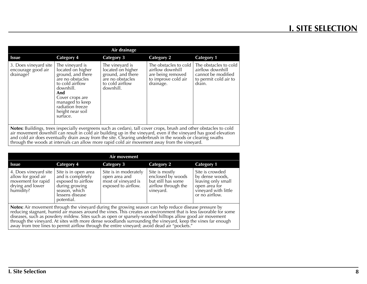| Air drainage                                                                                                                                                                                                                             |                                                                                                                                                                                                                |                                                                                                               |                                                                                                    |                                                                                                    |
|------------------------------------------------------------------------------------------------------------------------------------------------------------------------------------------------------------------------------------------|----------------------------------------------------------------------------------------------------------------------------------------------------------------------------------------------------------------|---------------------------------------------------------------------------------------------------------------|----------------------------------------------------------------------------------------------------|----------------------------------------------------------------------------------------------------|
| <b>Issue</b>                                                                                                                                                                                                                             | <b>Category 4</b>                                                                                                                                                                                              | <b>Category 3</b>                                                                                             | <b>Category 2</b>                                                                                  | <b>Category 1</b>                                                                                  |
| 3. Does vineyard site<br>encourage good air<br>drainage?                                                                                                                                                                                 | The vineyard is<br>located on higher<br>ground, and there<br>are no obstacles<br>to cold airflow<br>downhill.<br>And<br>Cover crops are<br>managed to keep<br>radiation freeze<br>height near soil<br>surtace. | The vineyard is<br>located on higher<br>ground, and there<br>are no obstacles<br>to cold airflow<br>downhill. | The obstacles to cold<br>airflow downhill<br>are being removed<br>to improve cold air<br>drainage. | The obstacles to cold<br>airflow downhill<br>cannot be modified<br>to permit cold air to<br>drain. |
| Notes: Buildings, trees (especially evergreens such as cedars), tall cover crops, brush and other obstacles to cold<br>air movement downhill can result in cold air building up in the vineyard, even if the vineyard has good elevation |                                                                                                                                                                                                                |                                                                                                               |                                                                                                    |                                                                                                    |

and cold air does eventually drain away from the site. Clearing underbrush in the woods or clearing swaths through the woods at intervals can allow more rapid cold air movement away from the vineyard.

|                                                                                                    |                                                                                                                                     | Air movement                                                                         |                                                                                               |                                                                                                                     |
|----------------------------------------------------------------------------------------------------|-------------------------------------------------------------------------------------------------------------------------------------|--------------------------------------------------------------------------------------|-----------------------------------------------------------------------------------------------|---------------------------------------------------------------------------------------------------------------------|
| <b>Issue</b>                                                                                       | Category 4                                                                                                                          | <b>Category 3</b>                                                                    | <b>Category 2</b>                                                                             | <b>Category 1</b>                                                                                                   |
| 4. Does vineyard site<br>allow for good air<br>movement for rapid<br>drying and lower<br>humidity? | Site is in open area<br>and is completely<br>exposed to airflow<br>during growing<br>season, which<br>lessens disease<br>potential. | Site is in moderately<br>open area and<br>most of vineyard is<br>exposed to airflow. | Site is mostly<br>enclosed by woods<br>but still has some<br>airflow through the<br>vinevard. | Site is crowded<br>by dense woods,<br>leaving only small<br>open area for<br>vineyard with little<br>or no airflow. |

**Notes:** Air movement through the vineyard during the growing season can help reduce disease pressure by<br>reducing stagnant, humid air masses around the vines. This creates an environment that is less favorable for some diseases, such as powdery mildew. Sites such as open or sparsely-wooded hilltops allow good air movement through the vineyard. At sites with more dense woodlands surrounding the vineyard, keep the vines far enough away from tree lines to permit airflow through the entire vineyard; avoid dead air "pockets."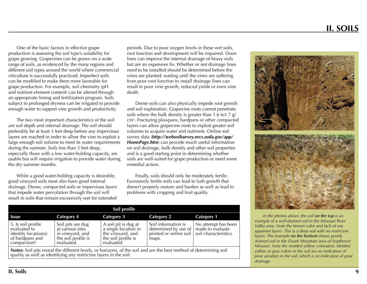# <span id="page-9-0"></span> **II. SOILS**

One of the basic factors in effective grape production is assessing the soil type's suitability for grape growing. Grapevines can be grown on a wide range of soils, as evidenced by the many regions and different soil types around the world where commercial viticulture is successfully practiced. Imperfect soils can be modified to make them more favorable for grape production. For example, soil chemistry (pH and nutrient element content) can be altered through an appropriate liming and fertilization program. Soils subject to prolonged dryness can be irrigated to provide enough water to support vine growth and productivity.

The two most important characteristics of the soil are soil depth and internal drainage. The soil should preferably be at least 3 feet deep before any impervious layers are reached in order to allow the vine to exploit a large enough soil volume to meet its water requirements during the summer. Soils less than 3 feet deep, especially those with a low water-holding capacity, are usable but will require irrigation to provide water during the dry summer months.

While a good water-holding capacity is desirable, good vineyard soils must also have good internal drainage. Dense, compacted soils or impervious layers that impede water percolation through the soil will result in soils that remain excessively wet for extended

periods. Due to poor oxygen levels in these wet soils, root function and development will be impaired. Drain lines can improve the internal drainage of heavy soils but are an expensive fix. Whether or not drainage lines need to be installed should be determined before the vines are planted; waiting until the vines are suffering from poor root function to install drainage lines can result in poor vine growth, reduced yields or even vine death.

Dense soils can also physically impede root growth and soil exploration. Grapevine roots cannot penetrate soils where the bulk density is greater than 1.6 to1.7 g/ cm3 . Fracturing plowpans, hardpans or other compacted layers can allow grapevine roots to exploit greater soil volumes to acquire water and nutrients. Online soil survey data (*http://websoilsurvey.nrcs.usda.gov/app/ HomePage.htm*) can provide much useful information on soil drainage, bulk density and other soil properties and is a good starting point in determining whether soils are well-suited for grape production or need some remedial action.

Finally, soils should only be moderately fertile. Excessively fertile soils can lead to lush growth that doesn't properly mature and harden as well as lead to problems with cropping and fruit quality.

| Soil profile                                                                                                                                                                             |                                                                                                |                                                                                                        |                                                                                |                                                                  |
|------------------------------------------------------------------------------------------------------------------------------------------------------------------------------------------|------------------------------------------------------------------------------------------------|--------------------------------------------------------------------------------------------------------|--------------------------------------------------------------------------------|------------------------------------------------------------------|
| <b>Issue</b>                                                                                                                                                                             | Category 4                                                                                     | Category 3                                                                                             | Category 2                                                                     | <b>Category 1</b>                                                |
| 5. Is soil profile<br>evaluated to<br>identify location(s)<br>of hardpans and<br>compaction?                                                                                             | Soil pits are dug<br>at various sites<br>in vinevard, and<br>the soil profile is<br>evaluated. | A soil pit is dug at<br>a single location in<br>the vineyard, and<br>the soil profile is<br>evaluated. | Soil information is<br>determined by use of<br>printed or online soil<br>maps. | No attempt has been<br>made to evaluate<br>soil characteristics. |
| Notes: Soil pits reveal the different levels, or horizons, of the soil and are the best method of determining soil<br>quality as well as identifying any restrictive layers in the soil. |                                                                                                |                                                                                                        |                                                                                |                                                                  |



*In the photos above, the soil on the top is an example of a well-drained soil in the Missouri River Valley area. Note the brown color and lack of any apparent layers. This is a deep soil with no restrictive layers. The example on the bottom shows poorly drained soil in the Ozark Mountain area of Southwest Missouri. Note the mottled yellow coloration. Mottled yellow or gray colors in the soil are an indication of poor aeration in the soil, which is an indication of poor drainage.*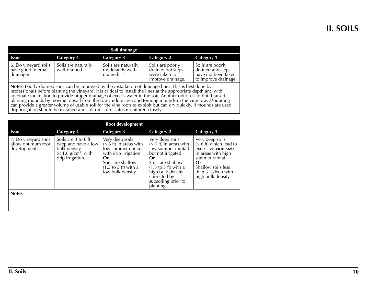| Soil drainage                                           |                                      |                                                     |                                                                             |                                                                                      |
|---------------------------------------------------------|--------------------------------------|-----------------------------------------------------|-----------------------------------------------------------------------------|--------------------------------------------------------------------------------------|
| <b>Issue</b>                                            | Category 4                           | Category 3                                          | Category 2                                                                  | <b>Category 1</b>                                                                    |
| 6. Do vineyard soils<br>have good internal<br>drainage? | Soils are naturally<br>well-drained. | Soils are naturally<br>moderately well-<br>drained. | Soils are poorly<br>drained but steps<br>were taken to<br>improve drainage. | Soils are poorly<br>drained and steps<br>have not been taken<br>to improve drainage. |

**Notes:** Poorly-drained soils can be improved by the installation of drainage lines. This is best done by professionals before planting the vineyard. It is critical to install the lines at the appropriate depth and with adequate inclination to provide proper drainage of excess water in the soil. Another option is to build raised planting mounds by moving topsoil from the row middle area and forming mounds in the vine row. Mounding can provide a greater volume of usable soil for the vine roots to exploit but can dry quickly. If mounds are used, drip irrigation should be installed and soil moisture status monitored closely.

| Root development                                           |                                                                                                                     |                                                                                                                                                                                        |                                                                                                                                                                                                                                         |                                                                                                                                                                                                |
|------------------------------------------------------------|---------------------------------------------------------------------------------------------------------------------|----------------------------------------------------------------------------------------------------------------------------------------------------------------------------------------|-----------------------------------------------------------------------------------------------------------------------------------------------------------------------------------------------------------------------------------------|------------------------------------------------------------------------------------------------------------------------------------------------------------------------------------------------|
| <b>Issue</b>                                               | <b>Category 4</b>                                                                                                   | <b>Category 3</b>                                                                                                                                                                      | <b>Category 2</b>                                                                                                                                                                                                                       | <b>Category 1</b>                                                                                                                                                                              |
| 7. Do vineyard soils<br>allow optimum root<br>development? | Soils are 3 to 6 ft<br>deep and have a low<br>bulk density<br>$(< 1.6$ g/cm <sup>3</sup> ) with<br>drip irrigation. | Very deep soils<br>$(> 6$ ft) in areas with<br>low summer rainfall<br>with drip irrigation.<br>Or<br>Soils are shallow<br>$(1.5 \text{ to } 3 \text{ ft})$ with a<br>low bulk density. | Very deep soils<br>$(> 6$ ft) in areas with<br>low summer rainfall<br>but not irrigated.<br>Or<br>Soils are shallow<br>$(1.5 \text{ to } 3 \text{ ft})$ with a<br>high bulk density<br>corrected by<br>subsoiling prior to<br>planting. | Very deep soils<br>$(> 6$ ft) which lead to<br>excessive <b>vine size</b><br>in areas with high<br>summer rainfall.<br>Or<br>Shallow soils less<br>than 3 ft deep with a<br>high bulk density. |
| Notes:                                                     |                                                                                                                     |                                                                                                                                                                                        |                                                                                                                                                                                                                                         |                                                                                                                                                                                                |
|                                                            |                                                                                                                     |                                                                                                                                                                                        |                                                                                                                                                                                                                                         |                                                                                                                                                                                                |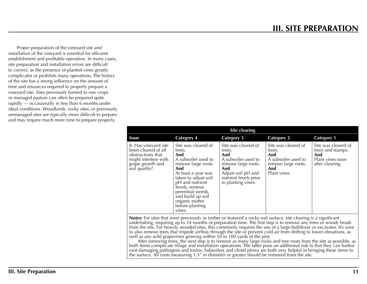**III. SITE PREPARATION**

<span id="page-11-0"></span>Proper preparation of the vineyard site and installation of the vineyard is essential for efficient establishment and profitable operation. In many cases, site preparation and installation errors are difficult to correct, as the presence of planted vines greatly complicates or prohibits many operations. The history of the site has a strong influence on the amount of time and resources required to properly prepare a vineyard site. Sites previously farmed to row crops or managed pasture can often be prepared quite rapidly — occasionally in less than 6 months under ideal conditions. Woodlands, rocky sites, or previously unmanaged sites are typically more difficult to prepare and may require much more time to prepare properly.

| Site clearing                                                                                                                 |                                                                                                                                                                                                                                                                       |                                                                                                                                                                |                                                                                                           |                                                                                        |
|-------------------------------------------------------------------------------------------------------------------------------|-----------------------------------------------------------------------------------------------------------------------------------------------------------------------------------------------------------------------------------------------------------------------|----------------------------------------------------------------------------------------------------------------------------------------------------------------|-----------------------------------------------------------------------------------------------------------|----------------------------------------------------------------------------------------|
| <b>Issue</b>                                                                                                                  | <b>Category 4</b>                                                                                                                                                                                                                                                     | Category 3                                                                                                                                                     | <b>Category 2</b>                                                                                         | <b>Category 1</b>                                                                      |
| 8. Has vineyard site<br>been cleared of all<br>obstructions that<br>might interfere with<br>grape growth and<br>soil quality? | Site was cleared of<br>trees.<br>And<br>A subsoiler used to<br>remove large roots.<br>And<br>At least a year was<br>taken to adjust soil<br>pH and nutrient<br>levels, remove<br>perennial weeds,<br>and build up soil<br>organic matter<br>before planting<br>vines. | Site was cleared of<br>trees.<br>And<br>A subsoiler used to<br>remove large roots.<br>And<br>Adjust soil pH and<br>nutrient levels prior<br>to planting vines. | Site was cleared of<br>trees.<br>And<br>A subsoiler used to<br>remove large roots.<br>And<br>Plant vines. | Site was cleared of<br>trees and stumps.<br>And<br>Plant vines soon<br>after clearing. |

**Notes:** For sites that were previously in timber or featured a rocky soil surface, site clearing is a significant undertaking, requiring up to 24 months of preparation time. The first step is to remove any trees or woody brush from the site. For heavily wooded sites, this commonly requires the use of a large bulldozer or excavator. It's wise to also remove trees that impede airflow through the site or prevent cold air from drifting to lower elevations, as well as any wild grapevines growing within 50 to 100 yards of the plot.

After removing trees, the next step is to remove as many large rocks and tree roots from the site as possible, as both items complicate tillage and installation operations. The latter pose an additional risk in that they can harbor root-damaging pathogens and toxins. Subsoilers and chisel plows are both very helpful in bringing these items to the surface. All roots measuring 1.5" in diameter or greater should be removed from the site.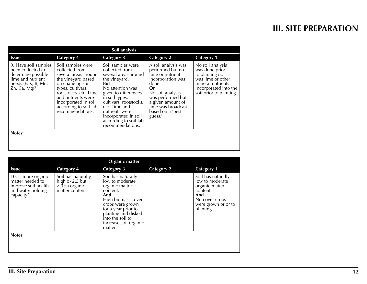| Soil analysis                                                                                                                    |                                                                                                                                                                                                                                                |                                                                                                                                                                                                                                                                                     |                                                                                                                                                                                                                   |                                                                                                                                                     |
|----------------------------------------------------------------------------------------------------------------------------------|------------------------------------------------------------------------------------------------------------------------------------------------------------------------------------------------------------------------------------------------|-------------------------------------------------------------------------------------------------------------------------------------------------------------------------------------------------------------------------------------------------------------------------------------|-------------------------------------------------------------------------------------------------------------------------------------------------------------------------------------------------------------------|-----------------------------------------------------------------------------------------------------------------------------------------------------|
| <b>Issue</b>                                                                                                                     | Category 4                                                                                                                                                                                                                                     | <b>Category 3</b>                                                                                                                                                                                                                                                                   | Category 2                                                                                                                                                                                                        | <b>Category 1</b>                                                                                                                                   |
| 9. Have soil samples<br>been collected to<br>determine possible<br>lime and nutrient<br>needs $(P, K, B, Mn,$<br>$Zn$ , Ca, Mg)? | Soil samples were<br>collected from<br>several areas around<br>the vineyard based<br>on changing soil<br>types, cultivars,<br>rootstocks, etc. Lime<br>and nutrients were<br>incorporated in soil<br>according to soil lab<br>recommendations. | Soil samples were<br>collected from<br>several areas around<br>the vineyard.<br>But<br>No attention was<br>given to differences<br>in soil types,<br>cultivars, rootstocks,<br>etc. Lime and<br>nutrients were<br>incorporated in soil<br>according to soil lab<br>recommendations. | A soil analysis was<br>performed but no<br>lime or nutrient<br>incorporation was<br>done<br>Or<br>No soil analysis<br>was performed but<br>a given amount of<br>lime was broadcast<br>based on a 'best<br>guess.' | No soil analysis<br>was done prior<br>to planting nor<br>was lime or other<br>mineral nutrients<br>incorporated into the<br>soil prior to planting. |
| Notes:                                                                                                                           |                                                                                                                                                                                                                                                |                                                                                                                                                                                                                                                                                     |                                                                                                                                                                                                                   |                                                                                                                                                     |

| <b>Organic matter</b>                                                         |                                                                                                                                                                                                                            |                   |                                                                                                                                  |  |
|-------------------------------------------------------------------------------|----------------------------------------------------------------------------------------------------------------------------------------------------------------------------------------------------------------------------|-------------------|----------------------------------------------------------------------------------------------------------------------------------|--|
| <b>Category 4</b>                                                             | <b>Category 3</b>                                                                                                                                                                                                          | <b>Category 2</b> | <b>Category 1</b>                                                                                                                |  |
| Soil has naturally<br>high $(> 2.5$ but<br>$<$ 3%) organic<br>matter content. | Soil has naturally<br>low to moderate<br>organic matter<br>content.<br>And<br>High biomass cover<br>crops were grown<br>for a year prior to<br>planting and disked<br>into the soil to<br>increase soil organic<br>matter. |                   | Soil has naturally<br>low to moderate<br>organic matter<br>content.<br>And<br>No cover crops<br>were grown prior to<br>planting. |  |
|                                                                               |                                                                                                                                                                                                                            |                   |                                                                                                                                  |  |
|                                                                               |                                                                                                                                                                                                                            |                   |                                                                                                                                  |  |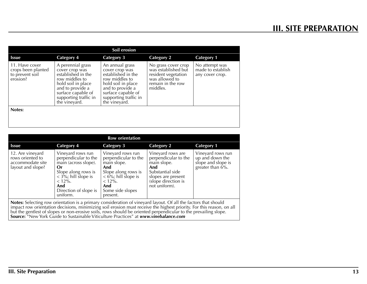| Soil erosion                                                        |                                                                                                                                                                                       |                                                                                                                                                                                     |                                                                                                                      |                                                        |
|---------------------------------------------------------------------|---------------------------------------------------------------------------------------------------------------------------------------------------------------------------------------|-------------------------------------------------------------------------------------------------------------------------------------------------------------------------------------|----------------------------------------------------------------------------------------------------------------------|--------------------------------------------------------|
| <b>Issue</b>                                                        | <b>Category 4</b>                                                                                                                                                                     | <b>Category 3</b>                                                                                                                                                                   | <b>Category 2</b>                                                                                                    | <b>Category 1</b>                                      |
| 11. Have cover<br>crops been planted<br>to prevent soil<br>erosion? | A perennial grass<br>cover crop was<br>established in the<br>row middles to<br>hold soil in place<br>and to provide a<br>surface capable of<br>supporting traffic in<br>the vineyard. | An annual grass<br>cover crop was<br>established in the<br>row middles to<br>hold soil in place<br>and to provide a<br>surface capable of<br>supporting traffic in<br>the vineyard. | No grass cover crop<br>was established but<br>resident vegetation<br>was allowed to<br>remain in the row<br>middles. | No attempt was<br>made to establish<br>any cover crop. |
| Notes:                                                              |                                                                                                                                                                                       |                                                                                                                                                                                     |                                                                                                                      |                                                        |
|                                                                     |                                                                                                                                                                                       |                                                                                                                                                                                     |                                                                                                                      |                                                        |

| <b>Row orientation</b>                                                                                                                                                                                                                 |                                                                                                                                                                                   |                                                                                                                                                                        |                                                                                                                                                   |                                                                                |
|----------------------------------------------------------------------------------------------------------------------------------------------------------------------------------------------------------------------------------------|-----------------------------------------------------------------------------------------------------------------------------------------------------------------------------------|------------------------------------------------------------------------------------------------------------------------------------------------------------------------|---------------------------------------------------------------------------------------------------------------------------------------------------|--------------------------------------------------------------------------------|
| <b>Issue</b>                                                                                                                                                                                                                           | Category 4                                                                                                                                                                        | <b>Category 3</b>                                                                                                                                                      | <b>Category 2</b>                                                                                                                                 | <b>Category 1</b>                                                              |
| 12. Are vineyard<br>rows oriented to<br>accommodate site<br>layout and slope?                                                                                                                                                          | Vineyard rows run<br>perpendicular to the<br>main (across slope).<br>0r<br>Slope along rows is<br>$<$ 3%; hill slope is<br>$< 12\%$ .<br>And<br>Direction of slope is<br>uniform. | Vineyard rows run<br>perpendicular to the<br>main slope.<br>And<br>Slope along rows is<br>$< 6\%$ ; hill slope is<br>$< 12\%$ .<br>And<br>Some side slopes<br>present. | Vineyard rows are<br>perpendicular to the<br>main slope.<br>And<br>Substantial side<br>slopes are present<br>(slope direction is<br>not uniform). | Vineyard rows run<br>up and down the<br>slope and slope is<br>greater than 6%. |
| Notes: Selecting row orientation is a primary consideration of vineyard layout. Of all the factors that should<br>impact row orientation decisions minimizing soil exosion must resource the bighest priority. For this reason, on all |                                                                                                                                                                                   |                                                                                                                                                                        |                                                                                                                                                   |                                                                                |

**Notes:** Selecting row orientation is a primary consideration of vineyard layout. Of all the factors that should<br>impact row orientation decisions, minimizing soil erosion must receive the highest priority. For this reason, but the gentlest of slopes or non-erosive soils, rows should be oriented perpendicular to the prevailing slope. **Source:** "New York Guide to Sustainable Viticulture Practices" at *www.vinebalance.com*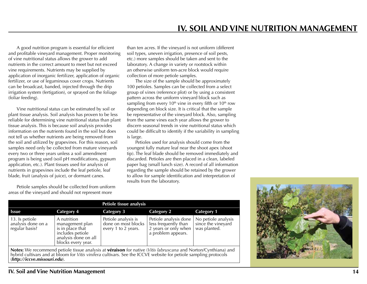<span id="page-14-0"></span>A good nutrition program is essential for efficient and profitable vineyard management. Proper monitoring of vine nutritional status allows the grower to add nutrients in the correct amount to meet but not exceed vine requirements. Nutrients may be supplied by application of inorganic fertilizer, application of organic fertilizer, or use of leguminous cover crops. Nutrients can be broadcast, banded, injected through the drip irrigation system (fertigation), or sprayed on the foliage (foliar feeding).

Vine nutritional status can be estimated by soil or plant tissue analysis. Soil analysis has proven to be less reliable for determining vine nutritional status than plant tissue analysis. This is because soil analysis provides information on the nutrients found in the soil but does not tell us whether nutrients are being removed from the soil and utilized by grapevines. For this reason, soil samples need only be collected from mature vineyards every two or three years unless a soil amendment program is being used (soil pH modifications, gypsum application, etc.). Plant tissues used for analysis of nutrients in grapevines include the leaf petiole, leaf blade, fruit (analysis of juice), or dormant canes.

Petiole samples should be collected from uniform areas of the vineyard and should not represent more

than ten acres. If the vineyard is not uniform (different soil types, uneven irrigation, presence of soil pests, etc.) more samples should be taken and sent to the laboratory. A change in variety or rootstock within an otherwise uniform ten-acre block would require collection of more petiole samples.

The size of the sample should be approximately 100 petioles. Samples can be collected from a select group of vines (reference plot) or by using a consistent pattern across the uniform vineyard block such as sampling from every  $10<sup>th</sup>$  vine in every fifth or  $10<sup>th</sup>$  row depending on block size. It is critical that the sample be representative of the vineyard block. Also, sampling from the same vines each year allows the grower to discern seasonal trends in vine nutritional status which could be difficult to identify if the variability in sampling is large.

Petioles used for analysis should come from the youngest fully mature leaf near the shoot apex (shoot tip). The leaf blade should be removed immediately and discarded. Petioles are then placed in a clean, labeled paper bag (small lunch size). A record of all information regarding the sample should be retained by the grower to allow for sample identification and interpretation of results from the laboratory.

| Petiole tissue analysis                                                                                                                                                                                                                                            |                                                                                                                      |                                                                   |                                                                                             |                                                           |
|--------------------------------------------------------------------------------------------------------------------------------------------------------------------------------------------------------------------------------------------------------------------|----------------------------------------------------------------------------------------------------------------------|-------------------------------------------------------------------|---------------------------------------------------------------------------------------------|-----------------------------------------------------------|
| <b>Issue</b>                                                                                                                                                                                                                                                       | <b>Category 4</b>                                                                                                    | <b>Category 3</b>                                                 | <b>Category 2</b>                                                                           | <b>Category 1</b>                                         |
| 13. Is petiole<br>analysis done on a<br>regular basis?                                                                                                                                                                                                             | A nutrition<br>management plan<br>is in place that<br>includes petiole<br>analysis done on all<br>blocks every year. | Petiole analysis is<br>done on most blocks<br>every 1 to 2 years. | Petiole analysis done<br>less frequently than<br>2 years or only when<br>a problem appears. | No petiole analysis<br>since the vineyard<br>was planted. |
| Notes: We recommend petiole tissue analysis at véraison for native (Vitis labruscana and Norton/Cynthiana) and<br>hybrid cultivars and at bloom for Vitis vinifera cultivars. See the ICCVE website for petiole sampling protocols<br>(http://iccve.missouri.edu). |                                                                                                                      |                                                                   |                                                                                             |                                                           |



## **IV. Soil and Vine Nutrition Management**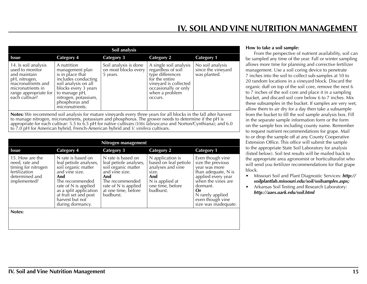| Soil analysis                                                                                                                                                  |                                                                                                                                                                                                                                    |                                                           |                                                                                                                                                                  |                                                        |
|----------------------------------------------------------------------------------------------------------------------------------------------------------------|------------------------------------------------------------------------------------------------------------------------------------------------------------------------------------------------------------------------------------|-----------------------------------------------------------|------------------------------------------------------------------------------------------------------------------------------------------------------------------|--------------------------------------------------------|
| Issue                                                                                                                                                          | <b>Category 4</b>                                                                                                                                                                                                                  | <b>Category 3</b>                                         | <b>Category 2</b>                                                                                                                                                | <b>Category 1</b>                                      |
| 14. Is soil analysis<br>used to monitor<br>and maintain<br>pH, nitrogen,<br>macronutrients and<br>micronutrients in<br>range appropriate for<br>each cultivar? | A nutrition<br>management plan<br>is in place that<br>includes conducting<br>soil analysis on all<br>blocks every 3 years<br>to manage pH,<br>nitrogen, potassium,<br>phosphorus and<br>micronutrients.                            | Soil analysis is done<br>on most blocks every<br>5 years. | A single soil analysis<br>regardless of soil<br>type differences<br>for the entire<br>vineyard is collected<br>occasionally or only<br>when a problem<br>occurs. | No soil analysis<br>since the vineyard<br>was planted. |
|                                                                                                                                                                | <b>Notes:</b> We recommend soil analysis for mature vineyards every three years for all blocks in the fall after harvest<br>to manage pitrogen micronutriante petaccium and phoephorus. The groups needs to determine if the pH is |                                                           |                                                                                                                                                                  |                                                        |

to manage nitrogen, micronutrients, potassium and phosphorus. The grower needs to determine if the pH is appropriate for each cultivar: 5.5 to 6.5 pH for native cultivars (*Vitis labruscana* and Norton/Cynthiana); and 6.0 to 7.0 pH for American hybrid, French-American hybrid and *V. vinifera* cultivars.

| Nitrogen management                                                                                         |                                                                                                                                                                                                                                   |                                                                                                                                                                             |                                                                                                                                    |                                                                                                                                                                                                                      |
|-------------------------------------------------------------------------------------------------------------|-----------------------------------------------------------------------------------------------------------------------------------------------------------------------------------------------------------------------------------|-----------------------------------------------------------------------------------------------------------------------------------------------------------------------------|------------------------------------------------------------------------------------------------------------------------------------|----------------------------------------------------------------------------------------------------------------------------------------------------------------------------------------------------------------------|
| <b>Issue</b>                                                                                                | <b>Category 4</b>                                                                                                                                                                                                                 | <b>Category 3</b>                                                                                                                                                           | <b>Category 2</b>                                                                                                                  | <b>Category 1</b>                                                                                                                                                                                                    |
| 15. How are the<br>need, rate and<br>timing for nitrogen<br>fertilization<br>determined and<br>implemented? | N rate is based on<br>leaf petiole analyses,<br>soil organic matter<br>and vine size.<br>And<br>The recommended<br>rate of N is applied<br>as a split application<br>at fruit set and post<br>harvest but not<br>during dormancy. | N rate is based on<br>leaf petiole analyses,<br>soil organic matter<br>and vine size.<br>And<br>The recommended<br>rate of N is applied<br>at one time, before<br>budburst. | N application is<br>based on leaf petiole<br>analyses and vine<br>size.<br>And<br>N is applied at<br>one time, before<br>budburst. | Even though vine<br>size the previous<br>year was more<br>than adequate, $N$ is<br>applied every year<br>when the vines are<br>dormant.<br><b>Or</b><br>N rarely applied<br>even though vine<br>size was inadequate. |
| Notes:                                                                                                      |                                                                                                                                                                                                                                   |                                                                                                                                                                             |                                                                                                                                    |                                                                                                                                                                                                                      |
|                                                                                                             |                                                                                                                                                                                                                                   |                                                                                                                                                                             |                                                                                                                                    |                                                                                                                                                                                                                      |

#### **How to take a soil sample:**

From the perspective of nutrient availability, soil can be sampled any time of the year. Fall or winter sampling allows more time for planning and corrective fertilizer management. Use a soil coring device to penetrate 7 inches into the soil to collect sub-samples at 10 to 20 random locations in a vineyard block. Discard the organic duff on top of the soil core, remove the next 6 to 7 inches of the soil core and place it in a sampling bucket, and discard soil core below 6 to 7 inches. Mix these subsamples in the bucket. If samples are very wet, allow them to air dry for a day then take a subsample from the bucket to fill the soil sample analysis box. Fill in the separate sample information form or the form on the sample box including county name. Remember to request nutrient recommendations for grape. Mail to or drop the sample off at any County Cooperative Extension Office. This office will submit the sample to the appropriate State Soil Laboratory for analysis (listed below). Soil test results will be mailed back to the appropriate area agronomist or horticulturalist who will send you fertilizer recommendations for that grape block.

- • Missouri Soil and Plant Diagnostic Services: *http:// soilplantlab.missouri.edu/soil/soilsamples.aspx;*
- Arkansas Soil Testing and Research Laboratory: *http://aaes.uark.edu/soil.html*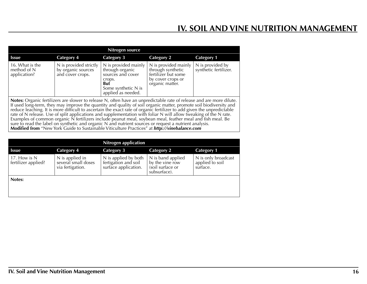# **IV. SOIL AND VINE NUTRITION MANAGEMENT**

| Nitrogen source                                                                                                                                                                                                                                                                                                                                                                                                                                                                                                                                                                                                                                                                                                          |                                                                  |                                                                                                                                   |                                                                                                          |                                           |
|--------------------------------------------------------------------------------------------------------------------------------------------------------------------------------------------------------------------------------------------------------------------------------------------------------------------------------------------------------------------------------------------------------------------------------------------------------------------------------------------------------------------------------------------------------------------------------------------------------------------------------------------------------------------------------------------------------------------------|------------------------------------------------------------------|-----------------------------------------------------------------------------------------------------------------------------------|----------------------------------------------------------------------------------------------------------|-------------------------------------------|
| <b>Issue</b>                                                                                                                                                                                                                                                                                                                                                                                                                                                                                                                                                                                                                                                                                                             | <b>Category 4</b>                                                | <b>Category 3</b>                                                                                                                 | <b>Category 2</b>                                                                                        | <b>Category 1</b>                         |
| 16. What is the<br>method of N<br>application?                                                                                                                                                                                                                                                                                                                                                                                                                                                                                                                                                                                                                                                                           | N is provided strictly<br>by organic sources<br>and cover crops. | N is provided mainly<br>through organic<br>sources and cover<br>crops.<br><b>But</b><br>Some synthetic N is<br>applied as needed. | N is provided mainly<br>through synthetic<br>fertilizer but some<br>by cover crops or<br>organic matter. | N is provided by<br>synthetic fertilizer. |
| <b>Notes:</b> Organic fertilizers are slower to release N, often have an unpredictable rate of release and are more dilute.<br>If used long-term, they may improve the quantity and quality of soil organic matter, promote soil biodiversity and<br>reduce leaching. It is more difficult to ascertain the exact rate of organic fertilizer to add given the unpredictable<br>rate of N release. Use of split applications and supplementation with foliar N will allow tweaking of the N rate.<br>Examples of common organic N fertilizers include peanut meal, soybean meal, feather meal and fish meal. Be<br>sure to read the label on synthetic and organic N and nutrient sources or request a nutrient analysis. |                                                                  |                                                                                                                                   |                                                                                                          |                                           |

**Modified from** "New York Guide to Sustainable Viticulture Practices" at *http://vinebalance.com*

| <b>Nitrogen application</b>         |                                                            |                                                                      |                                                                          |                                                    |
|-------------------------------------|------------------------------------------------------------|----------------------------------------------------------------------|--------------------------------------------------------------------------|----------------------------------------------------|
| <b>Issue</b>                        | Category 4                                                 | Category 3                                                           | <b>Category 2</b>                                                        | <b>Category 1</b>                                  |
| 17. How is N<br>fertilizer applied? | N is applied in<br>several small doses<br>via fertigation. | N is applied by both<br>fertigation and soil<br>surface application. | N is band applied<br>by the vine row<br>(soil surface or<br>subsurface). | N is only broadcast<br>applied to soil<br>surface. |
| Notes:                              |                                                            |                                                                      |                                                                          |                                                    |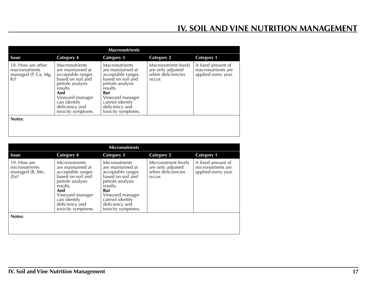# **IV. SOIL AND VINE NUTRITION MANAGEMENT**

| <b>Macronutrients</b>                                                |                                                                                                                                                                                                         |                                                                                                                                                                                                     |                                                                          |                                                                |
|----------------------------------------------------------------------|---------------------------------------------------------------------------------------------------------------------------------------------------------------------------------------------------------|-----------------------------------------------------------------------------------------------------------------------------------------------------------------------------------------------------|--------------------------------------------------------------------------|----------------------------------------------------------------|
| <b>Issue</b>                                                         | <b>Category 4</b>                                                                                                                                                                                       | <b>Category 3</b>                                                                                                                                                                                   | <b>Category 2</b>                                                        | <b>Category 1</b>                                              |
| 18. How are other<br>macronutrients<br>managed (P, Ca, Mg,<br>$K$ )? | <b>Macronutrients</b><br>are maintained at<br>acceptable ranges<br>based on soil and<br>petiole analysis<br>results.<br>And<br>Vineyard manager<br>can identify<br>deficiency and<br>toxicity symptoms. | Macronutrients<br>are maintained at<br>acceptable ranges<br>based on soil and<br>petiole analysis<br>results.<br>But<br>Vineyard manager<br>cannot identify<br>deficiency and<br>toxicity symptoms. | Macronutrient levels<br>are only adjusted<br>when deficiencies<br>occur. | A fixed amount of<br>macronutrients are<br>applied every year. |
| Notes:                                                               |                                                                                                                                                                                                         |                                                                                                                                                                                                     |                                                                          |                                                                |
|                                                                      |                                                                                                                                                                                                         |                                                                                                                                                                                                     |                                                                          |                                                                |

| <b>Micronutrients</b>                                      |                                                                                                                                                                                                  |                                                                                                                                                                                                     |                                                                          |                                                                |
|------------------------------------------------------------|--------------------------------------------------------------------------------------------------------------------------------------------------------------------------------------------------|-----------------------------------------------------------------------------------------------------------------------------------------------------------------------------------------------------|--------------------------------------------------------------------------|----------------------------------------------------------------|
| <b>Issue</b>                                               | <b>Category 4</b>                                                                                                                                                                                | <b>Category 3</b>                                                                                                                                                                                   | <b>Category 2</b>                                                        | <b>Category 1</b>                                              |
| 19. How are<br>micronutrients<br>managed (B, Mn,<br>$Zn$ ? | Micronutrients<br>are maintained at<br>acceptable ranges<br>based on soil and<br>petiole analysis<br>results.<br>And<br>Vineyard manager<br>can identify<br>deficiency and<br>toxicity symptoms. | Micronutrients<br>are maintained at<br>acceptable ranges<br>based on soil and<br>petiole analysis<br>results.<br>But<br>Vineyard manager<br>cannot identify<br>deficiency and<br>toxicity symptoms. | Micronutrient levels<br>are only adjusted<br>when deficiencies<br>occur. | A fixed amount of<br>micronutrients are<br>applied every year. |
| Notes:                                                     |                                                                                                                                                                                                  |                                                                                                                                                                                                     |                                                                          |                                                                |
|                                                            |                                                                                                                                                                                                  |                                                                                                                                                                                                     |                                                                          |                                                                |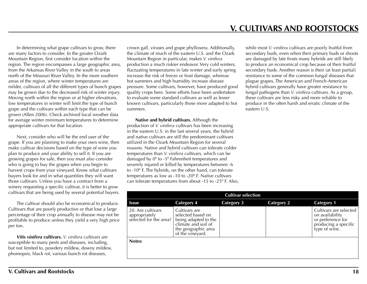**V. CULTIVARS AND ROOTSTOCKS** 

<span id="page-18-0"></span>In determining what grape cultivars to grow, there are many factors to consider. In the greater Ozark Mountain Region, first consider location within the region. The region encompasses a large geographic area, from the Arkansas River Valley in the south to areas north of the Missouri River Valley. In the more southern areas of the region, where winter temperatures are milder, cultivars of all the different types of bunch grapes may be grown due to the decreased risk of winter injury. Moving north within the region or at higher elevations, low temperatures in winter will limit the type of bunch grape and the cultivars within each type that can be grown (Allen 2006). Check archived local weather data for average winter minimum temperatures to determine appropriate cultivars for that location.

Next, consider who will be the end user of the grape. If you are planning to make your own wine, then make cultivar decisions based on the type of wine you plan to produce and your ability to sell it. If you are growing grapes for sale, then you must also consider who is going to buy the grapes when you begin to harvest crops from your vineyard. Know what cultivars buyers look for and in what quantities they will want those cultivars. Unless you have a contract from a winery requesting a specific cultivar, it is better to grow cultivars that are being used by several potential buyers.

The cultivar should also be economical to produce. Cultivars that are poorly productive or that lose a large percentage of their crop annually to disease may not be profitable to produce unless they yield a very high price per ton.

*Vitis vinifera* **cultivars.** *V. vinifera* cultivars are susceptible to many pests and diseases, including, but not limited to, powdery mildew, downy mildew, phomopsis, black rot, various bunch rot diseases,

crown gall, viruses and grape phylloxera. Additionally, the climate of much of the eastern U.S. and the Ozark Mountain Region in particular, makes *V. vinifera* production a much riskier endeavor. Very cold winters, fluctuating temperatures in late winter and early spring increase the risk of freeze or frost damage, whereas hot summers and high humidity increase disease pressure. Some cultivars, however, have produced good quality crops here. Some efforts have been undertaken to evaluate some standard cultivars as well as lesser known cultivars, particularly those more adapted to hot summers.

**Native and hybrid cultivars.** Although the production of *V. vinifera* cultivars has been increasing in the eastern U.S. in the last several years, the hybrid and native cultivars are still the predominant cultivars utilized in the Ozark Mountain Region for several reasons. Native and hybrid cultivars can tolerate colder temperatures than *V. vinifera* cultivars, which can be damaged by 0º to -5º Fahrenheit temperatures and severely injured or killed by temperatures between -6 to -10º F. The hybrids, on the other hand, can tolerate temperatures as low as -10 to -20º F. Native cultivars can tolerate temperatures from about -15 to -25º F. Also, while most *V. vinifera* cultivars are poorly fruitful from secondary buds, even when their primary buds or shoots are damaged by late frosts many hybrids are still likely to produce an economical crop because of their fruitful secondary buds. Another reason is their (at least partial) resistance to some of the common fungal diseases that plague grapes. The American and French-American hybrid cultivars generally have greater resistance to fungal pathogens than *V. vinifera* cultivars. As a group, these cultivars are less risky and more reliable to produce in the often harsh and erratic climate of the eastern U.S.

| <b>Cultivar selection</b>                                    |                                                                                                                              |                   |            |                                                                                                         |
|--------------------------------------------------------------|------------------------------------------------------------------------------------------------------------------------------|-------------------|------------|---------------------------------------------------------------------------------------------------------|
| <b>Issue</b>                                                 | <b>Category 4</b>                                                                                                            | <b>Category 3</b> | Category 2 | <b>Category 1</b>                                                                                       |
| 20. Are cultivars<br>appropriately<br>selected for the area? | Cultivars are<br>selected based on<br>being adapted to the<br>climate and soil of<br>the geographic area<br>of the vineyard. |                   |            | Cultivars are selected<br>on availability<br>or preference for<br>producing a specific<br>type of wine. |
| Notes:                                                       |                                                                                                                              |                   |            |                                                                                                         |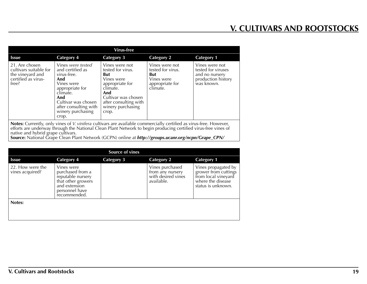| Virus-free                                                                                   |                                                                                                                                                                                               |                                                                                                                                                                              |                                                                                         |                                                                                            |
|----------------------------------------------------------------------------------------------|-----------------------------------------------------------------------------------------------------------------------------------------------------------------------------------------------|------------------------------------------------------------------------------------------------------------------------------------------------------------------------------|-----------------------------------------------------------------------------------------|--------------------------------------------------------------------------------------------|
| <b>Issue</b>                                                                                 | <b>Category 4</b>                                                                                                                                                                             | <b>Category 3</b>                                                                                                                                                            | <b>Category 2</b>                                                                       | <b>Category 1</b>                                                                          |
| 21. Are chosen<br>cultivars suitable for<br>the vineyard and<br>certified as virus-<br>free? | Vines were tested<br>and certified as<br>virus-free.<br>And<br>Vines were<br>appropriate for<br>climate.<br>And<br>Cultivar was chosen<br>after consulting with<br>winery purchasing<br>crop. | Vines were not<br>tested for virus.<br>But<br>Vines were<br>appropriate for<br>climate.<br>And<br>Cultivar was chosen<br>after consulting with<br>winery purchasing<br>crop. | Vines were not<br>tested for virus.<br>But<br>Vines were<br>appropriate for<br>climate. | Vines were not<br>tested for viruses<br>and no nursery<br>production history<br>was known. |
|                                                                                              | Notes: Currently, only vines of <i>V</i> viniters cultivars are available commercially certified as virus free However                                                                        |                                                                                                                                                                              |                                                                                         |                                                                                            |

**Notes:** Currently, only vines of *V. vinifera* cultivars are available commercially certified as virus-free. However, efforts are underway through the National Clean Plant Network to begin producing certified virus-free vines of native and hybrid grape cultivars. **Source:** National Grape Clean Plant Network (GCPN) online at *http://groups.ucanr.org/ncpn/Grape\_CPN/*

|                                     |                                                                                                                              | <b>Source of vines</b> |                                                                         |                                                                                                               |
|-------------------------------------|------------------------------------------------------------------------------------------------------------------------------|------------------------|-------------------------------------------------------------------------|---------------------------------------------------------------------------------------------------------------|
| <b>Issue</b>                        | <b>Category 4</b>                                                                                                            | <b>Category 3</b>      | <b>Category 2</b>                                                       | <b>Category 1</b>                                                                                             |
| 22. How were the<br>vines acquired? | Vines were<br>purchased from a<br>reputable nursery<br>that other growers<br>and extension<br>personnel have<br>recommended. |                        | Vines purchased<br>from any nursery<br>with desired vines<br>available. | Vines propagated by<br>grower from cuttings<br>from local vineyard<br>where the disease<br>status is unknown. |
| Notes:                              |                                                                                                                              |                        |                                                                         |                                                                                                               |
|                                     |                                                                                                                              |                        |                                                                         |                                                                                                               |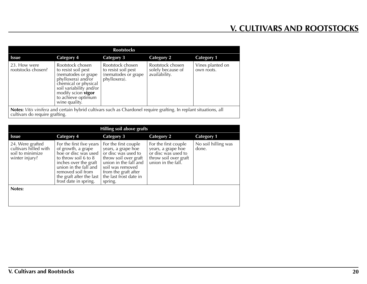| <b>Rootstocks</b>                                                                                                                                   |                                                                                                                                                                                                             |                                                                                |                                                        |                                |
|-----------------------------------------------------------------------------------------------------------------------------------------------------|-------------------------------------------------------------------------------------------------------------------------------------------------------------------------------------------------------------|--------------------------------------------------------------------------------|--------------------------------------------------------|--------------------------------|
| <b>Issue</b>                                                                                                                                        | Category 4                                                                                                                                                                                                  | <b>Category 3</b>                                                              | <b>Category 2</b>                                      | <b>Category 1</b>              |
| 23. How were<br>rootstocks chosen?                                                                                                                  | Rootstock chosen<br>to resist soil pest<br>(nematodes or grape<br>phylloxera) and/or<br>chemical or physical<br>soil variability and/or<br>modify scion <b>vigor</b><br>to achieve optimum<br>wine quality. | Rootstock chosen<br>to resist soil pest<br>(nematodes or grape<br>phylloxera). | Rootstock chosen<br>solely because of<br>availability. | Vines planted on<br>own roots. |
| Notes: Vitis vinifera and certain hybrid cultivars such as Chardonel require grafting. In replant situations, all<br>cultivars do require grafting. |                                                                                                                                                                                                             |                                                                                |                                                        |                                |

| Hilling soil above grafts                                                       |                                                                                                                                                                                                                                    |                                                                                                                                                                                                      |                                                                                                                  |                              |
|---------------------------------------------------------------------------------|------------------------------------------------------------------------------------------------------------------------------------------------------------------------------------------------------------------------------------|------------------------------------------------------------------------------------------------------------------------------------------------------------------------------------------------------|------------------------------------------------------------------------------------------------------------------|------------------------------|
| <b>Issue</b>                                                                    | Category 4                                                                                                                                                                                                                         | <b>Category 3</b>                                                                                                                                                                                    | <b>Category 2</b>                                                                                                | <b>Category 1</b>            |
| 24. Were grafted<br>cultivars hilled with<br>soil to minimize<br>winter injury? | For the first five years<br>of growth, a grape<br>hoe or disc was used $\vert$<br>to throw soil 6 to 8<br>inches over the graft<br>union in the fall and<br>removed soil from<br>the graft after the last<br>frost date in spring. | For the first couple<br>years, a grape hoe<br>or disc was used to<br>throw soil over graft<br>union in the fall and<br>soil was removed<br>from the graft after<br>the last frost date in<br>spring. | For the first couple<br>years, a grape hoe<br>or disc was used to<br>throw soil over graft<br>union in the fall. | No soil hilling was<br>done. |
| Notes:                                                                          |                                                                                                                                                                                                                                    |                                                                                                                                                                                                      |                                                                                                                  |                              |
|                                                                                 |                                                                                                                                                                                                                                    |                                                                                                                                                                                                      |                                                                                                                  |                              |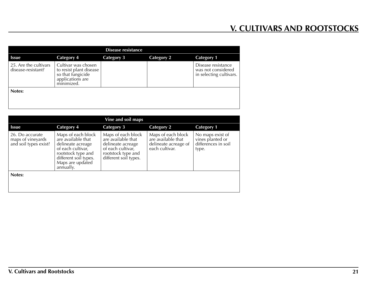| Disease resistance                          |                                                                                                       |                   |                   |                                                                     |
|---------------------------------------------|-------------------------------------------------------------------------------------------------------|-------------------|-------------------|---------------------------------------------------------------------|
| Issue                                       | <b>Category 4</b>                                                                                     | <b>Category 3</b> | <b>Category 2</b> | <b>Category 1</b>                                                   |
| 25. Are the cultivars<br>disease-resistant? | Cultivar was chosen<br>to resist plant disease<br>so that fungicide<br>applications are<br>minimized. |                   |                   | Disease resistance<br>was not considered<br>in selecting cultivars. |
| Notes:                                      |                                                                                                       |                   |                   |                                                                     |
|                                             |                                                                                                       |                   |                   |                                                                     |

| Vine and soil maps                                            |                                                                                                                                                                    |                                                                                                                                   |                                                                                    |                                                                      |
|---------------------------------------------------------------|--------------------------------------------------------------------------------------------------------------------------------------------------------------------|-----------------------------------------------------------------------------------------------------------------------------------|------------------------------------------------------------------------------------|----------------------------------------------------------------------|
| <b>Issue</b>                                                  | <b>Category 4</b>                                                                                                                                                  | <b>Category 3</b>                                                                                                                 | <b>Category 2</b>                                                                  | <b>Category 1</b>                                                    |
| 26. Do accurate<br>maps of vineyards<br>and soil types exist? | Maps of each block<br>are available that<br>delineate acreage<br>of each cultivar,<br>rootstock type and<br>different soil types.<br>Maps are updated<br>annually. | Maps of each block<br>are available that<br>delineate acreage<br>of each cultivar,<br>rootstock type and<br>different soil types. | Maps of each block<br>are available that<br>delineate acreage of<br>each cultivar. | No maps exist of<br>vines planted or<br>differences in soil<br>type. |
| Notes:                                                        |                                                                                                                                                                    |                                                                                                                                   |                                                                                    |                                                                      |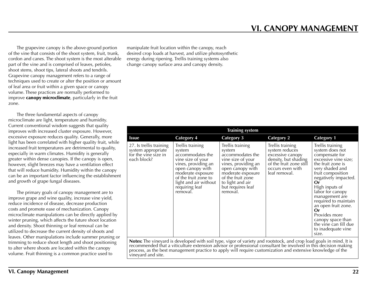<span id="page-22-0"></span>The grapevine canopy is the above-ground portion of the vine that consists of the shoot system, fruit, trunk, cordon and canes. The shoot system is the most alterable part of the vine and is comprised of leaves, petioles, shoot stems, shoot tips, lateral shoots and tendrils. Grapevine canopy management refers to a range of techniques used to create or alter the position or amount of leaf area or fruit within a given space or canopy volume. These practices are normally performed to improve **canopy microclimate**, particularly in the fruit zone.

The three fundamental aspects of canopy microclimate are light, temperature and humidity. Current conventional wisdom suggests that quality improves with increased cluster exposure. However, excessive exposure reduces quality. Generally, more light has been correlated with higher quality fruit, while increased fruit temperatures are detrimental to quality, especially in warm climates. Humidity is generally greater within dense canopies. If the canopy is open, however, slight breezes may have a ventilation effect that will reduce humidity. Humidity within the canopy can be an important factor influencing the establishment and growth of grape fungal diseases.

The primary goals of canopy management are to improve grape and wine quality, increase vine yield, reduce incidence of disease, decrease production costs and promote ease of mechanization. Canopy microclimate manipulations can be directly applied by winter pruning, which affects the future shoot location and density. Shoot thinning or leaf removal can be utilized to decrease the current density of shoots and leaves. Other manipulations include summer pruning or trimming to reduce shoot length and shoot positioning to alter where shoots are located within the canopy volume. Fruit thinning is a common practice used to

manipulate fruit location within the canopy, reach desired crop loads at harvest, and utilize photosynthetic energy during ripening. Trellis training systems also change canopy surface area and canopy density.

|                                                                                      | <b>Training system</b>                                                                                                                                                                                             |                                                                                                                                                                                                               |                                                                                                                                                |                                                                                                                                                                                                                                                                                                                                                                                     |  |  |
|--------------------------------------------------------------------------------------|--------------------------------------------------------------------------------------------------------------------------------------------------------------------------------------------------------------------|---------------------------------------------------------------------------------------------------------------------------------------------------------------------------------------------------------------|------------------------------------------------------------------------------------------------------------------------------------------------|-------------------------------------------------------------------------------------------------------------------------------------------------------------------------------------------------------------------------------------------------------------------------------------------------------------------------------------------------------------------------------------|--|--|
| <b>Issue</b>                                                                         | <b>Category 4</b>                                                                                                                                                                                                  | <b>Category 3</b>                                                                                                                                                                                             | <b>Category 2</b>                                                                                                                              | <b>Category 1</b>                                                                                                                                                                                                                                                                                                                                                                   |  |  |
| 27. Is trellis training<br>system appropriate<br>for the vine size in<br>each block? | Trellis training<br>system<br>accommodates the<br>vine size of your<br>vines, providing an<br>open canopy with<br>moderate exposure<br>of the fruit zone to<br>light and air without<br>requiring leaf<br>removal. | Trellis training<br>system<br>accommodates the<br>vine size of your<br>vines, providing an<br>open canopy with<br>moderate exposure<br>of the fruit zone<br>to light and air<br>but requires leaf<br>removal. | Trellis training<br>system reduces<br>excessive canopy<br>density, but shading<br>of the fruit zone still<br>occurs even with<br>leaf removal. | Trellis training<br>system does not<br>compensate for<br>excessive vine size;<br>the fruit zone is<br>very shaded and<br>fruit composition<br>negatively impacted.<br>Or<br>High inputs of<br>labor for canopy<br>management are<br>required to maintain<br>an open fruit zone.<br>Or<br>Provides more<br>canopy space than<br>the vine can fill due<br>to inadequate vine<br>size. |  |  |
|                                                                                      | <b>Notes:</b> The vinevard is developed with soil type, vigor of variety and rootstock, and crop load goals in mind. It is                                                                                         |                                                                                                                                                                                                               |                                                                                                                                                |                                                                                                                                                                                                                                                                                                                                                                                     |  |  |

**Notes:** The vineyard is developed with soil type, vigor of variety and rootstock, and crop load goals in mind. It is recommended that a viticulture extension advisor or professional consultant be involved in this decision making process, as the best management practice to apply will require customization and extensive knowledge of the vineyard and site.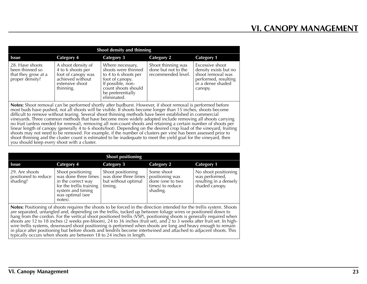| Shoot density and thinning                                                                                                                                                                                                                                                                                                                                                                                                                                                                                                                                                                                                                                                                                                                                                                                                                                                                                                                                                       |                                                                                                                   |                                                                                                                                                                    |                                                                 |                                                                                                                       |
|----------------------------------------------------------------------------------------------------------------------------------------------------------------------------------------------------------------------------------------------------------------------------------------------------------------------------------------------------------------------------------------------------------------------------------------------------------------------------------------------------------------------------------------------------------------------------------------------------------------------------------------------------------------------------------------------------------------------------------------------------------------------------------------------------------------------------------------------------------------------------------------------------------------------------------------------------------------------------------|-------------------------------------------------------------------------------------------------------------------|--------------------------------------------------------------------------------------------------------------------------------------------------------------------|-----------------------------------------------------------------|-----------------------------------------------------------------------------------------------------------------------|
| <b>Issue</b>                                                                                                                                                                                                                                                                                                                                                                                                                                                                                                                                                                                                                                                                                                                                                                                                                                                                                                                                                                     | <b>Category 4</b>                                                                                                 | Category 3                                                                                                                                                         | Category 2                                                      | <b>Category 1</b>                                                                                                     |
| 28. Have shoots<br>been thinned so<br>that they grow at a<br>proper density?                                                                                                                                                                                                                                                                                                                                                                                                                                                                                                                                                                                                                                                                                                                                                                                                                                                                                                     | A shoot density of<br>4 to 6 shoots per<br>foot of canopy was<br>achieved without<br>extensive shoot<br>thinning. | Where necessary,<br>shoots were thinned<br>to 4 to 6 shoots per<br>foot of canopy.<br>If possible, non-<br>count shoots should<br>be preferentially<br>eliminated. | Shoot thinning was<br>done but not to the<br>recommended level. | Excessive shoot<br>density exists but no<br>shoot removal was<br>performed, resulting<br>in a dense shaded<br>canopy. |
| Notes: Shoot removal can be performed shortly after budburst. However, if shoot removal is performed before most buds have pushed, not all shoots will be visible. If shoots become longer than 15 inches, shoots become<br>difficult to remove without tearing. Several shoot thinning methods have been established in commercial<br>vineyards. Three common methods that have become more widely adopted include removing all shoots carrying<br>no fruit (unless needed for renewal), removing all non-count shoots and retaining a certain number of shoots per<br>linear length of canopy (generally 4 to 6 shoots/foot). Depending on the desired crop load of the vineyard, fruiting<br>shoots may not need to be removed. For example, if the number of clusters per vine has been assessed prior to<br>shoot thinning and the cluster count is estimated to be inadequate to meet the yield goal for the vineyard, then<br>you should keep every shoot with a cluster. |                                                                                                                   |                                                                                                                                                                    |                                                                 |                                                                                                                       |

|                                                    | <b>Shoot positioning</b>                                                                                                                        |                                                                             |                                                                                   |                                                                                    |  |  |
|----------------------------------------------------|-------------------------------------------------------------------------------------------------------------------------------------------------|-----------------------------------------------------------------------------|-----------------------------------------------------------------------------------|------------------------------------------------------------------------------------|--|--|
| <b>Issue</b>                                       | Category 4                                                                                                                                      | Category 3                                                                  | <b>Category 2</b>                                                                 | <b>Category 1</b>                                                                  |  |  |
| 29. Are shoots<br>positioned to reduce<br>shading? | Shoot positioning<br>was done three times<br>in the correct way<br>for the trellis training<br>system and timing<br>was optimal (see<br>notes). | Shoot positioning<br>was done three times<br>but without optimal<br>timing. | Some shoot<br>positioning was<br>done (one to two<br>times) to reduce<br>shading. | No shoot positioning<br>was performed,<br>resulting in a densely<br>shaded canopy. |  |  |

**Notes:** Positioning of shoots requires the shoots to be forced in the direction intended for the trellis system. Shoots<br>are separated, untangled and, depending on the trellis, tucked up between foliage wires or positioned hang from the cordon. For the vertical shoot positioned trellis (VSP), positioning shoots is generally required when shoots are 12 to 18 inches (2 weeks pre-bloom), 24 to 36 inches (fruit set), and 2 to 3 weeks after fruit set. In highwire trellis systems, downward shoot positioning is performed when shoots are long and heavy enough to remain in place after positioning but before shoots and tendrils become intertwined and attached to adjacent shoots. This typically occurs when shoots are between 18 to 24 inches in length.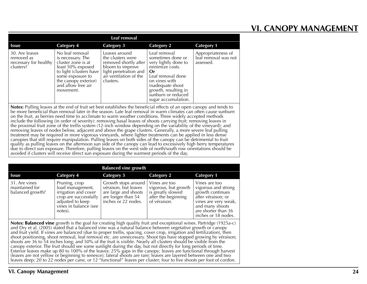# **VI. CANOPY MANAGEMENT**

| Leaf removal                                                                                                                                                                                                                                                                                                                                                                                                                                                             |                                                                                                                                                                                           |                                                                                                                                                 |                                                                                                                                                                                                                   |                                                         |
|--------------------------------------------------------------------------------------------------------------------------------------------------------------------------------------------------------------------------------------------------------------------------------------------------------------------------------------------------------------------------------------------------------------------------------------------------------------------------|-------------------------------------------------------------------------------------------------------------------------------------------------------------------------------------------|-------------------------------------------------------------------------------------------------------------------------------------------------|-------------------------------------------------------------------------------------------------------------------------------------------------------------------------------------------------------------------|---------------------------------------------------------|
| <b>Issue</b>                                                                                                                                                                                                                                                                                                                                                                                                                                                             | <b>Category 4</b>                                                                                                                                                                         | Category 3                                                                                                                                      | Category 2                                                                                                                                                                                                        | <b>Category 1</b>                                       |
| 30. Are leaves<br>removed as<br>necessary for healthy<br>clusters?                                                                                                                                                                                                                                                                                                                                                                                                       | No leaf removal<br>is necessary. The<br>cluster zone is at<br>least 50% exposed<br>to light (clusters have<br>some exposure to<br>the canopy exterior)<br>and allow free air<br>movement. | Leaves around<br>the clusters were<br>removed shortly after<br>bloom to improve<br>light penetration and<br>air ventilation of the<br>clusters. | Leaf removal<br>sometimes done or<br>very lightly done to<br>minimize costs.<br>0r<br>Leaf removal done<br>on vines with<br>inadequate shoot<br>growth, resulting in<br>sunburn or reduced<br>sugar accumulation. | Appropriateness of<br>leaf removal was not<br>assessed. |
| Notes: Pulling leaves at the end of fruit set best establishes the beneficial effects of an open canopy and tends to<br>be more beneficial than removal later in the season. Late leaf removal in warm climates can often cause sunburn<br>on the fruit, as berries need time to acclimate to warm weather conditions. Three widely accepted methods<br>include the following (in order of severity): removing basal leaves of shoots carrying fruit; removing leaves in |                                                                                                                                                                                           |                                                                                                                                                 |                                                                                                                                                                                                                   |                                                         |

the proximal fruit zone of the trellis system (12-inch window depending on the variability of the vineyard); and removing leaves of nodes below, adjacent and above the grape clusters. Generally, a more severe leaf pulling treatment may be required in more vigorous vineyards, where lighter treatments can be applied in less dense canopies that still require manipulation. Pulling leaves on both sides of the canopy can be detrimental to fruit quality as pulling leaves on the afternoon sun side of the canopy can lead to excessively high berry temperatures due to direct sun exposure. Therefore, pulling leaves on the west side of north/south row orientations should be avoided if clusters will receive direct sun exposure during the warmest periods of the day.

| <b>Balanced vine growth</b>                         |                                                                                                                                            |                                                                                                                  |                                                                                                   |                                                                                                                                                                         |
|-----------------------------------------------------|--------------------------------------------------------------------------------------------------------------------------------------------|------------------------------------------------------------------------------------------------------------------|---------------------------------------------------------------------------------------------------|-------------------------------------------------------------------------------------------------------------------------------------------------------------------------|
| <b>Issue</b>                                        | Category 4                                                                                                                                 | <b>Category 3</b>                                                                                                | <b>Category 2</b>                                                                                 | <b>Category 1</b>                                                                                                                                                       |
| 31. Are vines<br>maintained for<br>balanced growth? | Pruning, crop<br>load management,<br>irrigation and cover<br>crop are successfully<br>adjusted to keep<br>vines in balance (see<br>notes). | Growth stops around<br>véraison, but leaves<br>are large and shoots<br>are longer than 54<br>inches or 22 nodes. | Vines are too<br>vigorous, but growth<br>is greatly slowed<br>after the beginning<br>of véraison. | Vines are too<br>vigorous and strong<br>growth continues<br>after véraison; or<br>vines are very weak,<br>and many shoots<br>are shorter than 36<br>inches or 18 nodes. |

**Notes: Balanced vine** growth is the goal for creating high quality fruit and exceptional wines. Partridge (1925a-c) and Dry et al. (2005) stated that a balanced vine was a natural balance between vegetative growth or cano and fruit yield. If vines are balanced (due to proper trellis, spacing, cover crop, irrigation and fertilization), then shoot positioning, shoot removal, leaf removal etc. are unnecessary. Shoot tips have stopped growing by véraison; shoots are 36 to 54 inches long; and 50% of the fruit is visible. Nearly all clusters should be visible from the canopy exterior. The fruit should see some sunlight during the day, but not directly for long periods of time. Exterior leaves make up 80 to 100% of the leaves; 25% gaps in the canopy; leaves are functional through harvest (leaves are not yellow or beginning to senesce); lateral shoots are rare; leaves are layered between one and two leaves deep; 20 to 22 nodes per cane, or 12 "functional" leaves per cluster; four to five shoots per foot of cordon.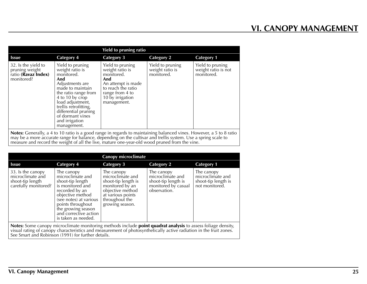|                                                                            | <b>Yield to pruning ratio</b>                                                                                                                                                                                                                                        |                                                                                                                                                            |                                                   |                                                       |  |
|----------------------------------------------------------------------------|----------------------------------------------------------------------------------------------------------------------------------------------------------------------------------------------------------------------------------------------------------------------|------------------------------------------------------------------------------------------------------------------------------------------------------------|---------------------------------------------------|-------------------------------------------------------|--|
| <b>Issue</b>                                                               | <b>Category 4</b>                                                                                                                                                                                                                                                    | <b>Category 3</b>                                                                                                                                          | <b>Category 2</b>                                 | <b>Category 1</b>                                     |  |
| 32. Is the yield to<br>pruning weight<br>ratio (Ravaz Index)<br>monitored? | Yield to pruning<br>weight ratio is<br>monitored.<br>And<br>Adjustments are<br>made to maintain<br>the ratio range from<br>4 to 10 by crop<br>load adjustment,<br>trellis retrofitting,<br>differential pruning<br>of dormant vines<br>and irrigation<br>management. | Yield to pruning<br>weight ratio is<br>monitored.<br>And<br>An attempt is made<br>to reach the ratio<br>range from 4 to<br>10 by irrigation<br>management. | Yield to pruning<br>weight ratio is<br>monitored. | Yield to pruning<br>weight ratio is not<br>monitored. |  |
|                                                                            | Notes Capacully a 4 to 10 ratio is a good range in regards to maintaining belanged vines. However, a 5 to 9 ratio                                                                                                                                                    |                                                                                                                                                            |                                                   |                                                       |  |

**Notes:** Generally, a 4 to 10 ratio is a good range in regards to maintaining balanced vines. However, a 5 to 8 ratio may be a more accurate range for balance, depending on the cultivar and trellis system. Use a spring scale to measure and record the weight of all the live, mature one-year-old wood pruned from the vine.

| <b>Canopy microclimate</b>                                                                                        |                                                                                                                                                                                                                                   |                                                                                                                                                        |                                                                                              |                                                                         |
|-------------------------------------------------------------------------------------------------------------------|-----------------------------------------------------------------------------------------------------------------------------------------------------------------------------------------------------------------------------------|--------------------------------------------------------------------------------------------------------------------------------------------------------|----------------------------------------------------------------------------------------------|-------------------------------------------------------------------------|
| <b>Issue</b>                                                                                                      | <b>Category 4</b>                                                                                                                                                                                                                 | <b>Category 3</b>                                                                                                                                      | <b>Category 2</b>                                                                            | <b>Category 1</b>                                                       |
| 33. Is the canopy<br>microclimate and<br>shoot-tip length<br>carefully monitored?                                 | The canopy<br>microclimate and<br>shoot-tip length<br>is monitored and<br>recorded by an<br>objective method<br>(see notes) at various<br>points throughout<br>the growing season<br>and corrective action<br>is taken as needed. | The canopy<br>microclimate and<br>shoot-tip length is<br>monitored by an<br>objective method<br>at various points<br>throughout the<br>growing season. | The canopy<br>microclimate and<br>shoot-tip length is<br>monitored by casual<br>observation. | The canopy<br>microclimate and<br>shoot-tip length is<br>not monitored. |
| Alatan Canadian internationalism and manufacture marked the budget and manufacture in the fact of the contraction |                                                                                                                                                                                                                                   |                                                                                                                                                        |                                                                                              |                                                                         |

**Notes:** Some canopy microclimate monitoring methods include **point quadrat analysis** to assess foliage density,<br>visual rating of canopy characteristics and measurement of photosynthetically active radiation in the fruit z See Smart and Robinson (1991) for further details.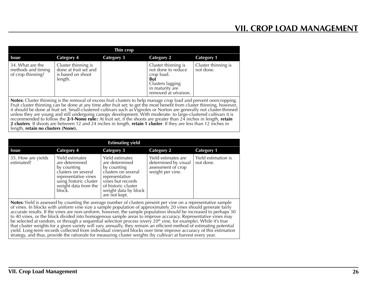<span id="page-26-0"></span>

|                                                             |                                                                                                                           | Thin crop         |                                                                                                                                      |                                  |
|-------------------------------------------------------------|---------------------------------------------------------------------------------------------------------------------------|-------------------|--------------------------------------------------------------------------------------------------------------------------------------|----------------------------------|
| <b>Issue</b>                                                | Category 4                                                                                                                | <b>Category 3</b> | <b>Category 2</b>                                                                                                                    | <b>Category 1</b>                |
| 34. What are the<br>methods and timing<br>of crop thinning? | Cluster thinning is<br>done at fruit set and<br>is based on shoot<br>length.                                              |                   | Cluster thinning is<br>not done to reduce<br>crop load.<br><b>But</b><br>Clusters lagging<br>in maturity are<br>removed at véraison. | Cluster thinning is<br>not done. |
|                                                             | <b>Notes:</b> Cluster thinning is the removal of excess fruit clusters to help manage crop load and prevent overcropping. |                   |                                                                                                                                      |                                  |

**Notes:** Cluster thinning is the removal of excess fruit clusters to help manage crop load and prevent overcropping. Fruit cluster thinning can be done at any time after fruit set; to get the most benefit from cluster thinning, however, it should be done at fruit set. Small-clustered cultivars such as Vignoles or Norton are generally not cluster-thinned unless they are young and still undergoing canopy development. With moderate- to large-clustered cultivars it is recommended to follow the 2-1-None rule: At fruit set, if the shoots are greater than 24 inches in length, **retain 2 clusters**. If shoots are between 12 and 24 inches in length, **retain 1 cluster**. If they are less than 12 inches in length, **retain no clusters (None).**

| <b>Estimating yield</b>          |                                                                                                                                                             |                                                                                                                                                                                |                                                                                       |                                  |
|----------------------------------|-------------------------------------------------------------------------------------------------------------------------------------------------------------|--------------------------------------------------------------------------------------------------------------------------------------------------------------------------------|---------------------------------------------------------------------------------------|----------------------------------|
| <b>Issue</b>                     | <b>Category 4</b>                                                                                                                                           | Category 3                                                                                                                                                                     | <b>Category 2</b>                                                                     | <b>Category 1</b>                |
| 35. How are yields<br>estimated? | Yield estimates<br>are determined<br>by counting<br>clusters on several<br>representative vines<br>using historic cluster<br>weight data from the<br>block. | Yield estimates<br>are determined<br>by counting<br>clusters on several<br>representative<br>vines but records<br>of historic cluster<br>weight data by block<br>are not kept. | Yield estimates are<br>determined by visual<br>assessment of crop<br>weight per vine. | Yield estimation is<br>not done. |
|                                  | Notes: Viald is assessed by counting the average number of clusters present per vine on a representative sample                                             |                                                                                                                                                                                |                                                                                       |                                  |

**Notes:** Yield is assessed by counting the average number of clusters present per vine on a representative sample of vines. In blocks with uniform vine size a sample population of approximately 20 vines should generate fai accurate results. If the vines are non-uniform, however, the sample population should be increased to perhaps 30 to 40 vines, or the block divided into homogenous sample areas to improve accuracy. Representative vines may be selected at random, or through a sequential selection process (every 20<sup>th</sup> vine, for example). While it's true that cluster weights for a given variety will vary annually, they remain an efficient method of estimating potential yield. Long-term records collected from individual vineyard blocks over time improve accuracy of this estimation strategy, and thus, provide the rationale for measuring cluster weights (by cultivar) at harvest every year.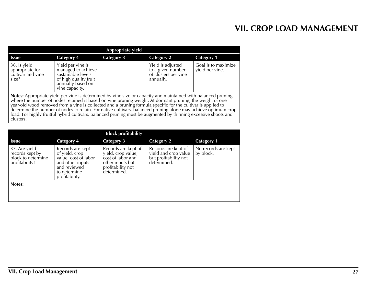| Appropriate yield                                                                                                                                                                                                                                                                                                                                                                                                                                                                                                                                                                           |                                                                                                                               |                   |                                                                             |                                        |
|---------------------------------------------------------------------------------------------------------------------------------------------------------------------------------------------------------------------------------------------------------------------------------------------------------------------------------------------------------------------------------------------------------------------------------------------------------------------------------------------------------------------------------------------------------------------------------------------|-------------------------------------------------------------------------------------------------------------------------------|-------------------|-----------------------------------------------------------------------------|----------------------------------------|
| <b>Issue</b>                                                                                                                                                                                                                                                                                                                                                                                                                                                                                                                                                                                | <b>Category 4</b>                                                                                                             | <b>Category 3</b> | <b>Category 2</b>                                                           | <b>Category 1</b>                      |
| 36. Is yield<br>appropriate for<br>cultivar and vine<br>size?                                                                                                                                                                                                                                                                                                                                                                                                                                                                                                                               | Yield per vine is<br>managed to achieve<br>sustainable levels<br>of high quality fruit<br>annually based on<br>vine capacity. |                   | Yield is adjusted<br>to a given number<br>of clusters per vine<br>annually. | Goal is to maximize<br>yield per vine. |
| Notes: Appropriate yield per vine is determined by vine size or capacity and maintained with balanced pruning, where the number of nodes retained is based on vine pruning weight. At dormant pruning, the weight of one-<br>year-old wood removed from a vine is collected and a pruning formula specific for the cultivar is applied to<br>determine the number of nodes to retain. For native cultivars, balanced pruning alone may achieve optimum crop<br>load. For highly fruitful hybrid cultivars, balanced pruning must be augmented by thinning excessive shoots and<br>clusters. |                                                                                                                               |                   |                                                                             |                                        |

| <b>Block profitability</b>                                               |                                                                                                                                  |                                                                                                                        |                                                                                     |                                  |
|--------------------------------------------------------------------------|----------------------------------------------------------------------------------------------------------------------------------|------------------------------------------------------------------------------------------------------------------------|-------------------------------------------------------------------------------------|----------------------------------|
| <b>Issue</b>                                                             | <b>Category 4</b>                                                                                                                | <b>Category 3</b>                                                                                                      | <b>Category 2</b>                                                                   | <b>Category 1</b>                |
| 37. Are yield<br>records kept by<br>block to determine<br>profitability? | Records are kept<br>of yield, crop<br>value, cost of labor<br>and other inputs<br>and reviewed<br>to determine<br>profitability. | Records are kept of<br>vield, crop value,<br>cost of labor and<br>other inputs but<br>profitability not<br>determined. | Records are kept of<br>yield and crop value<br>but profitability not<br>determined. | No records are kept<br>by block. |
| Notes:                                                                   |                                                                                                                                  |                                                                                                                        |                                                                                     |                                  |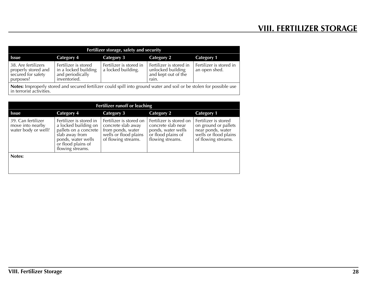<span id="page-28-0"></span>

| Fertilizer storage, safety and security                                       |                                                                                  |                                               |                                                                              |                                          |
|-------------------------------------------------------------------------------|----------------------------------------------------------------------------------|-----------------------------------------------|------------------------------------------------------------------------------|------------------------------------------|
| Issue                                                                         | Category 4                                                                       | Category 3                                    | Category 2                                                                   | Category 1                               |
| 38. Are fertilizers<br>properly stored and<br>secured for safety<br>purposes? | Fertilizer is stored<br>in a locked building<br>and periodically<br>inventoried. | Fertilizer is stored in<br>a locked building. | Fertilizer is stored in<br>unlocked building<br>and kept out of the<br>rain. | Fertilizer is stored in<br>an open shed. |

**Notes:** Improperly stored and secured fertilizer could spill into ground water and soil or be stolen for possible use in terrorist activities.

| <b>Fertilizer runoff or leaching</b>                          |                                                                                                                                                            |                                                                                                                    |                                                                                                               |                                                                                                                   |
|---------------------------------------------------------------|------------------------------------------------------------------------------------------------------------------------------------------------------------|--------------------------------------------------------------------------------------------------------------------|---------------------------------------------------------------------------------------------------------------|-------------------------------------------------------------------------------------------------------------------|
| <b>Issue</b>                                                  | Category 4                                                                                                                                                 | <b>Category 3</b>                                                                                                  | <b>Category 2</b>                                                                                             | <b>Category 1</b>                                                                                                 |
| 39. Can fertilizer<br>move into nearby<br>water body or well? | Fertilizer is stored in<br>a locked building on<br>pallets on a concrete<br>slab away from<br>ponds, water wells<br>or flood plains of<br>flowing streams. | Fertilizer is stored on<br>concrete slab away<br>from ponds, water<br>wells or flood plains<br>of flowing streams. | Fertilizer is stored on<br>concrete slab near<br>ponds, water wells<br>or flood plains of<br>flowing streams. | Fertilizer is stored<br>on ground or pallets<br>near ponds, water<br>wells or flood plains<br>of flowing streams. |
| Notes:                                                        |                                                                                                                                                            |                                                                                                                    |                                                                                                               |                                                                                                                   |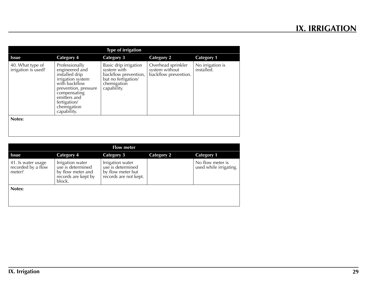<span id="page-29-0"></span>

| <b>Type of irrigation</b>               |                                                                                                                                                                                                |                                                                                                                   |                                                              |                                |
|-----------------------------------------|------------------------------------------------------------------------------------------------------------------------------------------------------------------------------------------------|-------------------------------------------------------------------------------------------------------------------|--------------------------------------------------------------|--------------------------------|
| <b>Issue</b>                            | <b>Category 4</b>                                                                                                                                                                              | <b>Category 3</b>                                                                                                 | <b>Category 2</b>                                            | <b>Category 1</b>              |
| 40. What type of<br>irrigation is used? | Professionally<br>engineered and<br>installed drip<br>irrigation system<br>with backflow<br>prevention, pressure<br>compensating<br>emitters and<br>fertigation/<br>chemigation<br>capability. | Basic drip irrigation<br>system with<br>backflow prevention,<br>but no fertigation/<br>chemigation<br>capability. | Overhead sprinkler<br>system without<br>backflow prevention. | No irrigation is<br>installed. |
| Notes:                                  |                                                                                                                                                                                                |                                                                                                                   |                                                              |                                |
|                                         |                                                                                                                                                                                                |                                                                                                                   |                                                              |                                |

| <b>Flow meter</b>                                  |                                                                                             |                                                                                     |                   |                                            |
|----------------------------------------------------|---------------------------------------------------------------------------------------------|-------------------------------------------------------------------------------------|-------------------|--------------------------------------------|
| <b>Issue</b>                                       | <b>Category 4</b>                                                                           | <b>Category 3</b>                                                                   | <b>Category 2</b> | <b>Category 1</b>                          |
| 41. Is water usage<br>recorded by a flow<br>meter? | Irrigation water<br>use is determined<br>by flow meter and<br>records are kept by<br>block. | Irrigation water<br>use is determined<br>by flow meter but<br>records are not kept. |                   | No flow meter is<br>used while irrigating. |
| Notes:                                             |                                                                                             |                                                                                     |                   |                                            |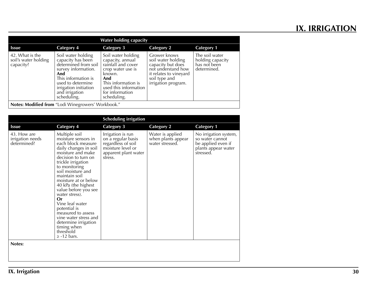| <b>Water holding capacity</b>                        |                                                                                                                                                                                                     |                                                                                                                                                                                      |                                                                                                                                                 |                                                                   |
|------------------------------------------------------|-----------------------------------------------------------------------------------------------------------------------------------------------------------------------------------------------------|--------------------------------------------------------------------------------------------------------------------------------------------------------------------------------------|-------------------------------------------------------------------------------------------------------------------------------------------------|-------------------------------------------------------------------|
| <b>Issue</b>                                         | <b>Category 4</b>                                                                                                                                                                                   | <b>Category 3</b>                                                                                                                                                                    | <b>Category 2</b>                                                                                                                               | <b>Category 1</b>                                                 |
| 42. What is the<br>soil's water holding<br>capacity? | Soil water holding<br>capacity has been<br>determined from soil<br>survey information.<br>And<br>This information is<br>used to determine<br>irrigation initiation<br>and irrigation<br>scheduling. | Soil water holding<br>capacity, annual<br>rainfall and cover<br>crop water use is<br>known.<br>And<br>This information is<br>used this information<br>for information<br>scheduling. | Grower knows<br>soil water holding<br>capacity but does<br>not understand how<br>it relates to vineyard<br>soil type and<br>irrigation program. | The soil water<br>holding capacity<br>has not been<br>determined. |
|                                                      | Notes: Modified from "Lodi Winegrowers' Workbook."                                                                                                                                                  |                                                                                                                                                                                      |                                                                                                                                                 |                                                                   |

| <b>Scheduling irrigation</b>                   |                                                                                                                                                                                                                                                                                                                                                                                                                                                                      |                                                                                                                       |                                                           |                                                                                                    |
|------------------------------------------------|----------------------------------------------------------------------------------------------------------------------------------------------------------------------------------------------------------------------------------------------------------------------------------------------------------------------------------------------------------------------------------------------------------------------------------------------------------------------|-----------------------------------------------------------------------------------------------------------------------|-----------------------------------------------------------|----------------------------------------------------------------------------------------------------|
| <b>Issue</b>                                   | <b>Category 4</b>                                                                                                                                                                                                                                                                                                                                                                                                                                                    | <b>Category 3</b>                                                                                                     | <b>Category 2</b>                                         | <b>Category 1</b>                                                                                  |
| 43. How are<br>irrigation needs<br>determined? | Multiple soil<br>moisture sensors in<br>each block measure<br>daily changes in soil<br>moisture and make<br>decision to turn on<br>trickle irrigation<br>to monitoring<br>soil moisture and<br>maintain soil<br>moisture at or below<br>40 kPa (the highest<br>value before you see<br>water stress).<br>Or<br>Vine leaf water<br>potential is<br>measured to assess<br>vine water stress and<br>determine irrigation<br>timing when<br>threshold<br>$\ge$ -12 bars. | Irrigation is run<br>on a regular basis<br>regardless of soil<br>moisture level or<br>apparent plant water<br>stress. | Water is applied<br>when plants appear<br>water stressed. | No irrigation system,<br>so water cannot<br>be applied even if<br>plants appear water<br>stressed. |
| Notes:                                         |                                                                                                                                                                                                                                                                                                                                                                                                                                                                      |                                                                                                                       |                                                           |                                                                                                    |
|                                                |                                                                                                                                                                                                                                                                                                                                                                                                                                                                      |                                                                                                                       |                                                           |                                                                                                    |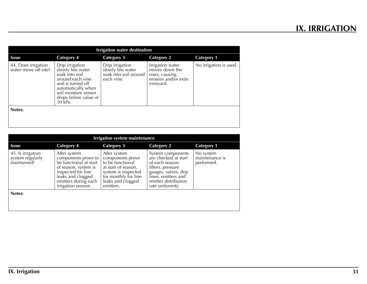| <b>Irrigation water destination</b>         |                                                                                                                                                                                  |                                                                             |                                                                                          |                        |  |
|---------------------------------------------|----------------------------------------------------------------------------------------------------------------------------------------------------------------------------------|-----------------------------------------------------------------------------|------------------------------------------------------------------------------------------|------------------------|--|
| <b>Issue</b>                                | <b>Category 4</b>                                                                                                                                                                | <b>Category 3</b>                                                           | <b>Category 2</b>                                                                        | <b>Category 1</b>      |  |
| 44. Does irrigation<br>water move off-site? | Drip irrigation<br>slowly lets water<br>soak into soil<br>around each vine<br>and is turned off<br>automatically when<br>soil moisture sensor<br>drops below value of<br>30 kPa. | Drip irrigation<br>slowly lets water<br>soak into soil around<br>each vine. | Irrigation water<br>moves down the<br>rows, causing<br>erosion and/or exits<br>vineyard. | No irrigation is used. |  |
| Notes:                                      |                                                                                                                                                                                  |                                                                             |                                                                                          |                        |  |

| <b>Irrigation system maintenance</b>                 |                                                                                                                                                                                 |                                                                                                                                                              |                                                                                                                                                                              |                                           |  |
|------------------------------------------------------|---------------------------------------------------------------------------------------------------------------------------------------------------------------------------------|--------------------------------------------------------------------------------------------------------------------------------------------------------------|------------------------------------------------------------------------------------------------------------------------------------------------------------------------------|-------------------------------------------|--|
| <b>Issue</b>                                         | <b>Category 4</b>                                                                                                                                                               | <b>Category 3</b>                                                                                                                                            | <b>Category 2</b>                                                                                                                                                            | <b>Category 1</b>                         |  |
| 45. Is irrigation<br>system regularly<br>maintained? | After system<br>components prove to<br>be functional at start<br>of season, system is<br>inspected for line<br>leaks and clogged<br>emitters during each<br>irrigation session. | After system<br>components prove<br>to be functional<br>at start of season,<br>system is inspected<br>for monthly for line<br>leaks and clogged<br>emitters. | System components<br>are checked at start<br>of each season:<br>filters, pressure<br>gauges, valves, drip<br>lines, emitters and<br>emitter distribution<br>rate uniformity. | No system<br>maintenance is<br>performed. |  |
| Notes:                                               |                                                                                                                                                                                 |                                                                                                                                                              |                                                                                                                                                                              |                                           |  |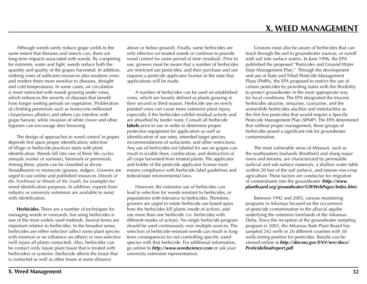<span id="page-32-0"></span>Although weeds rarely reduce grape yields to the same extent that diseases and insects can, there are long-term impacts associated with weeds. By competing for nutrients, water and light, weeds reduce both the quantity and quality of the grapes harvested. In addition, robbing vines of sufficient resources also weakens vines and renders them more sensitive to diseases, drought and cold temperatures. In some cases, air circulation is more restricted with weeds growing under vines, which enhances the severity of diseases that benefit from longer wetting periods on vegetation. Proliferation of climbing perennials such as honeyvine milkweed (*Ampelamus albidus*) and others can interfere with grape harvest, while invasion of white clover and other legumes can encourage deer browsing.

The design of approaches to weed control in grapes depends first upon proper identification; selection of tillage or herbicide practices starts with plant identification. Weeds fall into one of three life cycles: annuals (winter or summer), biennials or perennials. Among these, plants can be classified as dicots (broadleaves) or monocots (grasses, sedges). Growers are urged to use online and published resources (*Weeds of the Northeast* or *Weeds of the South*, for example) for weed identification purposes. In addition, experts from industry or university extension are available to assist with identification.

**Herbicides.** There are a number of techniques for managing weeds in vineyards, but using herbicides is one of the most widely used methods. Several terms are important relative to herbicides. In the broadest sense, herbicides are either selective (affect some plant species with minimal or no influence on others) or non-selective (will injure all plants contacted). Also, herbicides can be contact (only injure plant tissue that is treated with herbicides) or systemic (herbicide affects the tissue that is contacted as well as other tissue at some distance

above or below ground). Finally, some herbicides are only effective on treated weeds or continue to provide weed control for some period of time (residual). Prior to use, growers must be aware that a number of herbicides are restricted use pesticides, and their purchase and use requires a pesticide applicator license in the state that applications will be made.

A number of herbicides can be used on established vines, which are loosely defined as plants growing in their second or third season. Herbicide use on newly planted vines can cause more extensive plant injury, especially if the herbicides exhibit residual activity and are absorbed by feeder roots. Consult all herbicide labels prior to use in order to determine proper protective equipment for application as well as identification of use rates, intended target species, recommendations of surfactants, and other restrictions. Any use of herbicides not labeled for use on grapes can result in sizable fines, confiscation, and destruction of all crops harvested from treated plants. The applicator and holder of the pesticide applicator license must ensure compliance with herbicide label guidelines and federal/state environmental laws.

However, the extensive use of herbicides can lead to selection for weeds resistant to herbicides, or populations with tolerance to herbicides. Therefore, growers are urged to rotate herbicide use based upon how the herbicides kill plants (mode of action), and use more than one herbicide (i.e. herbicides with different modes of action). No single herbicide program should be used continuously over multiple sources. The selection of herbicide-resistant weeds can result in longterm consequences for not controlling specific weed species with that herbicide. For additional information, go online to *http://www.weedscience.com* or ask your university extension representatives.

Growers must also be aware of herbicides that can leach through the soil to groundwater sources, or runoff with soil into surface waters. In June 1996, the EPA published the proposed "Pesticides and Ground Water State Management Plan." Through the development and use of State and Tribal Pesticide Management Plans (PMPs), the EPA proposed to restrict the use of certain pesticides by providing states with the flexibility to protect groundwater in the most appropriate way for local conditions. The EPA designated the triazine herbicides atrazine, simazine, cyanazine, and the acetanilide herbicides alachlor and metolachlor as the first five pesticides that would require a Specific Pesticide Management Plan (SPMP). The EPA determined that without proper management, these groups of herbicides posed a significant risk for groundwater contamination.

The most vulnerable areas of Missouri, such as the southeastern lowlands (Bootheel) and along major rivers and streams, are characterized by permeable surficial and sub-surface materials, a shallow water table (within 20 feet of the soil surface), and intense row-crop agriculture. These factors are conducive for migration of contaminants into the groundwater (*http://www. plantboard.org/groundwater/GWWebPages/Index.htm*).

Between 1992 and 2003, various monitoring programs in Arkansas focused on the occurrence of pesticide contamination in the alluvial aquifer underlying the extensive farmlands of the Arkansas Delta. Since the inception of the groundwater sampling program in 2003, the Arkansas State Plant Board has sampled 242 wells in 26 different counties with 38 wells testing positive for pesticides. Results can be viewed online at *http://dnr.mo.gov/ENV/wrc/docs/ Pesticidefinalreport.pdf*.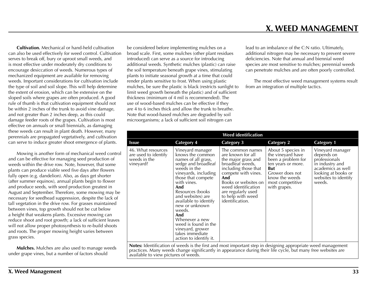**Cultivation.** Mechanical or hand-held cultivation can also be used effectively for weed control. Cultivation serves to break off, bury or uproot small weeds, and is most effective under moderately dry conditions to encourage desiccation of weeds. Numerous types of mechanized equipment are available for removing weeds. Important considerations for cultivation include the type of soil and soil slope. This will help determine the extent of erosion, which can be extensive on the sloped soils where grapes are often produced. A good rule of thumb is that cultivation equipment should not be within 2 inches of the trunk to avoid vine damage, and not greater than 2 inches deep, as this could damage feeder roots of the grapes. Cultivation is most effective on annuals or small biennials, as damaging these weeds can result in plant death. However, many perennials are propagated vegetatively, and cultivation can serve to induce greater shoot emergence of plants.

Mowing is another form of mechanical weed control and can be effective for managing seed production of weeds within the drive row. Note, however, that some plants can produce viable seed five days after flowers fully open (e.g. dandelion). Also, as days get shorter (after summer equinox), annual plants begin to flower and produce seeds, with seed production greatest in August and September. Therefore, some mowing may be necessary for seedhead suppression, despite the lack of tall vegetation in the drive row. For grasses maintained between vines, top growth should not be cut below a height that weakens plants. Excessive mowing can reduce shoot and root growth; a lack of sufficient leaves will not allow proper photosynthesis to re-build shoots and roots. The proper mowing height varies between grass species.

**Mulches.** Mulches are also used to manage weeds under grape vines, but a number of factors should

be considered before implementing mulches on a broad scale. First, some mulches (other plant residues introduced) can serve as a source for introducing additional weeds. Synthetic mulches (plastic) can raise the soil temperature beneath grape vines, stimulating plants to initiate seasonal growth at a time that could render plants sensitive to frost. When using plastic mulches, be sure the plastic is black (restricts sunlight to limit weed growth beneath the plastic) and of sufficient thickness (minimum of 4 mil is recommended). The use of wood-based mulches can be effective if they are 4 to 6 inches thick and allow the trunk to breathe. Note that wood-based mulches are degraded by soil microorganisms; a lack of sufficient soil nitrogen can

 **X. WEED MANAGEMENT**

lead to an imbalance of the C:N ratio. Ultimately, additional nitrogen may be necessary to prevent severe deficiencies. Note that annual and biennial weed species are most sensitive to mulches; perennial weeds can penetrate mulches and are often poorly controlled.

The most effective weed management systems result from an integration of multiple tactics.

| <b>Weed identification</b>                                                                                                                                                                                                                                                  |                                                                                                                                                                                                                                                                                                                                                                                        |                                                                                                                                                                                                                                                     |                                                                                                                                                                            |                                                                                                                                                  |  |
|-----------------------------------------------------------------------------------------------------------------------------------------------------------------------------------------------------------------------------------------------------------------------------|----------------------------------------------------------------------------------------------------------------------------------------------------------------------------------------------------------------------------------------------------------------------------------------------------------------------------------------------------------------------------------------|-----------------------------------------------------------------------------------------------------------------------------------------------------------------------------------------------------------------------------------------------------|----------------------------------------------------------------------------------------------------------------------------------------------------------------------------|--------------------------------------------------------------------------------------------------------------------------------------------------|--|
| <b>Issue</b>                                                                                                                                                                                                                                                                | <b>Category 4</b>                                                                                                                                                                                                                                                                                                                                                                      | Category 3                                                                                                                                                                                                                                          | <b>Category 2</b>                                                                                                                                                          | <b>Category 1</b>                                                                                                                                |  |
| 46. What resources<br>are used to identify<br>weeds in the<br>vineyard?                                                                                                                                                                                                     | Vineyard manager<br>knows the common<br>names of all grass,<br>sedge and broadleaf<br>weeds in the<br>vineyards, including<br>those that compete<br>with vines.<br>And<br>Resources (books<br>and websites) are<br>available to identify<br>new or unknown<br>weeds.<br>And<br>Whenever a new<br>weed is found in the<br>vineyard, grower<br>takes immediate<br>action to identify it. | The common names<br>are known for all<br>the major grass and<br>broadleaf weeds,<br>including those that<br>compete with vines.<br>And<br>Books or websites on<br>weed identification<br>are regularly used<br>to help with weed<br>identification. | About 5 species in<br>the vineyard have<br>been a problem for<br>ten years or more.<br><b>But</b><br>Grower does not<br>know the weeds<br>most competitive<br>with grapes. | Vineyard manager<br>depends on<br>professionals<br>in industry and<br>academics as well<br>looking at books or<br>websites to identify<br>weeds. |  |
| <b>Notes:</b> Identification of weeds is the first and most important step in designing appropriate weed management<br>practices. Many weeds change significantly in appearance during their life cycle, but many free websites are<br>available to view pictures of weeds. |                                                                                                                                                                                                                                                                                                                                                                                        |                                                                                                                                                                                                                                                     |                                                                                                                                                                            |                                                                                                                                                  |  |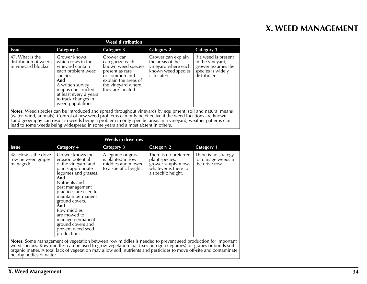# **X. WEED MANAGEMENT**

| <b>Weed distribution</b>                                                                                                                                                                                                                                                                                                                          |                                                                                                                                                                                                               |                                                                                                                                                            |                                                                                                    |                                                                                                     |
|---------------------------------------------------------------------------------------------------------------------------------------------------------------------------------------------------------------------------------------------------------------------------------------------------------------------------------------------------|---------------------------------------------------------------------------------------------------------------------------------------------------------------------------------------------------------------|------------------------------------------------------------------------------------------------------------------------------------------------------------|----------------------------------------------------------------------------------------------------|-----------------------------------------------------------------------------------------------------|
| <b>Issue</b>                                                                                                                                                                                                                                                                                                                                      | Category 4                                                                                                                                                                                                    | <b>Category 3</b>                                                                                                                                          | <b>Category 2</b>                                                                                  | <b>Category 1</b>                                                                                   |
| 47. What is the<br>distribution of weeds<br>in vineyard blocks?                                                                                                                                                                                                                                                                                   | Grower knows<br>which rows in the<br>vineyard contain<br>each problem weed<br>species.<br>And<br>A written survey<br>map is constructed<br>at least every 2 years<br>to track changes in<br>weed populations. | Grower can<br>categorize each<br>known weed species<br>present as rare<br>or common and<br>explain the areas of<br>the vineyard where<br>they are located. | Grower can explain<br>the areas of the<br>vineyard where each<br>known weed species<br>is located. | If a weed is present<br>in the vineyard,<br>grower assumes the<br>species is widely<br>distributed. |
| <b>Notes:</b> Weed species can be introduced and spread throughout vineyards by equipment, soil and natural means<br>(water, wind, animals). Control of new weed problems can only be effective if the weed locations are known.<br>Land geography can result in weeds being a problem in only specific areas in a vineyard; weather patterns can |                                                                                                                                                                                                               |                                                                                                                                                            |                                                                                                    |                                                                                                     |

lead to some weeds being widespread in some years and almost absent in others.

| <b>Weeds in drive row</b>                              |                                                                                                                                                                                                                                                                                                                                           |                                                                                      |                                                                                                             |                                                              |  |
|--------------------------------------------------------|-------------------------------------------------------------------------------------------------------------------------------------------------------------------------------------------------------------------------------------------------------------------------------------------------------------------------------------------|--------------------------------------------------------------------------------------|-------------------------------------------------------------------------------------------------------------|--------------------------------------------------------------|--|
| <b>Issue</b>                                           | <b>Category 4</b>                                                                                                                                                                                                                                                                                                                         | <b>Category 3</b>                                                                    | <b>Category 2</b>                                                                                           | <b>Category 1</b>                                            |  |
| 48. How is the drive<br>row between grapes<br>managed? | Grower knows the<br>erosion potential<br>of the vineyard and<br>plants appropriate<br>legumes and grasses.<br>And<br>Nutrients and<br>pest management<br>practices are used to<br>maintain permanent<br>ground covers.<br>And<br>Row middles<br>are mowed to<br>manage permanent<br>ground covers and<br>prevent weed seed<br>production. | A legume or grass<br>is planted in row<br>middles and mowed<br>to a specific height. | There is no preferred<br>plant species;<br>grower simply mows<br>whatever is there to<br>a specific height. | There is no strategy<br>to manage weeds in<br>the drive row. |  |

**Notes:** Some management of vegetation between row middles is needed to prevent seed production for important weed species. Row middles can be used to grow vegetation that fixes nitrogen (legumes) for grapes or builds soil organic matter. A total lack of vegetation may allow soil, nutrients and pesticides to move off-site and contaminate nearby bodies of water.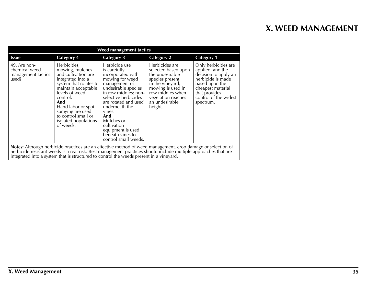| Weed management tactics                                                                                                                                                                                                                                                                                                   |                                                                                                                                                                                                                                                                         |                                                                                                                                                                                                                                                                                                                        |                                                                                                                                                                                             |                                                                                                                                                                                    |  |
|---------------------------------------------------------------------------------------------------------------------------------------------------------------------------------------------------------------------------------------------------------------------------------------------------------------------------|-------------------------------------------------------------------------------------------------------------------------------------------------------------------------------------------------------------------------------------------------------------------------|------------------------------------------------------------------------------------------------------------------------------------------------------------------------------------------------------------------------------------------------------------------------------------------------------------------------|---------------------------------------------------------------------------------------------------------------------------------------------------------------------------------------------|------------------------------------------------------------------------------------------------------------------------------------------------------------------------------------|--|
| <b>Issue</b>                                                                                                                                                                                                                                                                                                              | <b>Category 4</b>                                                                                                                                                                                                                                                       | <b>Category 3</b>                                                                                                                                                                                                                                                                                                      | <b>Category 2</b>                                                                                                                                                                           | <b>Category 1</b>                                                                                                                                                                  |  |
| 49. Are non-<br>chemical weed<br>management tactics<br>used?                                                                                                                                                                                                                                                              | Herbicides,<br>mowing, mulches<br>and cultivation are<br>integrated into a<br>system that rotates to<br>maintain acceptable<br>levels of weed<br>control.<br>And<br>Hand labor or spot<br>spraying are used<br>to control small or<br>isolated populations<br>of weeds. | Herbicide use<br>is carefully<br>incorporated with<br>mowing for weed<br>management of<br>undesirable species<br>in row middles; non-<br>selective herbicides<br>are rotated and used<br>underneath the<br>vines.<br>And<br>Mulches or<br>cultivation<br>equipment is used<br>beneath vines to<br>control small weeds. | Herbicides are<br>selected based upon<br>the undesirable<br>species present<br>in the vineyard;<br>mowing is used in<br>row middles when<br>vegetation reaches<br>an undesirable<br>height. | Only herbicides are<br>applied, and the<br>decision to apply an<br>herbicide is made<br>based upon the<br>cheapest material<br>that provides<br>control of the widest<br>spectrum. |  |
| Notes: Although herbicide practices are an effective method of weed management, crop damage or selection of<br>herbicide-resistant weeds is a real risk. Best management practices should include multiple approaches that are<br>integrated into a system that is structured to control the weeds present in a vineyard. |                                                                                                                                                                                                                                                                         |                                                                                                                                                                                                                                                                                                                        |                                                                                                                                                                                             |                                                                                                                                                                                    |  |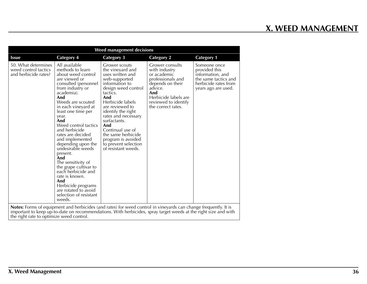| <b>Weed management decisions</b>                                    |                                                                                                                                                                                                                                                                                                                                                                                                                                                                                                                                                            |                                                                                                                                                                                                                                                                                                                                                              |                                                                                                                                                                                  |                                                                                                                          |  |  |
|---------------------------------------------------------------------|------------------------------------------------------------------------------------------------------------------------------------------------------------------------------------------------------------------------------------------------------------------------------------------------------------------------------------------------------------------------------------------------------------------------------------------------------------------------------------------------------------------------------------------------------------|--------------------------------------------------------------------------------------------------------------------------------------------------------------------------------------------------------------------------------------------------------------------------------------------------------------------------------------------------------------|----------------------------------------------------------------------------------------------------------------------------------------------------------------------------------|--------------------------------------------------------------------------------------------------------------------------|--|--|
| <b>Issue</b>                                                        | <b>Category 4</b>                                                                                                                                                                                                                                                                                                                                                                                                                                                                                                                                          | <b>Category 3</b>                                                                                                                                                                                                                                                                                                                                            | <b>Category 2</b>                                                                                                                                                                | <b>Category 1</b>                                                                                                        |  |  |
| 50. What determines<br>weed control tactics<br>and herbicide rates? | All available<br>methods to learn<br>about weed control<br>are viewed or<br>consulted (personnel<br>from industry or<br>academia).<br>And<br>Weeds are scouted<br>in each vineyard at<br>least one time per<br>year.<br>And<br>Weed control tactics<br>and herbicide<br>rates are decided<br>and implemented<br>depending upon the<br>undesirable weeds<br>present.<br>And<br>The sensitivity of<br>the grape cultivar to<br>each herbicide and<br>rate is known.<br>And<br>Herbicide programs<br>are rotated to avoid<br>selection of resistant<br>weeds. | Grower scouts<br>the vineyard and<br>uses written and<br>web-supported<br>information to<br>design weed control<br>tactics.<br>And<br>Herbicide labels<br>are reviewed to<br>identify the right<br>rates and necessary<br>surfactants.<br>And<br>Continual use of<br>the same herbicide<br>program is avoided<br>to prevent selection<br>of resistant weeds. | Grower consults<br>with industry<br>or academic<br>professionals and<br>depends on their<br>advice.<br>And<br>Herbicide labels are<br>reviewed to identify<br>the correct rates. | Someone once<br>provided this<br>information, and<br>the same tactics and<br>herbicide rates from<br>years ago are used. |  |  |
| the right rate to optimize weed control.                            | <b>Notes:</b> Forms of equipment and herbicides (and rates) for weed control in vineyards can change frequently. It is<br>important to keep up-to-date on recommendations. With herbicides, spray target weeds at the right size and with                                                                                                                                                                                                                                                                                                                  |                                                                                                                                                                                                                                                                                                                                                              |                                                                                                                                                                                  |                                                                                                                          |  |  |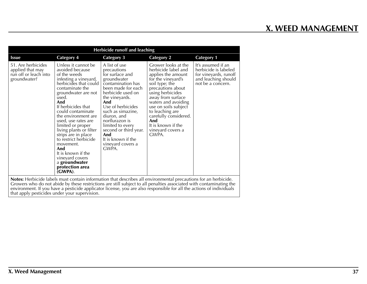| <b>Herbicide runoff and leaching</b>                                            |                                                                                                                                                                                                                                                                                                                                                                                                                                                                          |                                                                                                                                                                                                                                                                                                                                            |                                                                                                                                                                                                                                                                                                                              |                                                                                                                 |  |  |
|---------------------------------------------------------------------------------|--------------------------------------------------------------------------------------------------------------------------------------------------------------------------------------------------------------------------------------------------------------------------------------------------------------------------------------------------------------------------------------------------------------------------------------------------------------------------|--------------------------------------------------------------------------------------------------------------------------------------------------------------------------------------------------------------------------------------------------------------------------------------------------------------------------------------------|------------------------------------------------------------------------------------------------------------------------------------------------------------------------------------------------------------------------------------------------------------------------------------------------------------------------------|-----------------------------------------------------------------------------------------------------------------|--|--|
| <b>Issue</b>                                                                    | <b>Category 4</b>                                                                                                                                                                                                                                                                                                                                                                                                                                                        | <b>Category 3</b>                                                                                                                                                                                                                                                                                                                          | <b>Category 2</b>                                                                                                                                                                                                                                                                                                            | <b>Category 1</b>                                                                                               |  |  |
| 51. Are herbicides<br>applied that may<br>run off or leach into<br>groundwater? | Unless it cannot be<br>avoided because<br>of the weeds<br>infesting a vineyard,<br>herbicides that could<br>contaminate the<br>groundwater are not<br>used.<br>And<br>If herbicides that<br>could contaminate<br>the environment are.<br>used, use rates are<br>limited or proper<br>living plants or filter<br>strips are in place<br>to restrict herbicide<br>movement.<br>And<br>It is known if the<br>vineyard covers<br>a groundwater<br>protection area<br>(GWPA). | A list of use<br>precautions<br>for surface and<br>groundwater<br>contamination has<br>been made for each<br>herbicide used on<br>the vineyards.<br>And<br>Use of herbicides<br>such as simazine,<br>diuron, and<br>norflurazon is<br>limited to every<br>second or third year.<br>And<br>It is known if the<br>vineyard covers a<br>GWPA. | Grower looks at the<br>herbicide label and<br>applies the amount<br>for the vineyard's<br>soil type; the<br>precautions about<br>using herbicides<br>away from surface<br>waters and avoiding<br>use on soils subject<br>to leaching are<br>carefully considered.<br>And<br>It is known if the<br>vineyard covers a<br>GWPA. | It's assumed if an<br>herbicide is labeled<br>for vineyards, runoff<br>and leaching should<br>not be a concern. |  |  |
|                                                                                 |                                                                                                                                                                                                                                                                                                                                                                                                                                                                          |                                                                                                                                                                                                                                                                                                                                            | <b>Notes:</b> Herbicide labels must contain information that describes all environmental precautions for an herbicide.<br>Growers who do not abide by these restrictions are still subject to all penalties associated with contaminating the                                                                                |                                                                                                                 |  |  |

Growers who do not abide by these restrictions are still subject to all penalties associated with contaminating the environment. If you have a pesticide applicator license, you are also responsible for all the actions of individuals that apply pesticides under your supervision.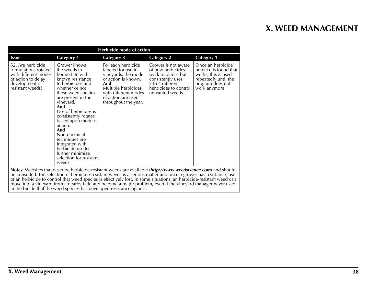| Herbicide mode of action                                                                                                      |                                                                                                                                                                                                                                                                                                                                                                                                      |                                                                                                                                                                                            |                                                                                                                                                      |                                                                                                                                 |  |
|-------------------------------------------------------------------------------------------------------------------------------|------------------------------------------------------------------------------------------------------------------------------------------------------------------------------------------------------------------------------------------------------------------------------------------------------------------------------------------------------------------------------------------------------|--------------------------------------------------------------------------------------------------------------------------------------------------------------------------------------------|------------------------------------------------------------------------------------------------------------------------------------------------------|---------------------------------------------------------------------------------------------------------------------------------|--|
| <b>Issue</b>                                                                                                                  | <b>Category 4</b>                                                                                                                                                                                                                                                                                                                                                                                    | <b>Category 3</b>                                                                                                                                                                          | <b>Category 2</b>                                                                                                                                    | <b>Category 1</b>                                                                                                               |  |
| 52. Are herbicide<br>formulations rotated<br>with different modes<br>of action to delay<br>development of<br>resistant weeds? | Grower knows<br>the weeds in<br>home state with<br>known resistance<br>to herbicides and<br>whether or not<br>those weed species<br>are present in the<br>vineyard.<br>And<br>Use of herbicides is<br>consistently rotated<br>based upon mode of<br>action.<br>And<br>Non-chemical<br>techniques are<br>integrated with<br>herbicide use to<br>further minimize<br>selection for resistant<br>weeds. | For each herbicide<br>labeled for use in<br>vineyards, the mode<br>of action is known.<br>And<br>Multiple herbicides<br>with different modes<br>of action are used<br>throughout the year. | Grower is not aware<br>of how herbicides<br>work in plants, but<br>consistently uses<br>2 to 4 different<br>herbicides to control<br>unwanted weeds. | Once an herbicide<br>practice is found that<br>works, this is used<br>repeatedly until the<br>program does not<br>work anymore. |  |
|                                                                                                                               | Notes: Websites that describe herbicide-resistant weeds are available (http://www.weedscience.com) and should<br>be consulted. The selection of herbicide-resistant weeds is a serious matter and once a grower has resistance, use<br>af an havhioide to control that wood creates is offectively lest. In come situations, an havhioide vesistent wood can                                         |                                                                                                                                                                                            |                                                                                                                                                      |                                                                                                                                 |  |

of an herbicide to control that weed species is effectively lost. In some situations, an herbicide-resistant weed can move into a vineyard from a nearby field and become a major problem, even if the vineyard manager never used an herbicide that the weed species has developed resistance against.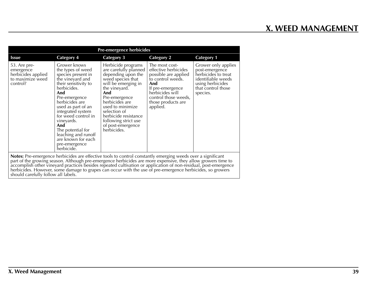| <b>Pre-emergence herbicides</b>                                                                                                                                                                                                                                                                                                                |                                                                                                                                                                                                                                                                                                                                                      |                                                                                                                                                                                                                                                                                                    |                                                                                                                                                                                             |                                                                                                                                          |  |  |
|------------------------------------------------------------------------------------------------------------------------------------------------------------------------------------------------------------------------------------------------------------------------------------------------------------------------------------------------|------------------------------------------------------------------------------------------------------------------------------------------------------------------------------------------------------------------------------------------------------------------------------------------------------------------------------------------------------|----------------------------------------------------------------------------------------------------------------------------------------------------------------------------------------------------------------------------------------------------------------------------------------------------|---------------------------------------------------------------------------------------------------------------------------------------------------------------------------------------------|------------------------------------------------------------------------------------------------------------------------------------------|--|--|
| <b>Issue</b>                                                                                                                                                                                                                                                                                                                                   | Category 4                                                                                                                                                                                                                                                                                                                                           | Category 3                                                                                                                                                                                                                                                                                         | <b>Category 2</b>                                                                                                                                                                           | <b>Category 1</b>                                                                                                                        |  |  |
| 53. Are pre-<br>emergence<br>herbicides applied<br>to maximize weed<br>control?                                                                                                                                                                                                                                                                | Grower knows<br>the types of weed<br>species present in<br>the vineyard and<br>their sensitivity to<br>herbicides.<br>And<br>Pre-emergence<br>herbicides are<br>used as part of an<br>integrated system<br>for weed control in<br>vineyards.<br>And<br>The potential for<br>leaching and runoff<br>are known for each<br>pre-emergence<br>herbicide. | Herbicide programs<br>are carefully planned I<br>depending upon the<br>weed species that<br>will be emerging in<br>the vineyard.<br>And<br>Pre-emergence<br>herbicides are<br>used to minimize<br>selection of<br>herbicide resistance<br>following strict use<br>of post-emergence<br>herbicides. | The most cost-<br>effective herbicides<br>possible are applied<br>to control weeds.<br>And<br>If pre-emergence<br>herbicides will<br>control those weeds,<br>those products are<br>applied. | Grower only applies<br>post-emergence<br>herbicides to treat<br>identifiable weeds<br>using herbicides<br>that control those<br>species. |  |  |
| Notes: Pre-emergence herbicides are effective tools to control constantly emerging weeds over a significant<br>part of the growing season. Although pre-emergence herbicides are more expensive, they allow growers time to<br>accomplish other vine yerd practices besides repeated cultivation or application of non-residual nost-emergence |                                                                                                                                                                                                                                                                                                                                                      |                                                                                                                                                                                                                                                                                                    |                                                                                                                                                                                             |                                                                                                                                          |  |  |

accomplish other vineyard practices besides repeated cultivation or application of non-residual, post-emergence herbicides. However, some damage to grapes can occur with the use of pre-emergence herbicides, so growers should carefully follow all labels.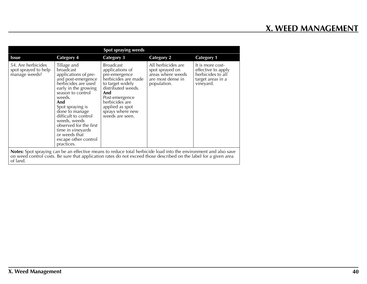| Spot spraying weeds                                                                                                                                                                                                                               |                                                                                                                                                                                                                                                                                                                                                 |                                                                                                                                                                                                                            |                                                                                                |                                                                                               |  |
|---------------------------------------------------------------------------------------------------------------------------------------------------------------------------------------------------------------------------------------------------|-------------------------------------------------------------------------------------------------------------------------------------------------------------------------------------------------------------------------------------------------------------------------------------------------------------------------------------------------|----------------------------------------------------------------------------------------------------------------------------------------------------------------------------------------------------------------------------|------------------------------------------------------------------------------------------------|-----------------------------------------------------------------------------------------------|--|
| <b>Issue</b>                                                                                                                                                                                                                                      | <b>Category 4</b>                                                                                                                                                                                                                                                                                                                               | <b>Category 3</b>                                                                                                                                                                                                          | <b>Category 2</b>                                                                              | <b>Category 1</b>                                                                             |  |
| 54. Are herbicides<br>spot sprayed to help<br>manage weeds?                                                                                                                                                                                       | Tillage and<br>broadcast<br>applications of pre-<br>and post-emergence<br>herbicides are used<br>early in the growing<br>season to control<br>weeds.<br>And<br>Spot spraying is<br>done to manage<br>difficult to control<br>weeds, weeds<br>observed for the first<br>time in vineyards<br>or weeds that<br>escape other control<br>practices. | <b>Broadcast</b><br>applications of<br>pre-emergence<br>herbicides are made<br>to target widely<br>distributed weeds.<br>And<br>Post-emergence<br>herbicides are<br>applied as spot<br>sprays where new<br>weeds are seen. | All herbicides are<br>spot sprayed on<br>areas where weeds<br>are most dense in<br>population. | It is more cost-<br>effective to apply<br>herbicides to all<br>target areas in a<br>vineyard. |  |
| Notes: Spot spraying can be an effective means to reduce total herbicide load into the environment and also save<br>on weed control costs. Be sure that application rates do not exceed those described on the label for a given area<br>of land. |                                                                                                                                                                                                                                                                                                                                                 |                                                                                                                                                                                                                            |                                                                                                |                                                                                               |  |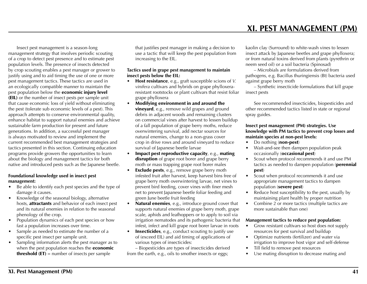**XI. PEST MANAGEMENT (PM)**

Insect pest management is a season-long management strategy that involves periodic scouting of a crop to detect pest presence and to estimate pest population levels. The presence of insects detected by crop scouting enables a pest manager or grower to justify using and to aid timing the use of one or more pest management tactics. These tactics are used in an ecologically compatible manner to maintain the pest population below the **economic injury level** (EIL) or the number of insect pests per sample unit that cause economic loss of yield without eliminating the pest (tolerate sub economic levels of a pest). This approach attempts to conserve environmental quality, enhance habitat to support natural enemies and achieve sustainable farm production for present and future generations. In addition, a successful pest manager is always motivated to review and implement the current recommended best management strategies and tactics presented in this section. Continuing education programs provide growers the opportunities to learn about the biology and management tactics for both native and introduced pests such as the Japanese beetle.

#### **Foundational knowledge used in insect pest management:**

- Be able to identify each pest species and the type of damage it causes.
- Knowledge of the seasonal biology, alternative hosts, attractants and behavior of each insect pest and its natural enemies in relation to the seasonal phenology of the crop.
- Population dynamics of each pest species or how fast a population increases over time.
- Sample as needed to estimate the number of a specific pest insect per sample unit.
- Sampling information alerts the pest manager as to when the pest population reaches the **economic threshold (ET)** = number of insects per sample

that justifies pest manager in making a decision to use a tactic that will keep the pest population from increasing to the EIL.

#### **Tactics used in grape pest management to maintain insect pests below the EIL:**

- • Host resistance, e.g., graft susceptible scions of *V. vinifera* cultivars and hybrids on grape phylloxeraresistant rootstocks or plant cultivars that resist foliar grape phylloxera
- • Modifying environment in and around the **vineyard**, e.g., remove wild grapes and ground debris in adjacent woods and remaining clusters on commercial vines after harvest to lessen buildup of a fall population of grape berry moths, reduce overwintering survival, add nectar sources for natural enemies, change to a non-grass cover crop in drive rows and around vineyard to reduce survival of Japanese beetle larvae
- Impact pest reproductive capacity, e.g., mating disruption of grape root borer and grape berry moth or mass trapping grape root borer males
- Exclude pests, e.g., remove grape berry moth infested fruit after harvest, keep harvest bins free of grape berry moth overwintering larvae, net vines to prevent bird feeding, cover vines with finer mesh net to prevent Japanese beetle foliar feeding and green June beetle fruit feeding
- Natural enemies, e.g., introduce ground cover that supports natural enemies of grape berry moth, grape scale, aphids and leafhoppers or to apply to soil via irrigation nematodes and its pathogenic bacteria that infest, infect and kill grape root borer larvae in roots
- **Insecticides**, e.g., conduct scouting to justify use of (exceed EIL) and aid timing of applications of various types of insecticides:

– Biopesticides are types of insecticides derived from the earth, e.g., oils to smother insects or eggs;

kaolin clay (Surround) to white-wash vines to lessen insect attack by Japanese beetles and grape phylloxera; or from natural toxins derived from plants (pyrethrin or neem seed oil) or a soil bacteria (Spinosad)

– Microbials are formulations derived from pathogens, e.g. Bacillus thuringiensis (Bt) bacteria used against grape berry moth

– Synthetic insecticide formulations that kill grape insect pests

See recommended insecticides, biopesticides and other recommended tactics listed in state or regional spray guides.

#### **Insect pest management (PM) strategies. Use knowledge with PM tactics to prevent crop losses and maintain species at non-pest levels:**

- Do nothing (non-pest)
- Wait-and-see then dampen population peak occasionally (occasional pest)
- Scout when protocol recommends it and use PM tactics as needed to dampen population (perennial pest)
- Scout when protocol recommends it and use appropriate management tactics to dampen population (severe pest)
- Reduce host susceptibility to the pest, usually by maintaining plant health by proper nutrition
- Combine 2 or more tactics (multiple tactics are more sustainable than one)

### **Management tactics to reduce pest population:**

- Grow resistant cultivars so host does not supply resources for pest survival and buildup
- • Optimize nutrients (fertilizer) and water via irrigation to improve host vigor and self-defense
- Till field to remove pest resources
- Use mating disruption to decrease mating and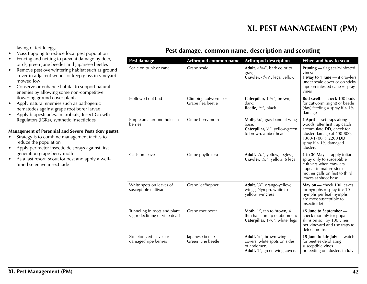laying of fertile eggs

- $\overline{\text{Mass}}$  trapping to reduce local pest population
- Fencing and netting to prevent damage by deer, birds, green June beetles and Japanese beetles
- Remove pest overwintering habitat such as ground cover in adjacent woods or keep grass in vineyard mowed low
- Conserve or enhance habitat to support natural enemies by allowing some non-competitive flowering ground cover plants
- Apply natural enemies such as pathogenic nematodes against grape root borer larvae
- Apply biopesticides, microbials, Insect Growth Regulators (IGRs), synthetic insecticides

### **Management of Perennial and Severe Pests (**key pests**):**

- Strategy is to combine management tactics to reduce the population
- • Apply perimeter insecticide sprays against first generation grape berry moth
- As a last resort, scout for pest and apply a welltimed selective insecticide

### **Pest damage, common name, description and scouting**

| Pest damage                                                  | Arthropod common name                     | <b>Arthropod description</b>                                                                                           | When and how to scout                                                                                                                                                                   |
|--------------------------------------------------------------|-------------------------------------------|------------------------------------------------------------------------------------------------------------------------|-----------------------------------------------------------------------------------------------------------------------------------------------------------------------------------------|
| Scale on trunk or cane                                       | Grape scale                               | <b>Adult,</b> $\langle \frac{1}{16}$ , bark color to<br>gray;<br>Crawler, $\langle \cdot \rangle_{16}$ ", legs, yellow | <b>Pruning</b> - flag scale-infested<br>vines;<br>1 May to 1 June - if crawlers<br>under scale cover or on sticky<br>tape on infested cane = $spray$<br>vines                           |
| Hollowed out bud                                             | Climbing cutworms or<br>Grape flea beetle | Caterpillar, 1-1/4", brown,<br>dark;<br>Beetle, 1/8", black                                                            | Bud swell - check 100 buds<br>for cutworm (night) or beetle<br>(day) feeding = spray if $> 1\%$<br>damage                                                                               |
| Purple area around holes in<br>berries                       | Grape berry moth                          | Moth, $3/8$ ", gray band at wing<br>base;<br>Caterpillar, 1/2", yellow-green<br>to brown, amber head                   | 1 April - set traps along<br>woods, after first trap catch<br>accumulate DD, check for<br>cluster damage at 400-800,<br>1300-1700, $> 2200$ DD;<br>spray if $> 1\%$ damaged<br>clusters |
| Galls on leaves                                              | Grape phylloxera                          | Adult, 1/32", yellow, legless;<br><b>Crawler,</b> $\frac{1}{32}$ , yellow, 6 legs                                      | 1 to 30 May - apply foliar<br>spray only to susceptible<br>cultivars when crawlers<br>appear in mature stem<br>mother galls on first to third<br>leaves at shoot base                   |
| White spots on leaves of<br>susceptible cultivars            | Grape leafhopper                          | <b>Adult,</b> $\frac{1}{8}$ , orange-yellow,<br>wings; Nymph, white to<br>yellow, wingless                             | May on - check 100 leaves<br>for nymphs = spray if $> 10$<br>nymphs per leaf (nymphs<br>are most susceptible to<br>insecticide)                                                         |
| Tunneling in roots and plant<br>vigor declining or vine dead | Grape root borer                          | Moth, 1", tan to brown, 4<br>thin hairs on tip of abdomen;<br>Caterpillar, 1-1/2", white, legs                         | 15 June to September -<br>check monthly for pupal<br>skins on soil by 100 vines<br>per vineyard and use traps to<br>detect moths                                                        |
| Skeletonized leaves or<br>damaged ripe berries               | Japanese beetle<br>Green June beetle      | Adult, $1/2$ ", brown wing<br>covers, white spots on sides<br>of abdomen;<br>Adult, 1", green wing covers              | 15 June to late July - watch<br>for beetles defoliating<br>susceptible vines<br>or feeding on clusters in July                                                                          |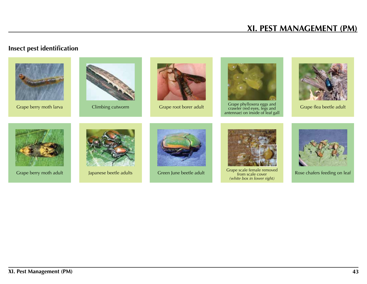# **XI. PEST MANAGEMENT (PM)**

# **Insect pest identification**







Grape berry moth larva Climbing cutworm Grape root borer adult Grape phylloxera eggs and Grape phylloxera eggs and Grape root borer adult antennae) on inside of leaf gall



Grape flea beetle adult









Grape berry moth adult Japanese beetle adults Green June beetle adult Grape scale female removed *(white box in lower right)*



Rose chafers feeding on leaf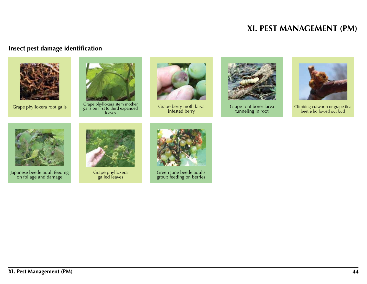# **XI. PEST MANAGEMENT (PM)**

# **Insect pest damage identification**





Grape phylloxera root galls Grape phylloxera stem mother galls on first to third expanded leaves



Grape berry moth larva infested berry



Grape root borer larva tunneling in root



Climbing cutworm or grape flea beetle hollowed out bud



Japanese beetle adult feeding on foliage and damage



Grape phylloxera galled leaves



Green June beetle adults group feeding on berries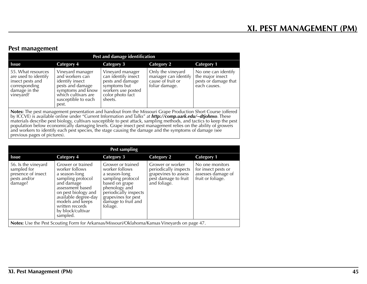### **Pest management**

| Pest and damage identification                                                                                |                                                                                                                                                        |                                                                                                                                  |                                                                                  |                                                                                 |  |
|---------------------------------------------------------------------------------------------------------------|--------------------------------------------------------------------------------------------------------------------------------------------------------|----------------------------------------------------------------------------------------------------------------------------------|----------------------------------------------------------------------------------|---------------------------------------------------------------------------------|--|
| <b>Issue</b>                                                                                                  | Category 4                                                                                                                                             | Category 3                                                                                                                       | <b>Category 2</b>                                                                | <b>Category 1</b>                                                               |  |
| 55. What resources<br>are used to identify<br>insect pests and<br>corresponding<br>damage in the<br>vineyard? | Vineyard manager<br>and workers can<br>identify insect<br>pests and damage<br>symptoms and know<br>which cultivars are<br>susceptible to each<br>pest. | Vineyard manager<br>can identify insect<br>pests and damage<br>symptoms but<br>workers use posted<br>color photo fact<br>sheets. | Only the vineyard<br>manager can identify<br>cause of fruit or<br>foliar damage. | No one can identify<br>the major insect<br>pests or damage that<br>each causes. |  |
|                                                                                                               |                                                                                                                                                        | $\sim$ $\sim$ $\sim$                                                                                                             |                                                                                  | .                                                                               |  |

**Notes:** The pest management presentation and handout from the Missouri Grape Production Short Course (offered by ICCVE) is available online under "Current Information and Talks" at *http://comp.uark.edu/~dtjohnso*. These materials describe pest biology, cultivars susceptible to pest attack, sampling methods, and tactics to keep the pest population below economically damaging levels. Grape insect pest management relies on the ability of growers and workers to identify each pest species, the stage causing the damage and the symptoms of damage (see previous pages of pictures).

|                                                                                     |                                                                                                                                                                                                                                    | Pest sampling                                                                                                                                                                                   |                                                                                                           |                                                                                   |  |  |
|-------------------------------------------------------------------------------------|------------------------------------------------------------------------------------------------------------------------------------------------------------------------------------------------------------------------------------|-------------------------------------------------------------------------------------------------------------------------------------------------------------------------------------------------|-----------------------------------------------------------------------------------------------------------|-----------------------------------------------------------------------------------|--|--|
| <b>Issue</b>                                                                        | <b>Category 4</b>                                                                                                                                                                                                                  | <b>Category 3</b>                                                                                                                                                                               | <b>Category 2</b>                                                                                         | <b>Category 1</b>                                                                 |  |  |
| 56. Is the vineyard<br>sampled for<br>presence of insect<br>pests and/or<br>damage? | Grower or trained<br>worker follows<br>a season-long<br>sampling protocol<br>and damage<br>assessment based<br>on pest biology and<br>available degree-day<br>models and keeps<br>written records<br>by block/cultivar<br>sampled. | Grower or trained<br>worker follows<br>a season-long<br>sampling protocol<br>based on grape<br>phenology and<br>periodically inspects<br>grapevines for pest<br>damage to fruit and<br>foliage. | Grower or worker<br>periodically inspects<br>grapevines to assess<br>pest damage to fruit<br>and foliage. | No one monitors<br>for insect pests or<br>assesses damage of<br>fruit or foliage. |  |  |
|                                                                                     | Notes: Use the Pest Scouting Form for Arkansas/Missouri/Oklahoma/Kansas Vineyards on page 47.                                                                                                                                      |                                                                                                                                                                                                 |                                                                                                           |                                                                                   |  |  |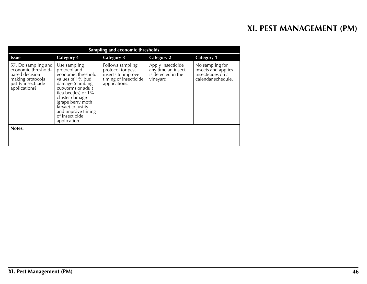| Sampling and economic thresholds                                                                                          |                                                                                                                                                                                                                                                             |                                                                                                       |                                                                            |                                                                                   |  |  |
|---------------------------------------------------------------------------------------------------------------------------|-------------------------------------------------------------------------------------------------------------------------------------------------------------------------------------------------------------------------------------------------------------|-------------------------------------------------------------------------------------------------------|----------------------------------------------------------------------------|-----------------------------------------------------------------------------------|--|--|
| <b>Issue</b>                                                                                                              | <b>Category 4</b>                                                                                                                                                                                                                                           | <b>Category 3</b>                                                                                     | <b>Category 2</b>                                                          | <b>Category 1</b>                                                                 |  |  |
| 57. Do sampling and<br>economic threshold-<br>based decision-<br>making protocols<br>justify insecticide<br>applications? | Use sampling<br>protocol and<br>economic threshold<br>values of 1% bud<br>damage (climbing<br>cutworms or adult<br>flea beetles) or 1%<br>cluster damage<br>(grape berry moth<br>larvae) to justify<br>and improve timing<br>of insecticide<br>application. | Follows sampling<br>protocol for pest<br>insects to improve<br>timing of insecticide<br>applications. | Apply insecticide<br>any time an insect<br>is detected in the<br>vineyard. | No sampling for<br>insects and applies<br>insecticides on a<br>calendar schedule. |  |  |
| Notes:                                                                                                                    |                                                                                                                                                                                                                                                             |                                                                                                       |                                                                            |                                                                                   |  |  |
|                                                                                                                           |                                                                                                                                                                                                                                                             |                                                                                                       |                                                                            |                                                                                   |  |  |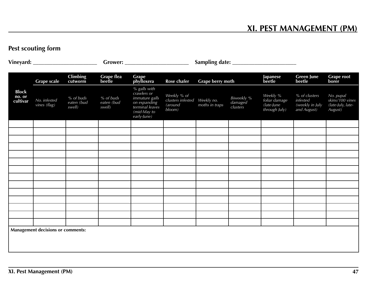# **Pest scouting form**

|                                          | <b>Grape scale</b>           | <b>Climbing</b><br>cutworm        | Grape flea<br>beetle              | Grape<br>phylloxera                                                                                            | Rose chafer                                           | Grape berry moth             |                                   | Japanese<br>beetle                                       | <b>Green June</b><br>beetle                                 | <b>Grape root</b><br>borer                                   |
|------------------------------------------|------------------------------|-----------------------------------|-----------------------------------|----------------------------------------------------------------------------------------------------------------|-------------------------------------------------------|------------------------------|-----------------------------------|----------------------------------------------------------|-------------------------------------------------------------|--------------------------------------------------------------|
| <b>Block</b><br>no. or<br>cultivar       | No. infested<br>vines (flag) | % of buds<br>eaten (bud<br>swell) | % of buds<br>eaten (bud<br>swell) | % galls with<br>crawlers or<br>immature galls<br>on expanding<br>terminal leaves<br>(mid-May to<br>early-June) | Weekly % of<br>clusters infested<br>(around<br>bloom) | Weekly no.<br>moths in traps | Biweekly %<br>damaged<br>clusters | Weekly %<br>foliar damage<br>(late-June<br>through July) | % of clusters<br>infested<br>(weekly in July<br>and August) | No. pupal<br>skins/100 vines<br>(late-July, late-<br>August) |
|                                          |                              |                                   |                                   |                                                                                                                |                                                       |                              |                                   |                                                          |                                                             |                                                              |
|                                          |                              |                                   |                                   |                                                                                                                |                                                       |                              |                                   |                                                          |                                                             |                                                              |
|                                          |                              |                                   |                                   |                                                                                                                |                                                       |                              |                                   |                                                          |                                                             |                                                              |
|                                          |                              |                                   |                                   |                                                                                                                |                                                       |                              |                                   |                                                          |                                                             |                                                              |
|                                          |                              |                                   |                                   |                                                                                                                |                                                       |                              |                                   |                                                          |                                                             |                                                              |
|                                          |                              |                                   |                                   |                                                                                                                |                                                       |                              |                                   |                                                          |                                                             |                                                              |
|                                          |                              |                                   |                                   |                                                                                                                |                                                       |                              |                                   |                                                          |                                                             |                                                              |
|                                          |                              |                                   |                                   |                                                                                                                |                                                       |                              |                                   |                                                          |                                                             |                                                              |
|                                          |                              |                                   |                                   |                                                                                                                |                                                       |                              |                                   |                                                          |                                                             |                                                              |
|                                          |                              |                                   |                                   |                                                                                                                |                                                       |                              |                                   |                                                          |                                                             |                                                              |
|                                          |                              |                                   |                                   |                                                                                                                |                                                       |                              |                                   |                                                          |                                                             |                                                              |
|                                          |                              |                                   |                                   |                                                                                                                |                                                       |                              |                                   |                                                          |                                                             |                                                              |
|                                          |                              |                                   |                                   |                                                                                                                |                                                       |                              |                                   |                                                          |                                                             |                                                              |
| <b>Management decisions or comments:</b> |                              |                                   |                                   |                                                                                                                |                                                       |                              |                                   |                                                          |                                                             |                                                              |
|                                          |                              |                                   |                                   |                                                                                                                |                                                       |                              |                                   |                                                          |                                                             |                                                              |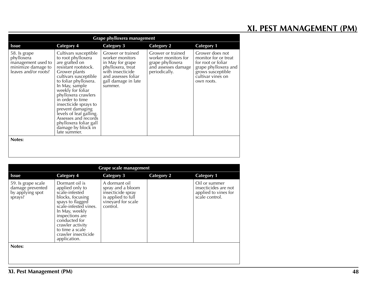# **XI. PEST MANAGEMENT (PM)**

| Grape phylloxera management                                                                    |                                                                                                                                                                                                                                                                                                                                                                                                            |                                                                                                                                                            |                                                                                                      |                                                                                                                                               |  |  |
|------------------------------------------------------------------------------------------------|------------------------------------------------------------------------------------------------------------------------------------------------------------------------------------------------------------------------------------------------------------------------------------------------------------------------------------------------------------------------------------------------------------|------------------------------------------------------------------------------------------------------------------------------------------------------------|------------------------------------------------------------------------------------------------------|-----------------------------------------------------------------------------------------------------------------------------------------------|--|--|
| <b>Issue</b>                                                                                   | <b>Category 4</b>                                                                                                                                                                                                                                                                                                                                                                                          | <b>Category 3</b>                                                                                                                                          | <b>Category 2</b>                                                                                    | <b>Category 1</b>                                                                                                                             |  |  |
| 58. Is grape<br>phylloxera<br>management used to<br>minimize damage to<br>leaves and/or roots? | Cultivars susceptible<br>to root phylloxera<br>are grafted on<br>resistant rootstock.<br>Grower plants<br>cultivars susceptible<br>to foliar phylloxera.<br>In May, sample<br>weekly for foliar<br>phylloxera crawlers<br>in order to time<br>insecticide sprays to<br>prevent damaging<br>levels of leaf galling.<br>Assesses and records<br>phylloxera foliar gall<br>damage by block in<br>late summer. | Grower or trained<br>worker monitors<br>in May for grape<br>phylloxera, treat<br>with insecticide<br>and assesses foliar<br>gall damage in late<br>summer. | Grower or trained<br>worker monitors for<br>grape phylloxera<br>and assesses damage<br>periodically. | Grower does not<br>monitor for or treat<br>for root or foliar<br>grape phylloxera and<br>grows susceptible<br>cultivar vines on<br>own roots. |  |  |
| Notes:                                                                                         |                                                                                                                                                                                                                                                                                                                                                                                                            |                                                                                                                                                            |                                                                                                      |                                                                                                                                               |  |  |
|                                                                                                |                                                                                                                                                                                                                                                                                                                                                                                                            |                                                                                                                                                            |                                                                                                      |                                                                                                                                               |  |  |

| <b>Grape scale management</b>                                         |                                                                                                                                                                                                                                                          |                                                                                                                 |                   |                                                                                 |  |  |
|-----------------------------------------------------------------------|----------------------------------------------------------------------------------------------------------------------------------------------------------------------------------------------------------------------------------------------------------|-----------------------------------------------------------------------------------------------------------------|-------------------|---------------------------------------------------------------------------------|--|--|
| <b>Issue</b>                                                          | <b>Category 4</b>                                                                                                                                                                                                                                        | <b>Category 3</b>                                                                                               | <b>Category 2</b> | <b>Category 1</b>                                                               |  |  |
| 59. Is grape scale<br>damage prevented<br>by applying spot<br>sprays? | Dormant oil is<br>applied only to<br>scale-infested<br>blocks, focusing<br>spays to flagged<br>scale-infested vines.<br>In May, weekly<br>inspections are<br>conducted for<br>crawler activity<br>to time a scale<br>crawler insecticide<br>application. | A dormant oil<br>spray and a bloom<br>insecticide spray<br>is applied to full<br>vineyard for scale<br>control. |                   | Oil or summer<br>insecticides are not<br>applied to vines for<br>scale control. |  |  |
| Notes:                                                                |                                                                                                                                                                                                                                                          |                                                                                                                 |                   |                                                                                 |  |  |
|                                                                       |                                                                                                                                                                                                                                                          |                                                                                                                 |                   |                                                                                 |  |  |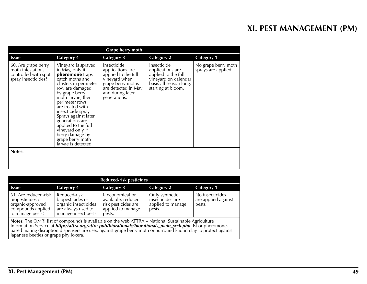| Grape berry moth                                                                        |                                                                                                                                                                                                                                                                                                                                                                                 |                                                                                                                                                         |                                                                                                                                |                                            |
|-----------------------------------------------------------------------------------------|---------------------------------------------------------------------------------------------------------------------------------------------------------------------------------------------------------------------------------------------------------------------------------------------------------------------------------------------------------------------------------|---------------------------------------------------------------------------------------------------------------------------------------------------------|--------------------------------------------------------------------------------------------------------------------------------|--------------------------------------------|
| <b>Issue</b>                                                                            | <b>Category 4</b>                                                                                                                                                                                                                                                                                                                                                               | <b>Category 3</b>                                                                                                                                       | <b>Category 2</b>                                                                                                              | <b>Category 1</b>                          |
| 60. Are grape berry<br>moth infestations<br>controlled with spot<br>spray insecticides? | Vineyard is sprayed<br>in May, only if<br>pheromone traps<br>catch moths and<br>clusters in perimeter<br>row are damaged<br>by grape berry<br>moth larvae; then<br>perimeter rows<br>are treated with<br>insecticide spray.<br>Sprays against later<br>generations are<br>applied to the full<br>vineyard only if<br>berry damage by<br>grape berry moth<br>larvae is detected. | Insecticide<br>applications are<br>applied to the full<br>vineyard when<br>grape berry moths<br>are detected in May<br>and during later<br>generations. | Insecticide<br>applications are<br>applied to the full<br>vineyard on calendar<br>basis all season long,<br>starting at bloom. | No grape berry moth<br>sprays are applied. |
| Notes:                                                                                  |                                                                                                                                                                                                                                                                                                                                                                                 |                                                                                                                                                         |                                                                                                                                |                                            |
|                                                                                         |                                                                                                                                                                                                                                                                                                                                                                                 |                                                                                                                                                         |                                                                                                                                |                                            |

| <b>Reduced-risk pesticides</b>                                                                                                                                                                                                                                                                                                              |                                                                                                        |                                                                                               |                                                                   |                                                  |
|---------------------------------------------------------------------------------------------------------------------------------------------------------------------------------------------------------------------------------------------------------------------------------------------------------------------------------------------|--------------------------------------------------------------------------------------------------------|-----------------------------------------------------------------------------------------------|-------------------------------------------------------------------|--------------------------------------------------|
| <b>Issue</b>                                                                                                                                                                                                                                                                                                                                | Category 4                                                                                             | Category 3                                                                                    | <b>Category 2</b>                                                 | <b>Category 1</b>                                |
| 61. Are reduced-risk<br>biopesticides or<br>organic-approved<br>compounds applied<br>to manage pests?                                                                                                                                                                                                                                       | Reduced-risk<br>biopesticides or<br>organic insecticides<br>are always used to<br>manage insect pests. | If economical or<br>available, reduced-<br>risk pesticides are<br>applied to manage<br>pests. | Only synthetic<br>insecticides are<br>applied to manage<br>pests. | No insecticides<br>are applied against<br>pests. |
| <b>Notes:</b> The OMRI list of compounds is available on the web ATTRA – National Sustainable Agriculture<br>Information Service at http://attra.org/attra-pub/biorationals/biorationals_main_srch.php. Bt or pheromone-<br>based mating disruption dispensers are used against grape berry moth or Surround kaolin clay to protect against |                                                                                                        |                                                                                               |                                                                   |                                                  |

Japanese beetles or grape phylloxera.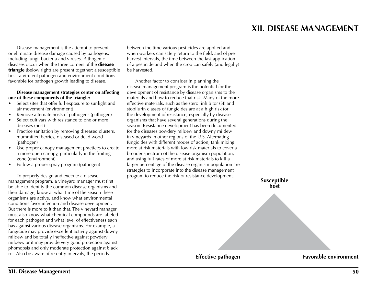Disease management is the attempt to prevent or eliminate disease damage caused by pathogens, including fungi, bacteria and viruses. Pathogenic diseases occur when the three corners of the **disease** triangle (below right) are present together: a susceptible host, a virulent pathogen and environment conditions favorable for pathogen growth leading to disease.

#### **Disease management strategies center on affecting one of these components of the triangle:**

- Select sites that offer full exposure to sunlight and air movement (environment)
- Remove alternate hosts of pathogens (pathogen)
- Select cultivars with resistance to one or more diseases (host)
- Practice sanitation by removing diseased clusters, mummified berries, diseased or dead wood (pathogen)
- Use proper canopy management practices to create a more open canopy, particularly in the fruiting zone (environment)
- Follow a proper spray program (pathogen)

To properly design and execute a disease management program, a vineyard manager must first be able to identify the common disease organisms and their damage, know at what time of the season these organisms are active, and know what environmental conditions favor infection and disease development. But there is more to it than that. The vineyard manager must also know what chemical compounds are labeled for each pathogen and what level of effectiveness each has against various disease organisms. For example, a fungicide may provide excellent activity against downy mildew and be totally ineffective against powdery mildew, or it may provide very good protection against phomopsis and only moderate protection against black rot. Also be aware of re-entry intervals, the periods

between the time various pesticides are applied and when workers can safely return to the field, and of preharvest intervals, the time between the last application of a pesticide and when the crop can safely (and legally) be harvested.

Another factor to consider in planning the disease management program is the potential for the development of resistance by disease organisms to the materials and how to reduce that risk. Many of the more effective materials, such as the sterol inhibitor (SI) and stobilurin classes of fungicides are at a high risk for the development of resistance, especially by disease organisms that have several generations during the season. Resistance development has been documented for the diseases powdery mildew and downy mildew in vineyards in other regions of the U.S. Alternating fungicides with different modes of action, tank mixing more at risk materials with low risk materials to cover a broader spectrum of the disease organism population, and using full rates of more at risk materials to kill a larger percentage of the disease organism population are strategies to incorporate into the disease management program to reduce the risk of resistance development.

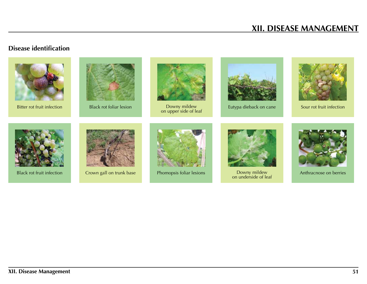# **XII. DISEASE MANAGEMENT**

### **Disease identification**







Bitter rot fruit infection Black rot foliar lesion Downy mildew Eutypa dieback on cane Sour rot fruit infection<br>
Owny mildew Down in Eutypa dieback on cane











Black rot fruit infection Crown gall on trunk base Phomopsis foliar lesions



Downy mildew<br>on underside of leaf



Anthracnose on berries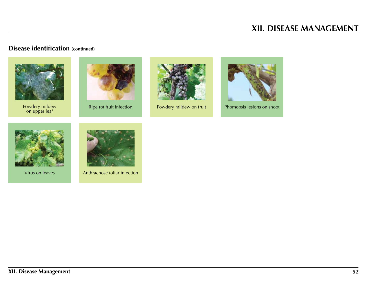# **XII. DISEASE MANAGEMENT**

## **Disease identification (continued)**



Powdery mildew Ripe rot fruit infection Powdery mildew on fruit Phomopsis lesions on shoot<br>Powdery mildew Phomopsis lesions on shoot











Virus on leaves Anthracnose foliar infection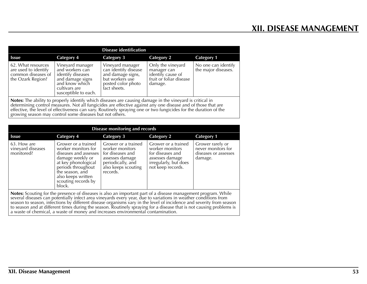| <b>Disease identification</b>                                                         |                                                                                                                                         |                                                                                                                        |                                                                                             |                                            |
|---------------------------------------------------------------------------------------|-----------------------------------------------------------------------------------------------------------------------------------------|------------------------------------------------------------------------------------------------------------------------|---------------------------------------------------------------------------------------------|--------------------------------------------|
| <b>Issue</b>                                                                          | <b>Category 4</b>                                                                                                                       | Category 3                                                                                                             | Category 2                                                                                  | <b>Category 1</b>                          |
| 62. What resources<br>are used to identify<br>common diseases of<br>the Ozark Region? | Vineyard manager<br>and workers can<br>identify diseases<br>and damage signs<br>and know which<br>cultivars are<br>susceptible to each. | Vineyard manager<br>can identify disease<br>and damage signs,<br>but workers use<br>posted color photo<br>fact sheets. | Only the vineyard<br>manager can<br>identify cause of<br>fruit or foliar disease<br>damage. | No one can identify<br>the major diseases. |
|                                                                                       | <b>Notes:</b> The ability to properly identify which diseases are causing damage in the vinevard is critical in                         |                                                                                                                        |                                                                                             |                                            |

**Notes:** The ability to properly identify which diseases are causing damage in the vineyard is critical in determining control measures. Not all fungicides are effective against any one disease and of those that are effective, the level of effectiveness can vary. Routinely spraying one or two fungicides for the duration of the growing season may control some diseases but not others.

| Disease monitoring and records                                                                                                                                                                                                                                                                                                                                                                                                                                                                                                                                      |                                                                                                                                                                                                                  |                                                                                                                                       |                                                                                                                             |                                                                           |
|---------------------------------------------------------------------------------------------------------------------------------------------------------------------------------------------------------------------------------------------------------------------------------------------------------------------------------------------------------------------------------------------------------------------------------------------------------------------------------------------------------------------------------------------------------------------|------------------------------------------------------------------------------------------------------------------------------------------------------------------------------------------------------------------|---------------------------------------------------------------------------------------------------------------------------------------|-----------------------------------------------------------------------------------------------------------------------------|---------------------------------------------------------------------------|
| <b>Issue</b>                                                                                                                                                                                                                                                                                                                                                                                                                                                                                                                                                        | <b>Category 4</b>                                                                                                                                                                                                | <b>Category 3</b>                                                                                                                     | <b>Category 2</b>                                                                                                           | <b>Category 1</b>                                                         |
| 63. How are<br>vineyard diseases<br>monitored?                                                                                                                                                                                                                                                                                                                                                                                                                                                                                                                      | Grower or a trained<br>worker monitors for<br>diseases and assesses I<br>damage weekly or<br>at key phonological<br>periods throughout<br>the season, and<br>also keeps written<br>scouting records by<br>block. | Grower or a trained<br>worker monitors<br>for diseases and<br>assesses damage<br>periodically, and<br>also keeps scouting<br>records. | Grower or a trained<br>worker monitors<br>for diseases and<br>assesses damage<br>irregularly, but does<br>not keep records. | Grower rarely or<br>never monitors for<br>diseases or assesses<br>damage. |
| Notes: Scouting for the presence of diseases is also an important part of a disease management program. While<br>several diseases can potentially infect area vineyards every year, due to variations in weather conditions from<br>season to season, infections by different disease organisms vary in the level of incidence and severity from season<br>to season and at different times during the season. Routinely spraying for a disease that is not causing problems is<br>a waste of chemical, a waste of money and increases environmental contamination. |                                                                                                                                                                                                                  |                                                                                                                                       |                                                                                                                             |                                                                           |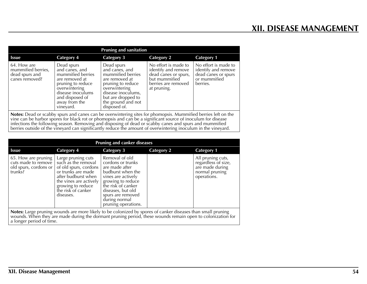| <b>Pruning and sanitation</b>                                         |                                                                                                                                                                                 |                                                                                                                                                                                             |                                                                                                                            |                                                                                                |
|-----------------------------------------------------------------------|---------------------------------------------------------------------------------------------------------------------------------------------------------------------------------|---------------------------------------------------------------------------------------------------------------------------------------------------------------------------------------------|----------------------------------------------------------------------------------------------------------------------------|------------------------------------------------------------------------------------------------|
| <b>Issue</b>                                                          | <b>Category 4</b>                                                                                                                                                               | <b>Category 3</b>                                                                                                                                                                           | <b>Category 2</b>                                                                                                          | <b>Category 1</b>                                                                              |
| 64. How are<br>mummified berries,<br>dead spurs and<br>canes removed? | Dead spurs<br>and canes, and<br>mummified berries<br>are removed at<br>pruning to reduce<br>overwintering<br>disease inoculums<br>and disposed of<br>away from the<br>vinevard. | Dead spurs<br>and canes, and<br>mummified berries<br>are removed at<br>pruning to reduce<br>overwintering<br>disease inoculums,<br>but are dropped to<br>the ground and not<br>disposed of. | No effort is made to<br>identify and remove<br>dead canes or spurs,<br>but mummified<br>berries are removed<br>at pruning. | No effort is made to<br>identify and remove<br>dead canes or spurs<br>or mummified<br>berries. |
|                                                                       |                                                                                                                                                                                 |                                                                                                                                                                                             | Notes: Doad or scabby spure and capes can be overwintering sites for phomopsis, Mummified berries left on the              |                                                                                                |

**Notes:** Dead or scabby spurs and canes can be overwintering sites for phomopsis. Mummified berries left on the vine can be harbor spores for black rot or phomopsis and can be a significant source of inoculum for disease infections the following season. Removing and disposing of dead or scabby canes and spurs and mummified berries outside of the vineyard can significantly reduce the amount of overwintering inoculum in the vineyard.

| <b>Pruning and canker diseases</b>                                                                                                                                                                                               |                                                                                                                                                                                                   |                                                                                                                                                                                                                               |                   |                                                                                              |
|----------------------------------------------------------------------------------------------------------------------------------------------------------------------------------------------------------------------------------|---------------------------------------------------------------------------------------------------------------------------------------------------------------------------------------------------|-------------------------------------------------------------------------------------------------------------------------------------------------------------------------------------------------------------------------------|-------------------|----------------------------------------------------------------------------------------------|
| <b>Issue</b>                                                                                                                                                                                                                     | <b>Category 4</b>                                                                                                                                                                                 | <b>Category 3</b>                                                                                                                                                                                                             | <b>Category 2</b> | <b>Category 1</b>                                                                            |
| 65. How are pruning  <br>cuts made to remove<br>old spurs, cordons or<br>trunks?                                                                                                                                                 | Large pruning cuts<br>such as the removal<br>of old spurs, cordons<br>or trunks are made<br>after budburst when<br>the vines are actively<br>growing to reduce<br>the risk of canker<br>diseases. | Removal of old<br>cordons or trunks<br>are made after<br>budburst when the<br>vines are actively<br>growing to reduce<br>the risk of canker<br>diseases, but old<br>spurs are removed<br>during normal<br>pruning operations. |                   | All pruning cuts,<br>regardless of size,<br>are made during<br>normal pruning<br>operations. |
| <b>Notes:</b> Large pruning wounds are more likely to be colonized by spores of canker diseases than small pruning<br>wounds. When they are made during the dormant pruning period, these wounds remain open to colonization for |                                                                                                                                                                                                   |                                                                                                                                                                                                                               |                   |                                                                                              |

a longer period of time.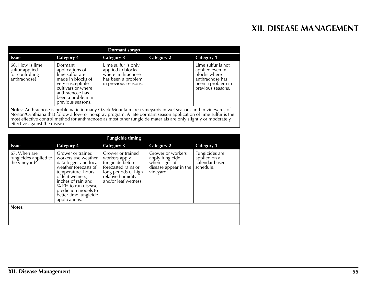| <b>Dormant sprays</b>                                                                                                                                                                                                                                                                                                                                                             |                                                                                                                                                                           |                                                                                                             |                   |                                                                                                                    |
|-----------------------------------------------------------------------------------------------------------------------------------------------------------------------------------------------------------------------------------------------------------------------------------------------------------------------------------------------------------------------------------|---------------------------------------------------------------------------------------------------------------------------------------------------------------------------|-------------------------------------------------------------------------------------------------------------|-------------------|--------------------------------------------------------------------------------------------------------------------|
| <b>Issue</b>                                                                                                                                                                                                                                                                                                                                                                      | Category 4                                                                                                                                                                | Category 3                                                                                                  | <b>Category 2</b> | <b>Category 1</b>                                                                                                  |
| 66. How is lime<br>sulfur applied<br>for controlling<br>anthracnose?                                                                                                                                                                                                                                                                                                              | Dormant<br>applications of<br>lime sulfur are<br>made in blocks of<br>very susceptible<br>cultivars or where<br>anthracnose has<br>been a problem in<br>previous seasons. | Lime sulfur is only<br>applied to blocks<br>where anthracnose<br>has been a problem<br>in previous seasons. |                   | Lime sulfur is not<br>applied even in<br>blocks where<br>anthracnose has<br>been a problem in<br>previous seasons. |
| Notes: Anthracnose is problematic in many Ozark Mountain area vineyards in wet seasons and in vineyards of<br>Norton/Cynthiana that follow a low- or no-spray program. A late dormant season application of lime sulfur is the<br>most effective control method for anthracnose as most other fungicide materials are only slightly or moderate<br>effective against the disease. |                                                                                                                                                                           |                                                                                                             |                   |                                                                                                                    |

| <b>Fungicide timing</b>                                |                                                                                                                                                                                                                                                    |                                                                                                                                                    |                                                                                             |                                                               |
|--------------------------------------------------------|----------------------------------------------------------------------------------------------------------------------------------------------------------------------------------------------------------------------------------------------------|----------------------------------------------------------------------------------------------------------------------------------------------------|---------------------------------------------------------------------------------------------|---------------------------------------------------------------|
| <b>Issue</b>                                           | <b>Category 4</b>                                                                                                                                                                                                                                  | <b>Category 3</b>                                                                                                                                  | <b>Category 2</b>                                                                           | <b>Category 1</b>                                             |
| 67. When are<br>fungicides applied to<br>the vineyard? | Grower or trained<br>workers use weather<br>data logger and local<br>weather forecasts of<br>temperature, hours<br>of leaf wetness,<br>inches of rain and<br>% RH to run disease<br>prediction models to<br>better time fungicide<br>applications. | Grower or trained<br>workers apply<br>fungicide before<br>forecasted rains or<br>long periods of high<br>relative humidity<br>and/or leaf wetness. | Grower or workers<br>apply fungicide<br>when signs of<br>disease appear in the<br>vineyard. | Fungicides are<br>applied on a<br>calendar-based<br>schedule. |
| Notes:                                                 |                                                                                                                                                                                                                                                    |                                                                                                                                                    |                                                                                             |                                                               |
|                                                        |                                                                                                                                                                                                                                                    |                                                                                                                                                    |                                                                                             |                                                               |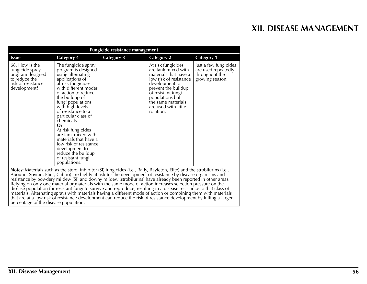| <b>Fungicide resistance management</b>                                                                                                                                                                                                                                                                                                                                                                                                                                 |                                                                                                                                                                                                                                                                                                                                                                                                                                                                   |                   |                                                                                                                                                                                                                                           |                                                                                   |
|------------------------------------------------------------------------------------------------------------------------------------------------------------------------------------------------------------------------------------------------------------------------------------------------------------------------------------------------------------------------------------------------------------------------------------------------------------------------|-------------------------------------------------------------------------------------------------------------------------------------------------------------------------------------------------------------------------------------------------------------------------------------------------------------------------------------------------------------------------------------------------------------------------------------------------------------------|-------------------|-------------------------------------------------------------------------------------------------------------------------------------------------------------------------------------------------------------------------------------------|-----------------------------------------------------------------------------------|
| <b>Issue</b>                                                                                                                                                                                                                                                                                                                                                                                                                                                           | <b>Category 4</b>                                                                                                                                                                                                                                                                                                                                                                                                                                                 | <b>Category 3</b> | <b>Category 2</b>                                                                                                                                                                                                                         | <b>Category 1</b>                                                                 |
| 68. How is the<br>fungicide spray<br>program designed<br>to reduce the<br>risk of resistance<br>development?                                                                                                                                                                                                                                                                                                                                                           | The fungicide spray<br>program is designed<br>using alternating<br>applications of<br>at-risk fungicides<br>with different modes<br>of action to reduce<br>the buildup of<br>fungi populations<br>with high levels<br>of resistance to a<br>particular class of<br>chemicals.<br>0r<br>At risk fungicides<br>are tank mixed with<br>materials that have a<br>low risk of resistance<br>development to<br>reduce the buildup<br>of resistant fungi<br>populations. |                   | At risk fungicides<br>are tank mixed with<br>materials that have a<br>low risk of resistance<br>development to<br>prevent the buildup<br>of resistant fungi<br>populations but<br>the same materials<br>are used with little<br>rotation. | Just a few fungicides<br>are used repeatedly<br>throughout the<br>growing season. |
| Notes: Materials such as the sterol inhibitor (SI) fungicides (i.e., Rally, Bayleton, Elite) and the strobilurins (i.e.,<br>Abound, Sovran, Flint, Cabrio) are highly at risk for the development of resistance by disease organisms and<br>resistance by powdery mildew (SI) and downy mildew (strobilurins) have already been reported in other areas.<br>Relying on only one material or materials with the same mode of action increases selection pressure on the |                                                                                                                                                                                                                                                                                                                                                                                                                                                                   |                   |                                                                                                                                                                                                                                           |                                                                                   |
|                                                                                                                                                                                                                                                                                                                                                                                                                                                                        | disease population for resistant fungi to survive and reproduce, resulting in a disease resistance to that class of                                                                                                                                                                                                                                                                                                                                               |                   |                                                                                                                                                                                                                                           |                                                                                   |

materials. Alternating sprays with materials having a different mode of action or combining them with materials

that are at a low risk of resistance development can reduce the risk of resistance development by killing a larger percentage of the disease population.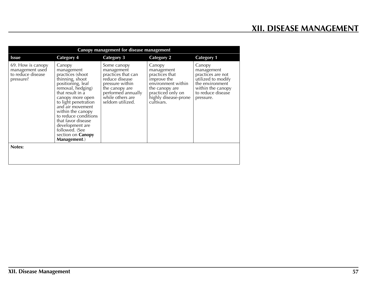| Canopy management for disease management                               |                                                                                                                                                                                                                                                                                                                                        |                                                                                                                                                                      |                                                                                                                                                          |                                                                                                                                           |
|------------------------------------------------------------------------|----------------------------------------------------------------------------------------------------------------------------------------------------------------------------------------------------------------------------------------------------------------------------------------------------------------------------------------|----------------------------------------------------------------------------------------------------------------------------------------------------------------------|----------------------------------------------------------------------------------------------------------------------------------------------------------|-------------------------------------------------------------------------------------------------------------------------------------------|
| Issue                                                                  | <b>Category 4</b>                                                                                                                                                                                                                                                                                                                      | <b>Category 3</b>                                                                                                                                                    | <b>Category 2</b>                                                                                                                                        | <b>Category 1</b>                                                                                                                         |
| 69. How is canopy<br>management used<br>to reduce disease<br>pressure? | Canopy<br>management<br>practices (shoot<br>thinning, shoot<br>positioning, leaf<br>removal, hedging)<br>that result in a<br>canopy more open<br>to light penetration<br>and air movement<br>within the canopy<br>to reduce conditions<br>that favor disease<br>development are<br>followed. (See<br>section on Canopy<br>Management.) | Some canopy<br>management<br>practices that can<br>reduce disease<br>pressure within<br>the canopy are<br>performed annually<br>while others are<br>seldom utilized. | Canopy<br>management<br>practices that<br>improve the<br>environment within<br>the canopy are<br>practiced only on<br>highly disease-prone<br>cultivars. | Canopy<br>management<br>practices are not<br>utilized to modify<br>the environment<br>within the canopy<br>to reduce disease<br>pressure. |
| Notes:                                                                 |                                                                                                                                                                                                                                                                                                                                        |                                                                                                                                                                      |                                                                                                                                                          |                                                                                                                                           |
|                                                                        |                                                                                                                                                                                                                                                                                                                                        |                                                                                                                                                                      |                                                                                                                                                          |                                                                                                                                           |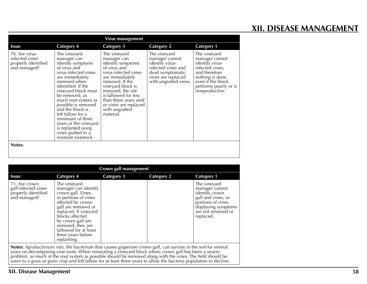# **XII. DISEASE MANAGEMENT**

| Virus management                                                        |                                                                                                                                                                                                                                                                                                                                                                                                    |                                                                                                                                                                                                                                                                                   |                                                                                                                                            |                                                                                                                                                                          |
|-------------------------------------------------------------------------|----------------------------------------------------------------------------------------------------------------------------------------------------------------------------------------------------------------------------------------------------------------------------------------------------------------------------------------------------------------------------------------------------|-----------------------------------------------------------------------------------------------------------------------------------------------------------------------------------------------------------------------------------------------------------------------------------|--------------------------------------------------------------------------------------------------------------------------------------------|--------------------------------------------------------------------------------------------------------------------------------------------------------------------------|
| Issue                                                                   | <b>Category 4</b>                                                                                                                                                                                                                                                                                                                                                                                  | <b>Category 3</b>                                                                                                                                                                                                                                                                 | <b>Category 2</b>                                                                                                                          | <b>Category 1</b>                                                                                                                                                        |
| 70. Are virus-<br>infected vines<br>properly identified<br>and managed? | The vineyard<br>manager can<br>identify symptoms<br>of virus and<br>virus-infected vines<br>are immediately<br>removed when<br>identified. If the<br>vineyard block must<br>be removed, as<br>much root system as<br>possible is removed<br>and the block is<br>left fallow for a<br>minimum of three<br>years or the vineyard<br>is replanted using<br>vines grafted to a<br>resistant rootstock. | The vineyard<br>manager can<br>identify symptoms<br>of virus and<br>virus-infected vines<br>are immediately<br>removed. If the<br>vineyard block is<br>removed, the site<br>is fallowed for less<br>than three years and/<br>or vines are replaced<br>with ungrafted<br>material. | The vineyard<br>manager cannot<br>identify virus-<br>infected vines and<br>dead symptomatic<br>vines are replaced<br>with ungrafted vines. | The vineyard<br>manager cannot<br>identify virus-<br>infected vines,<br>and therefore<br>nothing is done<br>even if the block<br>performs poorly or is<br>nonproductive. |
| Notes:                                                                  |                                                                                                                                                                                                                                                                                                                                                                                                    |                                                                                                                                                                                                                                                                                   |                                                                                                                                            |                                                                                                                                                                          |

| Crown gall management                                                                                                                                                                                                                                                                                                                                                                                                                                         |                                                                                                                                                                                                                                                                                   |                   |                   |                                                                                                                                                       |
|---------------------------------------------------------------------------------------------------------------------------------------------------------------------------------------------------------------------------------------------------------------------------------------------------------------------------------------------------------------------------------------------------------------------------------------------------------------|-----------------------------------------------------------------------------------------------------------------------------------------------------------------------------------------------------------------------------------------------------------------------------------|-------------------|-------------------|-------------------------------------------------------------------------------------------------------------------------------------------------------|
| <b>Issue</b>                                                                                                                                                                                                                                                                                                                                                                                                                                                  | <b>Category 4</b>                                                                                                                                                                                                                                                                 | <b>Category 3</b> | <b>Category 2</b> | <b>Category 1</b>                                                                                                                                     |
| 71. Are crown<br>gall-infected vines<br>properly identified<br>and managed?                                                                                                                                                                                                                                                                                                                                                                                   | The vineyard<br>manager can identify<br>crown gall. Vines<br>or portions of vines<br>affected by crown<br>gall are removed or<br>replaced. If vineyard<br>blocks affected<br>by crown gall are<br>removed, they are<br>fallowed for at least<br>three years before<br>replanting. |                   |                   | The vineyard<br>manager cannot<br>identify crown<br>gall and vines, or<br>portions of vines<br>displaying symptoms<br>are not removed or<br>replaced. |
| Notes: Agrobacterium vitis, the bacterium that causes grapevine crown gall, can survive in the soil for several<br>years on decomposing vine roots. When renovating a vineyard block where crown gall has been a severe<br>problem, as much of the root system as possible should be removed along with the vines. The field should be<br>sown to a grass or grain crop and left fallow for at least three years to allow the bacteria population to decline. |                                                                                                                                                                                                                                                                                   |                   |                   |                                                                                                                                                       |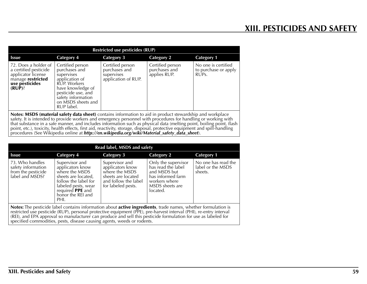| <b>Restricted use pesticides (RUP)</b>                                                                                  |                                                                                                                                                                                        |                                                                                                                                    |                                                                                        |                                                                   |
|-------------------------------------------------------------------------------------------------------------------------|----------------------------------------------------------------------------------------------------------------------------------------------------------------------------------------|------------------------------------------------------------------------------------------------------------------------------------|----------------------------------------------------------------------------------------|-------------------------------------------------------------------|
| <b>Issue</b>                                                                                                            | <b>Category 4</b>                                                                                                                                                                      | <b>Category 3</b>                                                                                                                  | <b>Category 2</b>                                                                      | <b>Category 1</b>                                                 |
| 72. Does a holder of<br>a certified pesticide<br>applicator license<br>manage restricted<br>use pesticides<br>$(RUP)$ ? | Certified person<br>purchases and<br>supervises<br>application of<br>RUP. Workers<br>have knowledge of<br>pesticide use, and<br>safety information<br>on MSDS sheets and<br>RUP label. | Certified person<br>purchases and<br>supervises<br>application of RUP.                                                             | Certified person<br>purchases and<br>applies RUP.                                      | No one is certified<br>to purchase or apply<br>RUP <sub>S</sub> . |
|                                                                                                                         | .                                                                                                                                                                                      | $\cdot$ $\cdot$<br>the contract of the contract of the contract of the contract of the contract of the contract of the contract of | $\cdots$<br>$\cdot$ $\cdot$ $\cdot$<br>the contract of the contract of the contract of | . .                                                               |

**Notes:** MSDS (material safety data sheet) contains information to aid in product stewardship and workplace safety. It is intended to provide workers and emergency personnel with procedures for handling or working with that substance in a safe manner, and includes information such as physical data (melting point, boiling point, flash point, etc.), toxicity, health effects, first aid, reactivity, storage, disposal, protective equipment and spill-handling procedures (See Wikipedia online at *http://en.wikipedia.org/wiki/Material\_safety\_data\_sheet*).

| Read label, MSDS and safety                                                                                                                                                                                                         |                                                                                                                                                                                    |                                                                                                                          |                                                                                                                                |                                                     |
|-------------------------------------------------------------------------------------------------------------------------------------------------------------------------------------------------------------------------------------|------------------------------------------------------------------------------------------------------------------------------------------------------------------------------------|--------------------------------------------------------------------------------------------------------------------------|--------------------------------------------------------------------------------------------------------------------------------|-----------------------------------------------------|
| <b>Issue</b>                                                                                                                                                                                                                        | Category 4                                                                                                                                                                         | Category 3                                                                                                               | <b>Category 2</b>                                                                                                              | <b>Category 1</b>                                   |
| 73. Who handles<br>safety information<br>from the pesticide<br>label and MSDS?                                                                                                                                                      | Supervisor and<br>applicators know<br>where the MSDS<br>sheets are located,<br>follow the label for<br>labeled pests, wear<br>required <b>PPE</b> and<br>honor the REI and<br>PHI. | Supervisor and<br>applicators know<br>where the MSDS<br>sheets are located<br>and follow the label<br>for labeled pests. | Only the supervisor<br>has read the label<br>and MSDS but<br>has informed farm<br>workers where<br>MSDS sheets are<br>located. | No one has read the<br>label or the MSDS<br>sheets. |
| Notes: The pesticide label contains information about active ingredients, trade names, whether formulation is<br>restricted use pesticide (RUP), personal protective equipment (PPE), pre-harvest interval (PHI), re-entry interval |                                                                                                                                                                                    |                                                                                                                          |                                                                                                                                |                                                     |

restricted use pesticide (RUP), personal protective equipment (PPE), pre-harvest interval (PHI), re-entry interval (REI), and EPA approval so manufacturer can produce and sell this pesticide formulation for use as labeled for specified commodities, pests, disease causing agents, weeds or rodents.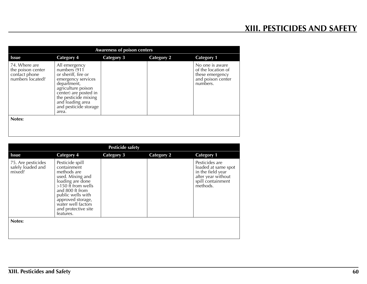| <b>Awareness of poison centers</b>                                      |                                                                                                                                                                                                                        |                   |                   |                                                                                           |
|-------------------------------------------------------------------------|------------------------------------------------------------------------------------------------------------------------------------------------------------------------------------------------------------------------|-------------------|-------------------|-------------------------------------------------------------------------------------------|
| <b>Issue</b>                                                            | <b>Category 4</b>                                                                                                                                                                                                      | <b>Category 3</b> | <b>Category 2</b> | <b>Category 1</b>                                                                         |
| 74. Where are<br>the poison center<br>contact phone<br>numbers located? | All emergency<br>numbers (911<br>or sheriff, fire or<br>emergency services<br>department,<br>agriculture poison<br>center) are posted in<br>the pesticide mixing<br>and loading area<br>and pesticide storage<br>area. |                   |                   | No one is aware<br>of the location of<br>these emergency<br>and poison center<br>numbers. |
| Notes:                                                                  |                                                                                                                                                                                                                        |                   |                   |                                                                                           |
|                                                                         |                                                                                                                                                                                                                        |                   |                   |                                                                                           |

| <b>Pesticide safety</b>                           |                                                                                                                                                                                                                                      |                   |                   |                                                                                                                   |  |
|---------------------------------------------------|--------------------------------------------------------------------------------------------------------------------------------------------------------------------------------------------------------------------------------------|-------------------|-------------------|-------------------------------------------------------------------------------------------------------------------|--|
| <b>Issue</b>                                      | <b>Category 4</b>                                                                                                                                                                                                                    | <b>Category 3</b> | <b>Category 2</b> | <b>Category 1</b>                                                                                                 |  |
| 75. Are pesticides<br>safely loaded and<br>mixed? | Pesticide spill<br>containment<br>methods are<br>used. Mixing and<br>loading are done<br>$>150$ ft from wells<br>and 800 ft from<br>public wells with<br>approved storage,<br>water well factors<br>and protective site<br>features. |                   |                   | Pesticides are<br>loaded at same spot<br>in the field year<br>after year without<br>spill containment<br>methods. |  |
| Notes:                                            |                                                                                                                                                                                                                                      |                   |                   |                                                                                                                   |  |
|                                                   |                                                                                                                                                                                                                                      |                   |                   |                                                                                                                   |  |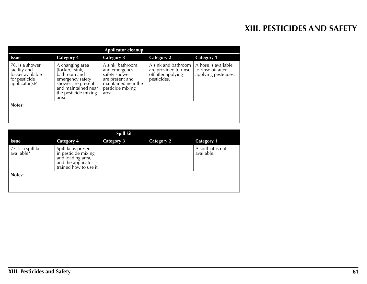| <b>Applicator cleanup</b>                                                              |                                                                                                                                                      |                                                                                                                           |                                                                                   |                                                                   |
|----------------------------------------------------------------------------------------|------------------------------------------------------------------------------------------------------------------------------------------------------|---------------------------------------------------------------------------------------------------------------------------|-----------------------------------------------------------------------------------|-------------------------------------------------------------------|
| <b>Issue</b>                                                                           | <b>Category 4</b>                                                                                                                                    | <b>Category 3</b>                                                                                                         | <b>Category 2</b>                                                                 | <b>Category 1</b>                                                 |
| 76. Is a shower<br>facility and<br>locker available<br>for pesticide<br>applicator(s)? | A changing area<br>(locker), sink,<br>bathroom and<br>emergency safety<br>shower are present<br>and maintained near<br>the pesticide mixing<br>area. | A sink, bathroom<br>and emergency<br>safety shower<br>are present and<br>maintained near the<br>pesticide mixing<br>area. | A sink and bathroom<br>are provided to rinse<br>off after applying<br>pesticides. | A hose is available<br>to rinse off after<br>applying pesticides. |
| Notes:                                                                                 |                                                                                                                                                      |                                                                                                                           |                                                                                   |                                                                   |
|                                                                                        |                                                                                                                                                      |                                                                                                                           |                                                                                   |                                                                   |

| Spill kit                        |                                                                                                                     |                   |                   |                                  |
|----------------------------------|---------------------------------------------------------------------------------------------------------------------|-------------------|-------------------|----------------------------------|
| <b>Issue</b>                     | <b>Category 4</b>                                                                                                   | <b>Category 3</b> | <b>Category 2</b> | <b>Category 1</b>                |
| 77. Is a spill kit<br>available? | Spill kit is present<br>in pesticide mixing<br>and loading area,<br>and the applicator is<br>trained how to use it. |                   |                   | A spill kit is not<br>available. |
| Notes:                           |                                                                                                                     |                   |                   |                                  |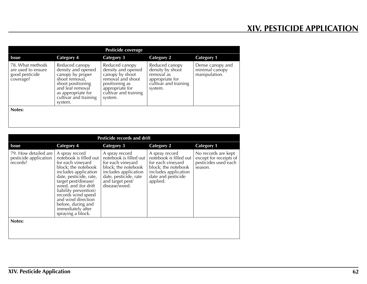| Pesticide coverage                                                    |                                                                                                                                                                               |                                                                                                                                                       |                                                                                                         |                                                     |
|-----------------------------------------------------------------------|-------------------------------------------------------------------------------------------------------------------------------------------------------------------------------|-------------------------------------------------------------------------------------------------------------------------------------------------------|---------------------------------------------------------------------------------------------------------|-----------------------------------------------------|
| <b>Issue</b>                                                          | <b>Category 4</b>                                                                                                                                                             | <b>Category 3</b>                                                                                                                                     | <b>Category 2</b>                                                                                       | <b>Category 1</b>                                   |
| 78. What methods<br>are used to ensure<br>good pesticide<br>coverage? | Reduced canopy<br>density and opened<br>canopy by proper<br>shoot removal,<br>shoot positioning<br>and leaf removal<br>as appropriate for<br>cultivar and training<br>system. | Reduced canopy<br>density and opened<br>canopy by shoot<br>removal and shoot<br>positioning as<br>appropriate for<br>cultivar and training<br>system. | Reduced canopy<br>density by shoot<br>removal as<br>appropriate for<br>cultivar and training<br>system. | Dense canopy and<br>minimal canopy<br>manipulation. |
| Notes:                                                                |                                                                                                                                                                               |                                                                                                                                                       |                                                                                                         |                                                     |
|                                                                       |                                                                                                                                                                               |                                                                                                                                                       |                                                                                                         |                                                     |

| <b>Pesticide records and drift</b>                        |                                                                                                                                                                                                                                                                                                                             |                                                                                                                                                                            |                                                                                                                                                |                                                                                  |  |
|-----------------------------------------------------------|-----------------------------------------------------------------------------------------------------------------------------------------------------------------------------------------------------------------------------------------------------------------------------------------------------------------------------|----------------------------------------------------------------------------------------------------------------------------------------------------------------------------|------------------------------------------------------------------------------------------------------------------------------------------------|----------------------------------------------------------------------------------|--|
| <b>Issue</b>                                              | <b>Category 4</b>                                                                                                                                                                                                                                                                                                           | <b>Category 3</b>                                                                                                                                                          | <b>Category 2</b>                                                                                                                              | <b>Category 1</b>                                                                |  |
| 79. How detailed are<br>pesticide application<br>records? | A spray record<br>notebook is filled out<br>for each vineyard<br>block; the notebook<br>includes application<br>date, pesticide, rate,<br>target pest/disease/<br>weed, and (for drift<br>liability prevention)<br>records wind speed<br>and wind direction<br>before, during and<br>immediately after<br>spraying a block. | A spray record<br>notebook is filled out<br>for each vineyard<br>block; the notebook<br>includes application<br>date, pesticide, rate<br>and target pest/<br>disease/weed. | A spray record<br>notebook is filled out<br>for each vineyard<br>block; the notebook<br>includes application<br>date and pesticide<br>applied. | No records are kept<br>except for receipts of<br>pesticides used each<br>season. |  |
| Notes:                                                    |                                                                                                                                                                                                                                                                                                                             |                                                                                                                                                                            |                                                                                                                                                |                                                                                  |  |
|                                                           |                                                                                                                                                                                                                                                                                                                             |                                                                                                                                                                            |                                                                                                                                                |                                                                                  |  |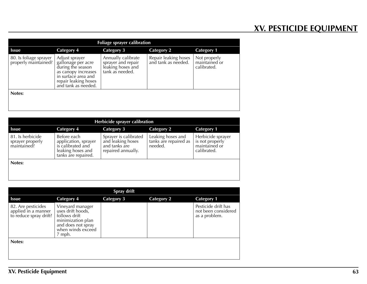# **XV. PESTICIDE EQUIPMENT**

| <b>Foliage sprayer calibration</b>             |                                                                                                                                                        |                                                                                  |                                             |                                              |
|------------------------------------------------|--------------------------------------------------------------------------------------------------------------------------------------------------------|----------------------------------------------------------------------------------|---------------------------------------------|----------------------------------------------|
| <b>Issue</b>                                   | <b>Category 4</b>                                                                                                                                      | <b>Category 3</b>                                                                | Category 2                                  | <b>Category 1</b>                            |
| 80. Is foliage sprayer<br>properly maintained? | Adjust sprayer<br>gallonage per acre<br>during the season<br>as canopy increases<br>in surface area and<br>repair leaking hoses<br>and tank as needed. | Annually calibrate<br>sprayer and repair<br>leaking hoses and<br>tank as needed. | Repair leaking hoses<br>and tank as needed. | Not properly<br>maintained or<br>calibrated. |
| Notes:                                         |                                                                                                                                                        |                                                                                  |                                             |                                              |

| Herbicide sprayer calibration                       |                                                                                                      |                                                                                   |                                                       |                                                                      |
|-----------------------------------------------------|------------------------------------------------------------------------------------------------------|-----------------------------------------------------------------------------------|-------------------------------------------------------|----------------------------------------------------------------------|
| <b>Issue</b>                                        | <b>Category 4</b>                                                                                    | Category 3                                                                        | <b>Category 2</b>                                     | <b>Category 1</b>                                                    |
| 81. Is herbicide<br>sprayer properly<br>maintained? | Before each<br>application, sprayer<br>is calibrated and<br>leaking hoses and<br>tanks are repaired. | Sprayer is calibrated<br>and leaking hoses<br>and tanks are<br>repaired annually. | Leaking hoses and<br>tanks are repaired as<br>needed. | Herbicide sprayer<br>is not properly<br>maintained or<br>calibrated. |
| Notes:                                              |                                                                                                      |                                                                                   |                                                       |                                                                      |

| Spray drift                                                         |                                                                                                                                  |                   |                   |                                                             |  |
|---------------------------------------------------------------------|----------------------------------------------------------------------------------------------------------------------------------|-------------------|-------------------|-------------------------------------------------------------|--|
| <b>Issue</b>                                                        | <b>Category 4</b>                                                                                                                | <b>Category 3</b> | <b>Category 2</b> | <b>Category 1</b>                                           |  |
| 82. Are pesticides<br>applied in a manner<br>to reduce spray drift? | Vineyard manager<br>uses drift hoods,<br>follows drift<br>minimization plan<br>and does not spray<br>when winds exceed<br>7 mph. |                   |                   | Pesticide drift has<br>not been considered<br>as a problem. |  |
| Notes:                                                              |                                                                                                                                  |                   |                   |                                                             |  |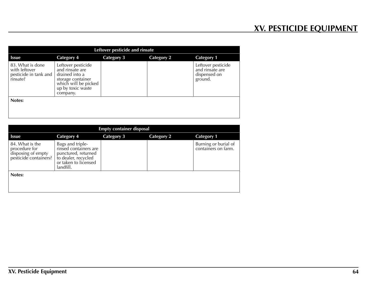| Leftover pesticide and rinsate                                     |                                                                                                                                       |                   |                   |                                                                  |
|--------------------------------------------------------------------|---------------------------------------------------------------------------------------------------------------------------------------|-------------------|-------------------|------------------------------------------------------------------|
| Issue                                                              | <b>Category 4</b>                                                                                                                     | <b>Category 3</b> | <b>Category 2</b> | <b>Category 1</b>                                                |
| 83. What is done<br>with leftover<br>pesticide in tank and $\vert$ | Leftover pesticide<br>and rinsate are<br>drained into a<br>storage container<br>which will be picked<br>up by toxic waste<br>company. |                   |                   | Leftover pesticide<br>and rinsate are<br>dispensed on<br>ground. |
| Notes:                                                             |                                                                                                                                       |                   |                   |                                                                  |
|                                                                    |                                                                                                                                       |                   |                   |                                                                  |

| <b>Empty container disposal</b>                                                 |                                                                                                                              |                   |                   |                                             |  |  |  |  |
|---------------------------------------------------------------------------------|------------------------------------------------------------------------------------------------------------------------------|-------------------|-------------------|---------------------------------------------|--|--|--|--|
| <b>Issue</b>                                                                    | <b>Category 4</b>                                                                                                            | <b>Category 3</b> | <b>Category 2</b> | <b>Category 1</b>                           |  |  |  |  |
| 84. What is the<br>procedure for<br>disposing of empty<br>pesticide containers? | Bags and triple-<br>rinsed containers are<br>punctured, returned<br>to dealer, recycled<br>or taken to licensed<br>landfill. |                   |                   | Burning or burial of<br>containers on farm. |  |  |  |  |
| Notes:                                                                          |                                                                                                                              |                   |                   |                                             |  |  |  |  |
|                                                                                 |                                                                                                                              |                   |                   |                                             |  |  |  |  |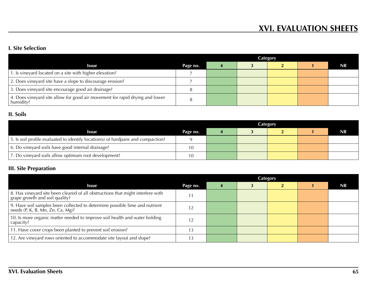### **I. Site Selection**

|                                                                                           |          | Category |  |  |  |           |
|-------------------------------------------------------------------------------------------|----------|----------|--|--|--|-----------|
| Issue                                                                                     | Page no. |          |  |  |  | <b>NR</b> |
| 1. Is vineyard located on a site with higher elevation?                                   |          |          |  |  |  |           |
| 2. Does vineyard site have a slope to discourage erosion?                                 |          |          |  |  |  |           |
| 3. Does vineyard site encourage good air drainage?                                        |          |          |  |  |  |           |
| 4. Does vineyard site allow for good air movement for rapid drying and lower<br>humidity? |          |          |  |  |  |           |

### **II. Soils**

|                                                                                  | Category |  |  |  |  |           |
|----------------------------------------------------------------------------------|----------|--|--|--|--|-----------|
| <b>Issue</b>                                                                     | Page no. |  |  |  |  | <b>NR</b> |
| 5. Is soil profile evaluated to identify location(s) of hardpans and compaction? |          |  |  |  |  |           |
| 6. Do vineyard soils have good internal drainage?                                |          |  |  |  |  |           |
| 7. Do vineyard soils allow optimum root development?                             |          |  |  |  |  |           |

# **III. Site Preparation**

|                                                                                                                   | Category |  |  |  |  |    |
|-------------------------------------------------------------------------------------------------------------------|----------|--|--|--|--|----|
| <b>Issue</b>                                                                                                      | Page no. |  |  |  |  | NR |
| 8. Has vineyard site been cleared of all obstructions that might interfere with<br>grape growth and soil quality? |          |  |  |  |  |    |
| 9. Have soil samples been collected to determine possible lime and nutrient<br>needs (P, K, B, Mn, Zn, Ca, Mg)?   |          |  |  |  |  |    |
| 10. Is more organic matter needed to improve soil health and water holding<br>capacity?                           |          |  |  |  |  |    |
| 11. Have cover crops been planted to prevent soil erosion?                                                        |          |  |  |  |  |    |
| 12. Are vineyard rows oriented to accommodate site layout and slope?                                              |          |  |  |  |  |    |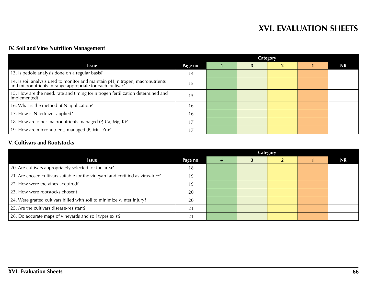### **IV. Soil and Vine Nutrition Management**

|                                                                                                                                           |          | <b>Category</b> |  |  |  |    |  |
|-------------------------------------------------------------------------------------------------------------------------------------------|----------|-----------------|--|--|--|----|--|
| <b>Issue</b>                                                                                                                              | Page no. | $\Delta$        |  |  |  | NR |  |
| 13. Is petiole analysis done on a regular basis?                                                                                          | 14       |                 |  |  |  |    |  |
| 14. Is soil analysis used to monitor and maintain pH, nitrogen, macronutrients and micronutrients in range appropriate for each cultivar? | כ ו      |                 |  |  |  |    |  |
| 15. How are the need, rate and timing for nitrogen fertilization determined and<br>implemented?                                           | Ŀ        |                 |  |  |  |    |  |
| 16. What is the method of N application?                                                                                                  | 16       |                 |  |  |  |    |  |
| 17. How is N fertilizer applied?                                                                                                          | 16       |                 |  |  |  |    |  |
| 18. How are other macronutrients managed (P, Ca, Mg, K)?                                                                                  |          |                 |  |  |  |    |  |
| 19. How are micronutrients managed (B, Mn, Zn)?                                                                                           |          |                 |  |  |  |    |  |

### **V. Cultivars and Rootstocks**

|                                                                                 |          | <b>Category</b> |  |  |  |    |  |
|---------------------------------------------------------------------------------|----------|-----------------|--|--|--|----|--|
| <b>Issue</b>                                                                    | Page no. |                 |  |  |  | NR |  |
| 20. Are cultivars appropriately selected for the area?                          | 18       |                 |  |  |  |    |  |
| 21. Are chosen cultivars suitable for the vineyard and certified as virus-free? | 19       |                 |  |  |  |    |  |
| 22. How were the vines acquired?                                                | 19       |                 |  |  |  |    |  |
| 23. How were rootstocks chosen?                                                 | 20       |                 |  |  |  |    |  |
| 24. Were grafted cultivars hilled with soil to minimize winter injury?          | 20       |                 |  |  |  |    |  |
| 25. Are the cultivars disease-resistant?                                        |          |                 |  |  |  |    |  |
| 26. Do accurate maps of vineyards and soil types exist?                         |          |                 |  |  |  |    |  |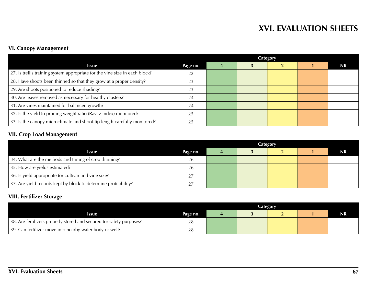## **VI. Canopy Management**

|                                                                             | Category |  |  |  |  |    |  |
|-----------------------------------------------------------------------------|----------|--|--|--|--|----|--|
| <b>Issue</b>                                                                | Page no. |  |  |  |  | NR |  |
| 27. Is trellis training system appropriate for the vine size in each block? | 22       |  |  |  |  |    |  |
| 28. Have shoots been thinned so that they grow at a proper density?         | 23.      |  |  |  |  |    |  |
| 29. Are shoots positioned to reduce shading?                                | 23       |  |  |  |  |    |  |
| 30. Are leaves removed as necessary for healthy clusters?                   | 24       |  |  |  |  |    |  |
| 31. Are vines maintained for balanced growth?                               | 24       |  |  |  |  |    |  |
| 32. Is the yield to pruning weight ratio (Ravaz Index) monitored?           | 25       |  |  |  |  |    |  |
| 33. Is the canopy microclimate and shoot-tip length carefully monitored?    |          |  |  |  |  |    |  |

## **VII. Crop Load Management**

|                                                                 |          | Category |  |  |  |           |  |
|-----------------------------------------------------------------|----------|----------|--|--|--|-----------|--|
| <b>Issue</b>                                                    | Page no. |          |  |  |  | <b>NR</b> |  |
| 34. What are the methods and timing of crop thinning?           | 26       |          |  |  |  |           |  |
| 35. How are yields estimated?                                   | 26       |          |  |  |  |           |  |
| 36. Is yield appropriate for cultivar and vine size?            |          |          |  |  |  |           |  |
| 37. Are yield records kept by block to determine profitability? |          |          |  |  |  |           |  |

### **VIII. Fertilizer Storage**

|                                                                      |          | Category |  |  |  |           |  |
|----------------------------------------------------------------------|----------|----------|--|--|--|-----------|--|
| Issue                                                                | Page no. |          |  |  |  | <b>NR</b> |  |
| 38. Are fertilizers properly stored and secured for safety purposes? | 28       |          |  |  |  |           |  |
| 39. Can fertilizer move into nearby water body or well?              |          |          |  |  |  |           |  |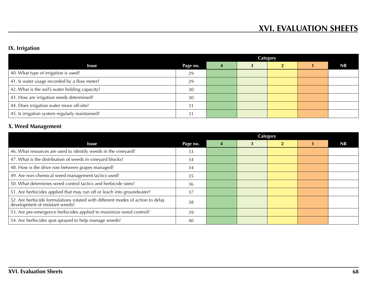# **IX. Irrigation**

|                                                | Category |  |  |  |  |           |
|------------------------------------------------|----------|--|--|--|--|-----------|
| <b>Issue</b>                                   | Page no. |  |  |  |  | <b>NR</b> |
| 40. What type of irrigation is used?           | 29       |  |  |  |  |           |
| 41. Is water usage recorded by a flow meter?   | 29       |  |  |  |  |           |
| 42. What is the soil's water holding capacity? | 30       |  |  |  |  |           |
| 43. How are irrigation needs determined?       | 30       |  |  |  |  |           |
| 44. Does irrigation water move off-site?       |          |  |  |  |  |           |
| 45. Is irrigation system regularly maintained? |          |  |  |  |  |           |

# **X. Weed Management**

| <b>Issue</b>                                                                                                      | Page no. | 4 | 3 |  | <b>NR</b> |
|-------------------------------------------------------------------------------------------------------------------|----------|---|---|--|-----------|
| 46. What resources are used to identify weeds in the vineyard?                                                    | 33       |   |   |  |           |
| 47. What is the distribution of weeds in vineyard blocks?                                                         | 34       |   |   |  |           |
| 48. How is the drive row between grapes managed?                                                                  | 34       |   |   |  |           |
| 49. Are non-chemical weed management tactics used?                                                                | 35       |   |   |  |           |
| 50. What determines weed control tactics and herbicide rates?                                                     | 36       |   |   |  |           |
| 51. Are herbicides applied that may run off or leach into groundwater?                                            | 37       |   |   |  |           |
| 52. Are herbicide formulations rotated with different modes of action to delay<br>development of resistant weeds? | 38       |   |   |  |           |
| 53. Are pre-emergence herbicides applied to maximize weed control?                                                | 39       |   |   |  |           |
| 54. Are herbicides spot sprayed to help manage weeds?                                                             | 40       |   |   |  |           |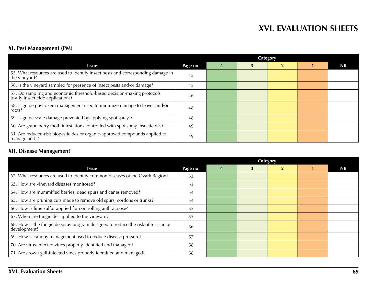## **XI. Pest Management (PM)**

|                                                                                                                       |          | <b>Category</b> |  |  |  |           |  |
|-----------------------------------------------------------------------------------------------------------------------|----------|-----------------|--|--|--|-----------|--|
| <b>Issue</b>                                                                                                          | Page no. | 4               |  |  |  | <b>NR</b> |  |
| 55. What resources are used to identify insect pests and corresponding damage in<br>the vineyard?                     | 45       |                 |  |  |  |           |  |
| 56. Is the vineyard sampled for presence of insect pests and/or damage?                                               | 45       |                 |  |  |  |           |  |
| <sup>1</sup> 57. Do sampling and economic threshold-based decision-making protocols justify insecticide applications? | 46       |                 |  |  |  |           |  |
| 58. Is grape phylloxera management used to minimize damage to leaves and/or<br>roots?                                 | 48       |                 |  |  |  |           |  |
| 59. Is grape scale damage prevented by applying spot sprays?                                                          | 48       |                 |  |  |  |           |  |
| 60. Are grape berry moth infestations controlled with spot spray insecticides?                                        | 49       |                 |  |  |  |           |  |
| 61. Are reduced-risk biopesticides or organic-approved compounds applied to<br>manage pests?                          | 49       |                 |  |  |  |           |  |

## **XII. Disease Management**

|                                                                                                  |          | <b>Category</b> |   |                |  |           |
|--------------------------------------------------------------------------------------------------|----------|-----------------|---|----------------|--|-----------|
| <b>Issue</b>                                                                                     | Page no. | 4               | 3 | $\overline{2}$ |  | <b>NR</b> |
| 62. What resources are used to identify common diseases of the Ozark Region?                     | 53       |                 |   |                |  |           |
| 63. How are vineyard diseases monitored?                                                         | 53       |                 |   |                |  |           |
| 64. How are mummified berries, dead spurs and canes removed?                                     | 54       |                 |   |                |  |           |
| 65. How are pruning cuts made to remove old spurs, cordons or trunks?                            | 54       |                 |   |                |  |           |
| 66. How is lime sulfur applied for controlling anthracnose?                                      | 55       |                 |   |                |  |           |
| 67. When are fungicides applied to the vineyard?                                                 | 55       |                 |   |                |  |           |
| 68. How is the fungicide spray program designed to reduce the risk of resistance<br>development? | 56       |                 |   |                |  |           |
| 69. How is canopy management used to reduce disease pressure?                                    | 57       |                 |   |                |  |           |
| 70. Are virus-infected vines properly identified and managed?                                    | 58       |                 |   |                |  |           |
| 71. Are crown gall-infected vines properly identified and managed?                               | 58       |                 |   |                |  |           |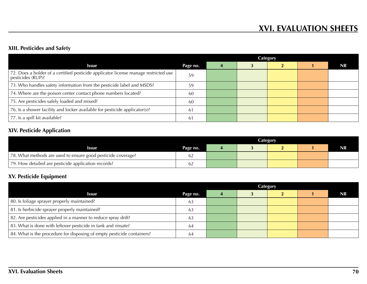### **XIII. Pesticides and Safety**

|                                                                                                          |          | Category |  |  |  |           |
|----------------------------------------------------------------------------------------------------------|----------|----------|--|--|--|-----------|
| <b>Issue</b>                                                                                             | Page no. |          |  |  |  | <b>NR</b> |
| 72. Does a holder of a certified pesticide applicator license manage restricted use<br>pesticides (RUP)? | 59       |          |  |  |  |           |
| 73. Who handles safety information from the pesticide label and MSDS?                                    | 59       |          |  |  |  |           |
| 74. Where are the poison center contact phone numbers located?                                           | 60       |          |  |  |  |           |
| 75. Are pesticides safely loaded and mixed?                                                              | 60       |          |  |  |  |           |
| 76. Is a shower facility and locker available for pesticide applicator(s)?                               | 61       |          |  |  |  |           |
| 77. Is a spill kit available?                                                                            | 61       |          |  |  |  |           |

## **XIV. Pesticide Application**

|                                                              |          | <b>Category</b> |  |  |  |    |
|--------------------------------------------------------------|----------|-----------------|--|--|--|----|
| Issue                                                        | Page no. |                 |  |  |  | NR |
| 78. What methods are used to ensure good pesticide coverage? |          |                 |  |  |  |    |
| 79. How detailed are pesticide application records?          |          |                 |  |  |  |    |

## **XV. Pesticide Equipment**

|                                                                        |          | <b>Category</b> |  |  |  |           |
|------------------------------------------------------------------------|----------|-----------------|--|--|--|-----------|
| <b>Issue</b>                                                           | Page no. |                 |  |  |  | <b>NR</b> |
| 80. Is foliage sprayer properly maintained?                            | 63       |                 |  |  |  |           |
| 81. Is herbicide sprayer properly maintained?                          | 63       |                 |  |  |  |           |
| 82. Are pesticides applied in a manner to reduce spray drift?          | 63       |                 |  |  |  |           |
| 83. What is done with leftover pesticide in tank and rinsate?          | -64      |                 |  |  |  |           |
| 84. What is the procedure for disposing of empty pesticide containers? | 64       |                 |  |  |  |           |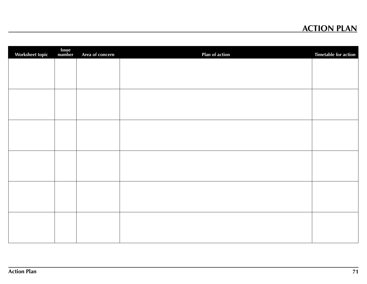# **ACTION PLAN**

| <b>Worksheet topic</b> | <b>Issue</b><br>number | Area of concern | Plan of action | <b>Timetable for action</b> |
|------------------------|------------------------|-----------------|----------------|-----------------------------|
|                        |                        |                 |                |                             |
|                        |                        |                 |                |                             |
|                        |                        |                 |                |                             |
|                        |                        |                 |                |                             |
|                        |                        |                 |                |                             |
|                        |                        |                 |                |                             |
|                        |                        |                 |                |                             |
|                        |                        |                 |                |                             |
|                        |                        |                 |                |                             |
|                        |                        |                 |                |                             |
|                        |                        |                 |                |                             |
|                        |                        |                 |                |                             |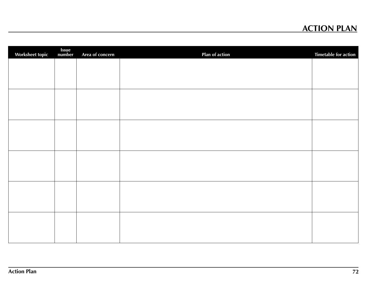# **ACTION PLAN**

| <b>Worksheet topic</b> | <b>Issue</b><br>number | Area of concern | Plan of action | <b>Timetable for action</b> |
|------------------------|------------------------|-----------------|----------------|-----------------------------|
|                        |                        |                 |                |                             |
|                        |                        |                 |                |                             |
|                        |                        |                 |                |                             |
|                        |                        |                 |                |                             |
|                        |                        |                 |                |                             |
|                        |                        |                 |                |                             |
|                        |                        |                 |                |                             |
|                        |                        |                 |                |                             |
|                        |                        |                 |                |                             |
|                        |                        |                 |                |                             |
|                        |                        |                 |                |                             |
|                        |                        |                 |                |                             |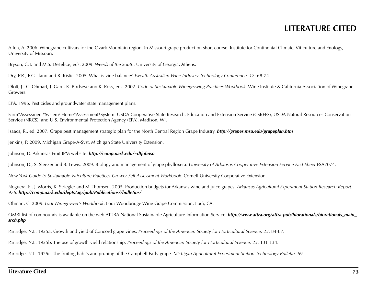Allen, A. 2006. Winegrape cultivars for the Ozark Mountain region. In Missouri grape production short course. Institute for Continental Climate, Viticulture and Enology, University of Missouri.

Bryson, C.T. and M.S. DeFelice, eds. 2009. *Weeds of the South*. University of Georgia, Athens.

Dry, P.R., P.G. Iland and R. Ristic. 2005. What is vine balance? *Twelfth Australian Wine Industry Technology Conference*. *12*: 68-74.

Dlott, J., C. Ohmart, J. Garn, K. Birdseye and K. Ross, eds. 2002. *Code of Sustainable Winegrowing Practices Workbook*. Wine Institute & California Association of Winegrape Growers.

EPA. 1996. Pesticides and groundwater state management plans.

Farm\*Assessment\*System/ Home\*Assessment\*System. USDA Cooperative State Research, Education and Extension Service (CSREES), USDA Natural Resources Conservation Service (NRCS), and U.S. Environmental Protection Agency (EPA). Madison, WI.

Isaacs, R., ed. 2007. Grape pest management strategic plan for the North Central Region Grape Industry. *http://grapes.msu.edu/grapeplan.htm*

Jenkins, P. 2009. Michigan Grape-A-Syst. Michigan State University Extension.

Johnson, D. Arkansas Fruit IPM website. *http://comp.uark.edu/~dtjohnso*

Johnson, D., S. Sleezer and B. Lewis. 2009. Biology and management of grape phylloxera. *University of Arkansas Cooperative Extension Service Fact Sheet* FSA7074.

*New York Guide to Sustainable Viticulture Practices Grower Self-Assessment Workbook*. Cornell University Cooperative Extension.

Noguera, E., J. Morris, K. Striegler and M. Thomsen. 2005. Production budgets for Arkansas wine and juice grapes. *Arkansas Agricultural Experiment Station Research Report*. *976*. *http://comp.uark.edu/depts/agripub/Publications//bulletins/*

Ohmart, C. 2009. *Lodi Winegrower's Workbook*. Lodi-Woodbridge Wine Grape Commission, Lodi, CA.

OMRI list of compounds is available on the web ATTRA National Sustainable Agriculture Information Service. *http://www.attra.org/attra-pub/biorationals/biorationals\_main\_ srch.php*

Partridge, N.L. 1925a. Growth and yield of Concord grape vines. *Proceedings of the American Society for Horticultural Science*. *23*: 84-87.

Partridge, N.L. 1925b. The use of growth-yield relationship. *Proceedings of the American Society for Horticultural Science. 23*: 131-134.

Partridge, N.L. 1925c. The fruiting habits and pruning of the Campbell Early grape. *Michigan Agricultural Experiment Station Technology Bulletin*. *69*.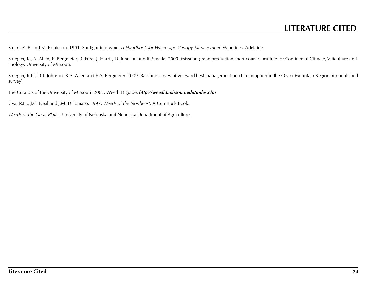## **LITERATURE CITED**

Smart, R. E. and M. Robinson. 1991. Sunlight into wine. *A Handbook for Winegrape Canopy Management*. Winetitles, Adelaide.

Striegler, K., A. Allen, E. Bergmeier, R. Ford, J. Harris, D. Johnson and R. Smeda. 2009. Missouri grape production short course. Institute for Continental Climate, Viticulture and Enology, University of Missouri.

Striegler, R.K., D.T. Johnson, R.A. Allen and E.A. Bergmeier. 2009. Baseline survey of vineyard best management practice adoption in the Ozark Mountain Region. (unpublished survey)

The Curators of the University of Missouri. 2007. Weed ID guide. *http://weedid.missouri.edu/index.cfm*

Uva, R.H., J.C. Neal and J.M. DiTomaso. 1997. *Weeds of the Northeast*. A Comstock Book.

*Weeds of the Great Plains*. University of Nebraska and Nebraska Department of Agriculture.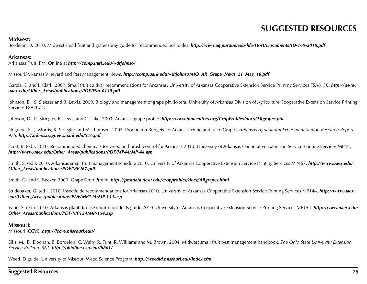#### **Midwest:**

Bordelon, B. 2010. Midwest small fruit and grape spray guide for recommended pesticides. *http://www.ag.purdue.edu/hla/Hort/Documents/ID-169-2010.pdf*

#### **Arkansas:**

Arkansas Fruit IPM. Online at *http://comp.uark.edu/~dtjohnso/*

Missouri/Arkansas Vineyard and Pest Management News. *http://comp.uark.edu/~dtjohnso/MO\_AR\_Grape\_News\_21\_May\_10.pdf*

Garcia, E. and J. Clark. 2007. Small fruit cultivar recommendations for Arkansas. University of Arkansas Cooperative Extension Service Printing Services FSA6130. *http://www. uaex.edu/Other\_Areas/publications/PDF/FSA-6130.pdf*

Johnson, D., S. Sleezer and B. Lewis. 2009. Biology and management of grape phylloxera. University of Arkansas Division of Agriculture Cooperative Extension Service Printing Services FSA7074.

Johnson, D., K. Striegler, B. Lewis and C. Lake. 2003. Arkansas grape profile. *http://www.ipmcenters.org/CropProfiles/docs/ARgrapes.pdf*

Noguera, E., J. Morris, K. Striegler and M. Thomsen. 2005. Production Budgets for Arkansas Wine and Juice Grapes. *Arkansas Agricultural Experiment Station Research Report*. *976. http://arkansasagnews.uark.edu/976.pdf*

Scott, B. (ed.). 2010. Recommended chemicals for weed and brush control for Arkansas 2010. University of Arkansas Cooperative Extension Service Printing Services MP44. *http://www.uaex.edu/Other\_Areas/publications/PDF/MP44/MP-44.asp*

Smith, S. (ed.). 2010. Arkansas small fruit management schedule 2010. University of Arkansas Cooperative Extension Service Printing Services MP467. *http://www.uaex.edu/ Other\_Areas/publications/PDF/MP467.pdf*

Smith, G. and S. Becker. 2000. Grape Crop Profile. *http://pestdata.ncsu.edu/cropprofiles/docs/ARgrapes.html*

Studebaker, G. (ed.). 2010. Insecticide recommendations for Arkansas 2010. University of Arkansas Cooperative Extension Service Printing Services MP144. *http://www.uaex. edu/Other\_Areas/publications/PDF/MP144/MP-144.asp*

Vann, S. (ed.). 2010. Arkansas plant disease control products guide 2010. University of Arkansas Cooperative Extension Service Printing Services MP154. *http://www.uaex.edu/ Other\_Areas/publications/PDF/MP154/MP-154.asp*

#### **Missouri:**

Missouri ICCVE. *http://iccve.missouri.edu/*

Ellis, M., D. Doohan, B. Bordelon, C. Welty, R. Funt, R. Williams and M. Brown. 2004. Midwest small fruit pest management handbook. *The Ohio State University Extension Service Bulletin*. *861*. *http://ohioline.osu.edu/b861/*

Weed ID guide. University of Missouri Weed Science Program. *http://weedid.missouri.edu/index.cfm*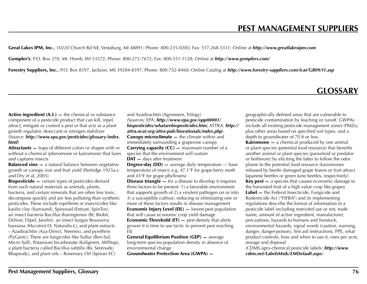Great Lakes IPM, Inc.; 10220 Church Rd NE, Vestaburg, MI 48891; Phone: 800-235-0285; Fax: 517-268-5311; Online at *http://www.greatlakesipm.com*

Gempler's; P.O. Box 270, Mt. Horeb, WI 53572; Phone: 800-272-7672; Fax: 800-551-1128; Online at *http://www.gemplers.com/*

Forestry Suppliers, Inc.; P.O. Box 8397, Jackson, MS 39284-8397; Phone: 800-752-8460; Online Catalog at *http://www.forestry-suppliers.com/icat/GB09/t1.asp*

### **CLOSSARY**

Active ingredient (A.I.) — the chemical or substance component of a pesticide product that can kill, repel, attract, mitigate or control a pest or that acts as a plant growth regulator, desiccant or nitrogen stabilizer (Source: *http://www.epa.gov/pesticides/glossary/index. html*)

Attractants — traps of different colors or shapes with or without a chemical (pheromone or kairomone) that lures and captures insects

**Balanced vine -** a natural balance between vegetative growth or canopy size and fruit yield (Partridge 1925a-c and Dry et al. 2005)

Biopesticide — certain types of pesticides derived from such natural materials as animals, plants, bacteria, and certain minerals that are often less toxic, decompose quickly and are less polluting than synthetic pesticides. These include repellents or insecticides like kaolin clay (Surround), Spinosad (Entrust, SpinTor); an insect bacteria Bacillus thuringiensis (Bt; Biobit, Deliver, Dipel, Javelin), an insect fungus Beauveria bassiana (Mycotrol-O, Naturalis-L), and plant extracts – Azadirachtin (Aza-Direct, Neemix), and pyrethrin (PyGanic). There are fungicides like Sulfur (Ben-Sul, Micro Sulf), Potassium bicarbonate (Kaligreen, MilStop), a plant bacteria called Bacillus subtilis (Bs; Serenade, Rhapsody), and plant oils – Rosemary Oil (Sporan EC)

and Azadirachtin (Agroneem, Trilogy) (Sources: EPA; *http://www.epa.gov/opp00001/ biopesticides/whatarebiopesticides.htm*; ATTRA: *http:// attra.ncat.org/attra-pub/biorationals/index.php*) Canopy microclimate — the climate within and immediately surrounding a grapevine canopy **Carrying capacity (CC) — maximum number of a** species that the environment will sustain DAT - days after treatment

**Degree-day (DD)**  $-$  average daily temperature  $-$  base temperature of insect; e.g. 47.1°F for grape berry moth and 43°F for grape phylloxera

**Disease triangle –** for a disease to develop it requires three factors to be present: 1) a favorable environment that supports growth of 2) a virulent pathogen on or into 3) a susceptible cultivar; reducing or eliminating one or more of these factors results in disease management Economic Injury Level (EIL) — lowest pest population that will cause economic crop yield damage Economic Threshold (ET) — pest density that alerts grower it is time to use tactic to prevent pest reaching EIL

General Equilibrium Position (GEP) — average long-term species population density in absence of environmental change

Groundwater Protection Area (GWPA) —

geographically defined areas that are vulnerable to pesticide contamination by leaching or runoff. GWPAs include all existing pesticide management zones (PMZs), plus other areas based on specified soil types, and a depth to groundwater of 70 ft or less.

**Kairomone** – a chemical produced by one animal or plant species (potential food resource) that benefits another animal or plant species (parasitoid or predator or herbivore) by eliciting the latter to follow the odor plume to the potential food resource (kairomones released by beetle damaged grape leaves or fruit attract Japanese beetles or green June beetles, respectively) Key pest — a species that causes economic damage to the harvested fruit of a high value crop like grapes Label — the Federal Insecticide, Fungicide and Rodenticide Act ("FIFRA") and its implementing regulations describe the format of information in a pesticide label including restricted use or not, trade name, amount of active ingredient, manufacturer, precautions, hazards to humans and livestock, environmental hazards, signal words (caution, warning, danger, danger-poison), first aid instructions, PPE, what product controls, how and when to use it, rates per acre, storage and disposal

(CDMS agro-chemical pesticide labels: *http://www. cdms.net/LabelsMsds/LMDefault.aspx*)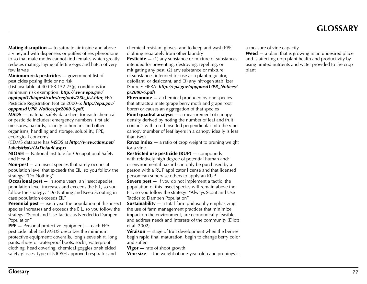**Mating disruption —** to saturate air inside and above a vineyard with dispensers or puffers of sex pheromone to so that male moths cannot find females which greatly reduces mating, laying of fertile eggs and hatch of very few larvae

Minimum risk pesticides - government list of pesticides posing little or no risk

(List available at 40 CFR 152.25(g) conditions for minimum risk exemption: *http://www.epa.gov/ oppbppd1/biopesticides/regtools/25b\_list.htm*; EPA Pesticide Registration Notice 2000-6: *http://epa.gov/*

*opppmsd1/PR\_Notices/pr2000-6.pdf*)

MSDS — material safety data sheet for each chemical or pesticide includes: emergency numbers, first aid measures, hazards, toxicity to humans and other organisms, handling and storage, solubility, PPE, ecological concerns

(CDMS database has MSDS at *http://www.cdms.net/ LabelsMsds/LMDefault.aspx*)

NIOSH — National Institute for Occupational Safety and Health

Non-pest — an insect species that rarely occurs at population level that exceeds the EIL, so you follow the strategy: "Do Nothing"

**Occasional pest – in some years, an insect species** population level increases and exceeds the EIL, so you follow the strategy: "Do Nothing and Keep Scouting in case population exceeds EIL"

**Perennial pest —** each year the population of this insect species increases and exceeds the EIL, so you follow the strategy: "Scout and Use Tactics as Needed to Dampen Population"

PPE — Personal protective equipment — each EPA pesticide label and MSDS describes the minimum protective equipment: coveralls, long sleeve shirt, long pants, shoes or waterproof boots, socks, waterproof clothing, head covering, chemical goggles or shielded safety glasses, type of NIOSH-approved respirator and

chemical resistant gloves, and to keep and wash PPE clothing separately from other laundry **Pesticide**  $-$  (1) any substance or mixture of substances intended for preventing, destroying, repelling, or mitigating any pest, (2) any substance or mixture of substances intended for use as a plant regulator, defoliant, or desiccant, and (3) any nitrogen stabilizer (Source: FIFRA: *http://epa.gov/opppmsd1/PR\_Notices/ pr2000-6.pdf*)

**Pheromone** — a chemical produced by one species that attracts a mate (grape berry moth and grape root borer) or causes an aggregation of that species

**Point quadrat analysis — a measurement of canopy** density derived by noting the number of leaf and fruit contacts with a rod inserted perpendicular into the vine canopy (number of leaf layers in a canopy ideally is less than two)

**Ravaz Index**  $-$  a ratio of crop weight to pruning weight for a vine

Restricted use pesticide (RUP) — compounds

with relatively high degree of potential human and/ or environmental hazard can only be purchased by a person with a RUP applicator license and that licensed person can supervise others to apply an RUP

**Severe pest —** if you do not implement a tactic, the population of this insect species will remain above the EIL, so you follow the strategy: "Always Scout and Use Tactics to Dampen Population"

**Sustainability —** a total-farm philosophy emphasizing the use of farm management practices that minimize impact on the environment, are economically feasible, and address needs and interests of the community (Dlott et al. 2002)

**Véraison** – stage of fruit development when the berries begin rapid final maturation, begin to change berry color and soften

**Vigor** — rate of shoot growth

Vine size — the weight of one-year-old cane prunings is

a measure of vine capacity

Weed – a plant that is growing in an undesired place and is affecting crop plant health and productivity by using limited nutrients and water provided to the crop plant